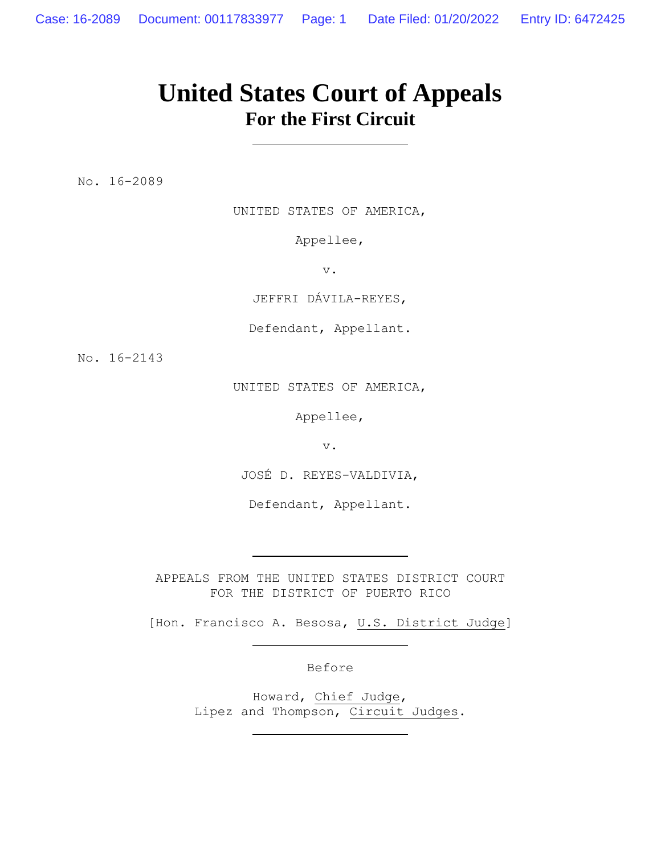# **United States Court of Appeals For the First Circuit**

No. 16-2089

UNITED STATES OF AMERICA,

Appellee,

v.

JEFFRI DÁVILA-REYES,

Defendant, Appellant.

No. 16-2143

UNITED STATES OF AMERICA,

Appellee,

v.

JOSÉ D. REYES-VALDIVIA,

Defendant, Appellant.

APPEALS FROM THE UNITED STATES DISTRICT COURT FOR THE DISTRICT OF PUERTO RICO

[Hon. Francisco A. Besosa, U.S. District Judge]

Before

Howard, Chief Judge, Lipez and Thompson, Circuit Judges.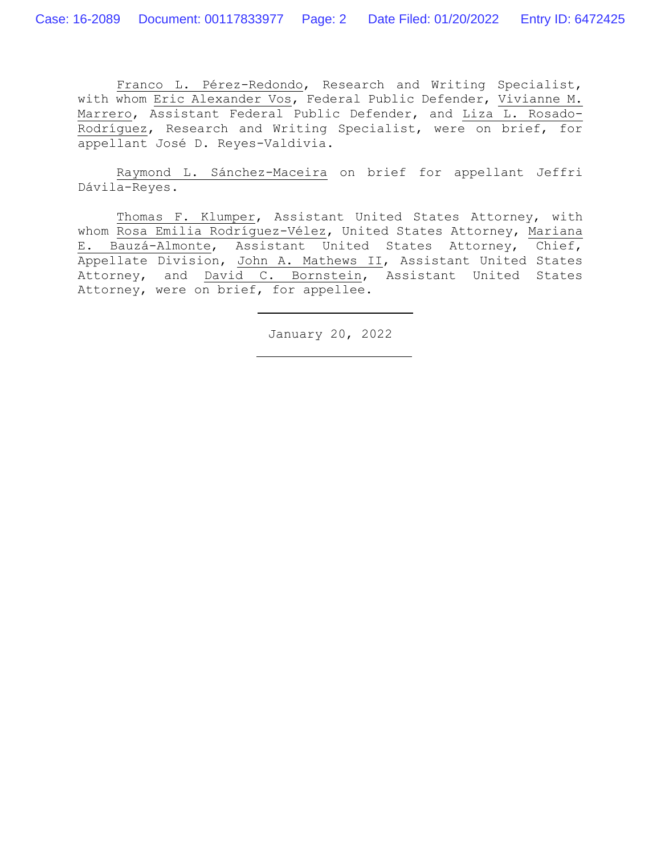Franco L. Pérez-Redondo, Research and Writing Specialist, with whom Eric Alexander Vos, Federal Public Defender, Vivianne M. Marrero, Assistant Federal Public Defender, and Liza L. Rosado-Rodríguez, Research and Writing Specialist, were on brief, for appellant José D. Reyes-Valdivia.

Raymond L. Sánchez-Maceira on brief for appellant Jeffri Dávila-Reyes.

Thomas F. Klumper, Assistant United States Attorney, with whom Rosa Emilia Rodríguez-Vélez, United States Attorney, Mariana E. Bauzá-Almonte, Assistant United States Attorney, Chief, Appellate Division, John A. Mathews II, Assistant United States Attorney, and David C. Bornstein, Assistant United States Attorney, were on brief, for appellee.

January 20, 2022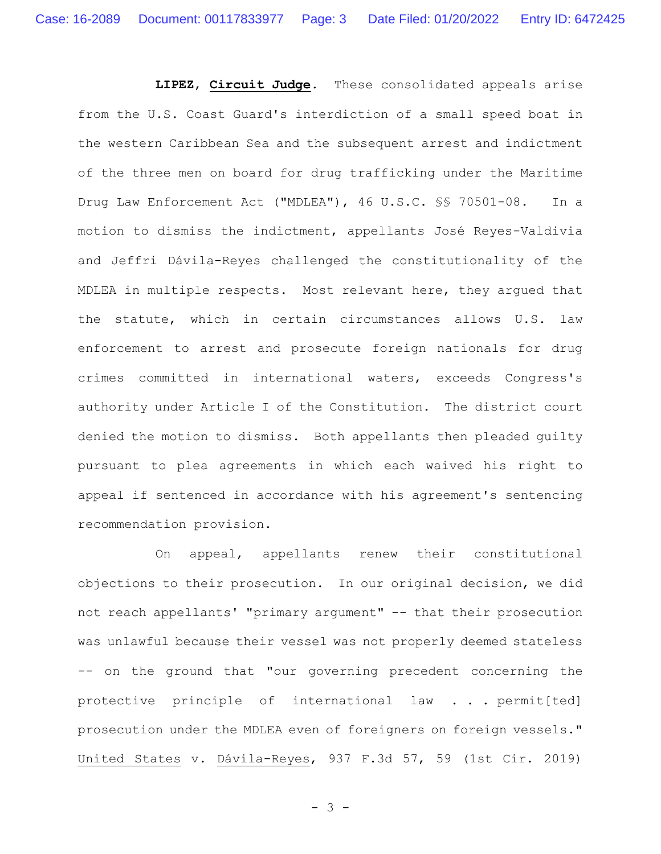**LIPEZ**, **Circuit Judge**. These consolidated appeals arise from the U.S. Coast Guard's interdiction of a small speed boat in the western Caribbean Sea and the subsequent arrest and indictment of the three men on board for drug trafficking under the Maritime Drug Law Enforcement Act ("MDLEA"), 46 U.S.C. §§ 70501-08. In a motion to dismiss the indictment, appellants José Reyes-Valdivia and Jeffri Dávila-Reyes challenged the constitutionality of the MDLEA in multiple respects. Most relevant here, they argued that the statute, which in certain circumstances allows U.S. law enforcement to arrest and prosecute foreign nationals for drug crimes committed in international waters, exceeds Congress's authority under Article I of the Constitution. The district court denied the motion to dismiss. Both appellants then pleaded guilty pursuant to plea agreements in which each waived his right to appeal if sentenced in accordance with his agreement's sentencing recommendation provision.

On appeal, appellants renew their constitutional objections to their prosecution. In our original decision, we did not reach appellants' "primary argument" -- that their prosecution was unlawful because their vessel was not properly deemed stateless -- on the ground that "our governing precedent concerning the protective principle of international law . . . permit[ted] prosecution under the MDLEA even of foreigners on foreign vessels." United States v. Dávila-Reyes, 937 F.3d 57, 59 (1st Cir. 2019)

- 3 -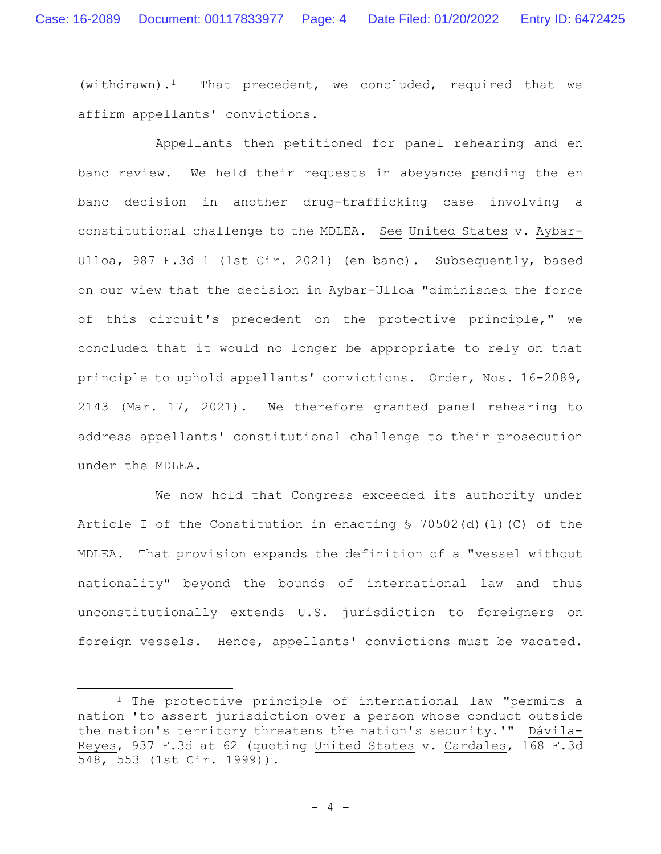(withdrawn).<sup>1</sup> That precedent, we concluded, required that we affirm appellants' convictions.

Appellants then petitioned for panel rehearing and en banc review. We held their requests in abeyance pending the en banc decision in another drug-trafficking case involving a constitutional challenge to the MDLEA. See United States v. Aybar-Ulloa, 987 F.3d 1 (1st Cir. 2021) (en banc). Subsequently, based on our view that the decision in Aybar-Ulloa "diminished the force of this circuit's precedent on the protective principle," we concluded that it would no longer be appropriate to rely on that principle to uphold appellants' convictions. Order, Nos. 16-2089, 2143 (Mar. 17, 2021). We therefore granted panel rehearing to address appellants' constitutional challenge to their prosecution under the MDLEA.

We now hold that Congress exceeded its authority under Article I of the Constitution in enacting § 70502(d)(1)(C) of the MDLEA. That provision expands the definition of a "vessel without nationality" beyond the bounds of international law and thus unconstitutionally extends U.S. jurisdiction to foreigners on foreign vessels. Hence, appellants' convictions must be vacated.

<sup>&</sup>lt;sup>1</sup> The protective principle of international law "permits a nation 'to assert jurisdiction over a person whose conduct outside the nation's territory threatens the nation's security.'" Dávila-Reyes, 937 F.3d at 62 (quoting United States v. Cardales, 168 F.3d 548, 553 (1st Cir. 1999)).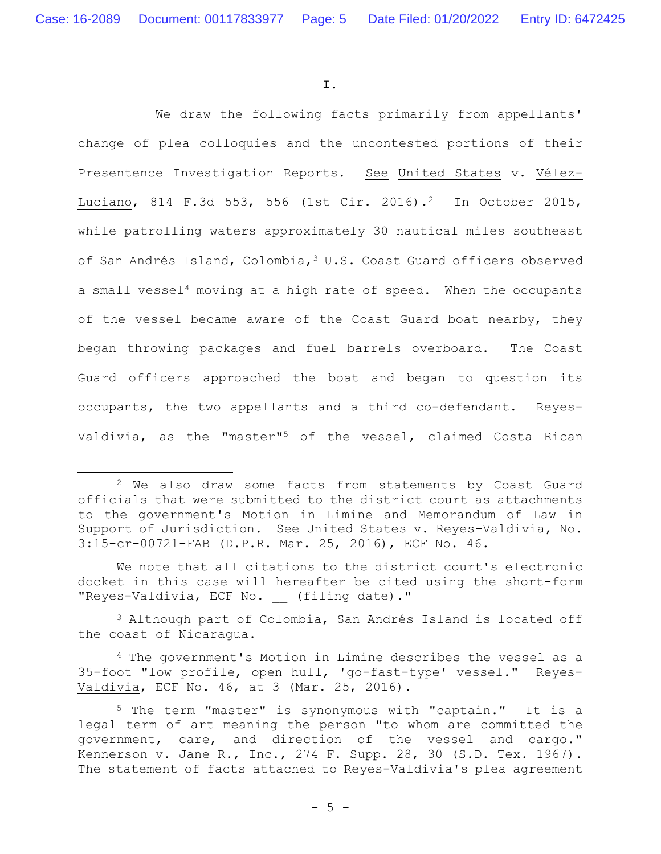**I.**

We draw the following facts primarily from appellants' change of plea colloquies and the uncontested portions of their Presentence Investigation Reports. See United States v. Vélez-Luciano, 814 F.3d 553, 556 (1st Cir. 2016).<sup>2</sup> In October 2015, while patrolling waters approximately 30 nautical miles southeast of San Andrés Island, Colombia,<sup>3</sup> U.S. Coast Guard officers observed a small vessel<sup>4</sup> moving at a high rate of speed. When the occupants of the vessel became aware of the Coast Guard boat nearby, they began throwing packages and fuel barrels overboard. The Coast Guard officers approached the boat and began to question its occupants, the two appellants and a third co-defendant. Reyes-Valdivia, as the "master"<sup>5</sup> of the vessel, claimed Costa Rican

<sup>3</sup> Although part of Colombia, San Andrés Island is located off the coast of Nicaragua.

<sup>4</sup> The government's Motion in Limine describes the vessel as a 35-foot "low profile, open hull, 'go-fast-type' vessel." Reyes-Valdivia, ECF No. 46, at 3 (Mar. 25, 2016).

<sup>&</sup>lt;sup>2</sup> We also draw some facts from statements by Coast Guard officials that were submitted to the district court as attachments to the government's Motion in Limine and Memorandum of Law in Support of Jurisdiction. See United States v. Reyes-Valdivia, No. 3:15-cr-00721-FAB (D.P.R. Mar. 25, 2016), ECF No. 46.

We note that all citations to the district court's electronic docket in this case will hereafter be cited using the short-form "Reyes-Valdivia, ECF No. (filing date)."

<sup>5</sup> The term "master" is synonymous with "captain." It is a legal term of art meaning the person "to whom are committed the government, care, and direction of the vessel and cargo." Kennerson v. Jane R., Inc., 274 F. Supp. 28, 30 (S.D. Tex. 1967). The statement of facts attached to Reyes-Valdivia's plea agreement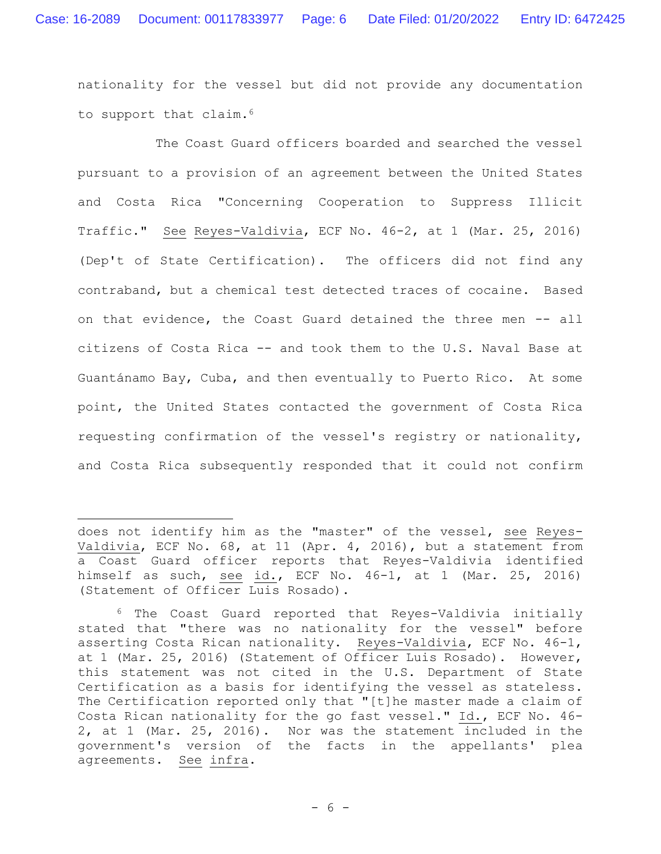nationality for the vessel but did not provide any documentation to support that claim.<sup>6</sup>

The Coast Guard officers boarded and searched the vessel pursuant to a provision of an agreement between the United States and Costa Rica "Concerning Cooperation to Suppress Illicit Traffic." See Reyes-Valdivia, ECF No. 46-2, at 1 (Mar. 25, 2016) (Dep't of State Certification). The officers did not find any contraband, but a chemical test detected traces of cocaine. Based on that evidence, the Coast Guard detained the three men -- all citizens of Costa Rica -- and took them to the U.S. Naval Base at Guantánamo Bay, Cuba, and then eventually to Puerto Rico. At some point, the United States contacted the government of Costa Rica requesting confirmation of the vessel's registry or nationality, and Costa Rica subsequently responded that it could not confirm

does not identify him as the "master" of the vessel, see Reyes-Valdivia, ECF No. 68, at 11 (Apr. 4, 2016), but a statement from a Coast Guard officer reports that Reyes-Valdivia identified himself as such, see id., ECF No. 46-1, at 1 (Mar. 25, 2016) (Statement of Officer Luis Rosado).

<sup>6</sup> The Coast Guard reported that Reyes-Valdivia initially stated that "there was no nationality for the vessel" before asserting Costa Rican nationality. Reyes-Valdivia, ECF No. 46-1, at 1 (Mar. 25, 2016) (Statement of Officer Luis Rosado). However, this statement was not cited in the U.S. Department of State Certification as a basis for identifying the vessel as stateless. The Certification reported only that "[t]he master made a claim of Costa Rican nationality for the go fast vessel." Id., ECF No. 46- 2, at 1 (Mar. 25, 2016). Nor was the statement included in the government's version of the facts in the appellants' plea agreements. See infra.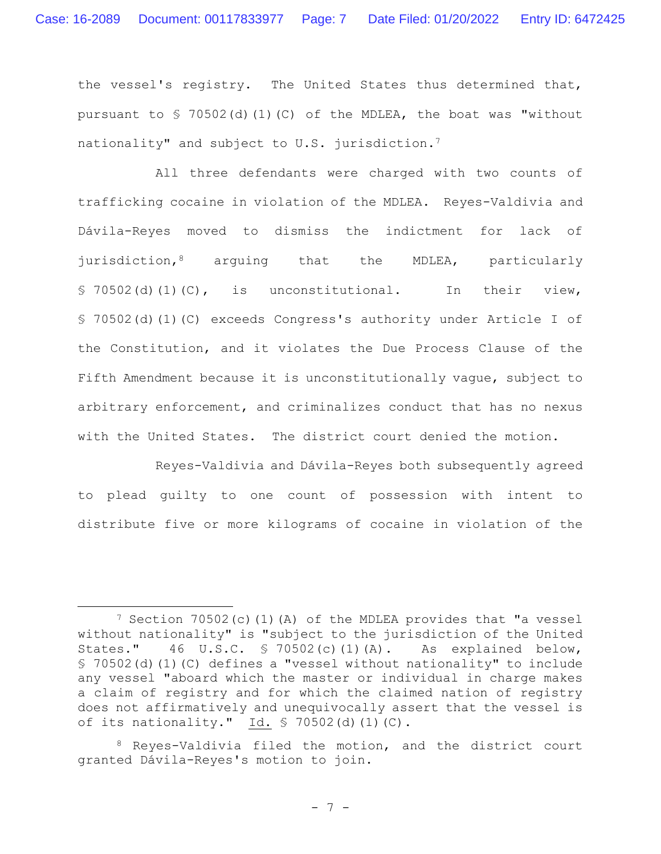the vessel's registry. The United States thus determined that, pursuant to § 70502(d)(1)(C) of the MDLEA, the boat was "without nationality" and subject to U.S. jurisdiction.<sup>7</sup>

All three defendants were charged with two counts of trafficking cocaine in violation of the MDLEA. Reyes-Valdivia and Dávila-Reyes moved to dismiss the indictment for lack of jurisdiction,<sup>8</sup> arguing that the MDLEA, particularly § 70502(d)(1)(C), is unconstitutional. In their view, § 70502(d)(1)(C) exceeds Congress's authority under Article I of the Constitution, and it violates the Due Process Clause of the Fifth Amendment because it is unconstitutionally vague, subject to arbitrary enforcement, and criminalizes conduct that has no nexus with the United States. The district court denied the motion.

Reyes-Valdivia and Dávila-Reyes both subsequently agreed to plead guilty to one count of possession with intent to distribute five or more kilograms of cocaine in violation of the

 $7$  Section  $70502(c)$  (1)(A) of the MDLEA provides that "a vessel without nationality" is "subject to the jurisdiction of the United States." 46 U.S.C. § 70502(c)(1)(A). As explained below, § 70502(d)(1)(C) defines a "vessel without nationality" to include any vessel "aboard which the master or individual in charge makes a claim of registry and for which the claimed nation of registry does not affirmatively and unequivocally assert that the vessel is of its nationality." Id. § 70502(d)(1)(C).

<sup>8</sup> Reyes-Valdivia filed the motion, and the district court granted Dávila-Reyes's motion to join.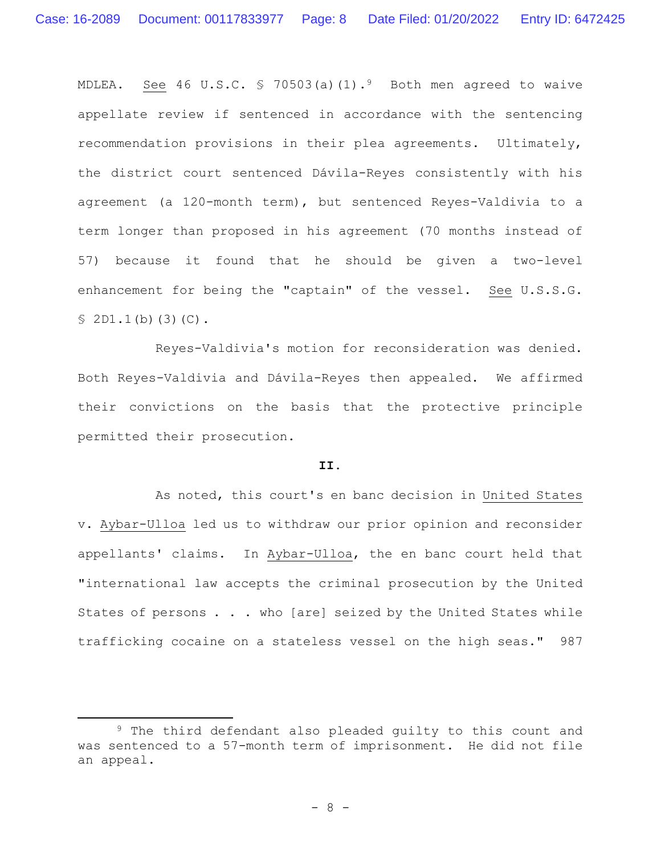MDLEA. See 46 U.S.C. § 70503(a)(1).<sup>9</sup> Both men agreed to waive appellate review if sentenced in accordance with the sentencing recommendation provisions in their plea agreements. Ultimately, the district court sentenced Dávila-Reyes consistently with his agreement (a 120-month term), but sentenced Reyes-Valdivia to a term longer than proposed in his agreement (70 months instead of 57) because it found that he should be given a two-level enhancement for being the "captain" of the vessel. See U.S.S.G. § 2D1.1(b)(3)(C).

Reyes-Valdivia's motion for reconsideration was denied. Both Reyes-Valdivia and Dávila-Reyes then appealed. We affirmed their convictions on the basis that the protective principle permitted their prosecution.

# **II.**

As noted, this court's en banc decision in United States v. Aybar-Ulloa led us to withdraw our prior opinion and reconsider appellants' claims. In Aybar-Ulloa, the en banc court held that "international law accepts the criminal prosecution by the United States of persons . . . who [are] seized by the United States while trafficking cocaine on a stateless vessel on the high seas." 987

<sup>9</sup> The third defendant also pleaded guilty to this count and was sentenced to a 57-month term of imprisonment. He did not file an appeal.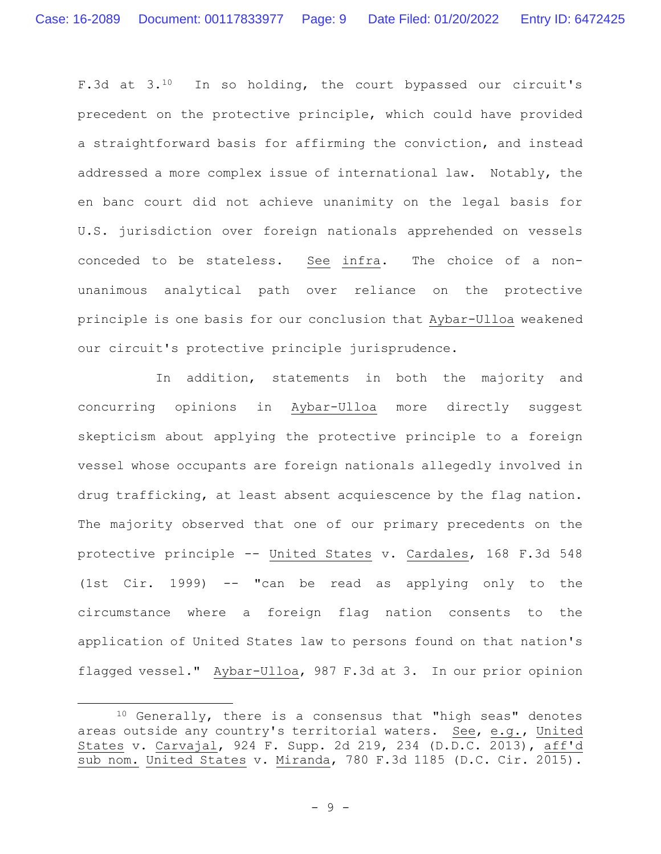F.3d at  $3.10$  In so holding, the court bypassed our circuit's precedent on the protective principle, which could have provided a straightforward basis for affirming the conviction, and instead addressed a more complex issue of international law. Notably, the en banc court did not achieve unanimity on the legal basis for U.S. jurisdiction over foreign nationals apprehended on vessels conceded to be stateless. See infra. The choice of a nonunanimous analytical path over reliance on the protective principle is one basis for our conclusion that Aybar-Ulloa weakened our circuit's protective principle jurisprudence.

In addition, statements in both the majority and concurring opinions in Aybar-Ulloa more directly suggest skepticism about applying the protective principle to a foreign vessel whose occupants are foreign nationals allegedly involved in drug trafficking, at least absent acquiescence by the flag nation. The majority observed that one of our primary precedents on the protective principle -- United States v. Cardales, 168 F.3d 548 (1st Cir. 1999) -- "can be read as applying only to the circumstance where a foreign flag nation consents to the application of United States law to persons found on that nation's flagged vessel." Aybar-Ulloa, 987 F.3d at 3. In our prior opinion

<sup>10</sup> Generally, there is a consensus that "high seas" denotes areas outside any country's territorial waters. See, e.g., United States v. Carvajal, 924 F. Supp. 2d 219, 234 (D.D.C. 2013), aff'd sub nom. United States v. Miranda, 780 F.3d 1185 (D.C. Cir. 2015).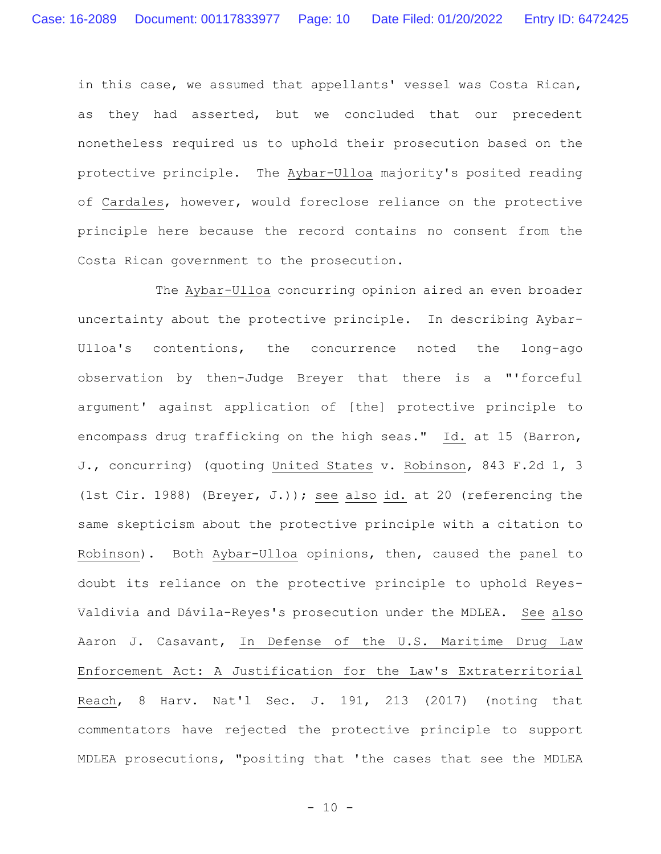in this case, we assumed that appellants' vessel was Costa Rican, as they had asserted, but we concluded that our precedent nonetheless required us to uphold their prosecution based on the protective principle. The Aybar-Ulloa majority's posited reading of Cardales, however, would foreclose reliance on the protective principle here because the record contains no consent from the Costa Rican government to the prosecution.

The Aybar-Ulloa concurring opinion aired an even broader uncertainty about the protective principle. In describing Aybar-Ulloa's contentions, the concurrence noted the long-ago observation by then-Judge Breyer that there is a "'forceful argument' against application of [the] protective principle to encompass drug trafficking on the high seas." Id. at 15 (Barron, J., concurring) (quoting United States v. Robinson, 843 F.2d 1, 3 (1st Cir. 1988) (Breyer, J.)); see also id. at 20 (referencing the same skepticism about the protective principle with a citation to Robinson). Both Aybar-Ulloa opinions, then, caused the panel to doubt its reliance on the protective principle to uphold Reyes-Valdivia and Dávila-Reyes's prosecution under the MDLEA. See also Aaron J. Casavant, In Defense of the U.S. Maritime Drug Law Enforcement Act: A Justification for the Law's Extraterritorial Reach, 8 Harv. Nat'l Sec. J. 191, 213 (2017) (noting that commentators have rejected the protective principle to support MDLEA prosecutions, "positing that 'the cases that see the MDLEA

 $- 10 -$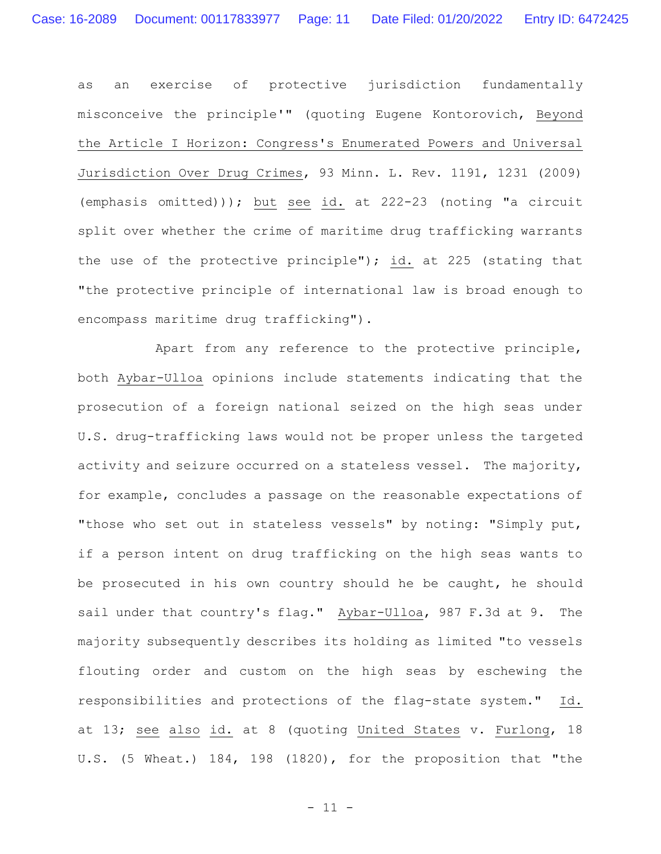as an exercise of protective jurisdiction fundamentally misconceive the principle'" (quoting Eugene Kontorovich, Beyond the Article I Horizon: Congress's Enumerated Powers and Universal Jurisdiction Over Drug Crimes, 93 Minn. L. Rev. 1191, 1231 (2009) (emphasis omitted))); but see id. at 222-23 (noting "a circuit split over whether the crime of maritime drug trafficking warrants the use of the protective principle"); id. at 225 (stating that "the protective principle of international law is broad enough to encompass maritime drug trafficking").

Apart from any reference to the protective principle, both Aybar-Ulloa opinions include statements indicating that the prosecution of a foreign national seized on the high seas under U.S. drug-trafficking laws would not be proper unless the targeted activity and seizure occurred on a stateless vessel. The majority, for example, concludes a passage on the reasonable expectations of "those who set out in stateless vessels" by noting: "Simply put, if a person intent on drug trafficking on the high seas wants to be prosecuted in his own country should he be caught, he should sail under that country's flag." Aybar-Ulloa, 987 F.3d at 9. The majority subsequently describes its holding as limited "to vessels flouting order and custom on the high seas by eschewing the responsibilities and protections of the flag-state system." Id. at 13; see also id. at 8 (quoting United States v. Furlong, 18 U.S. (5 Wheat.) 184, 198 (1820), for the proposition that "the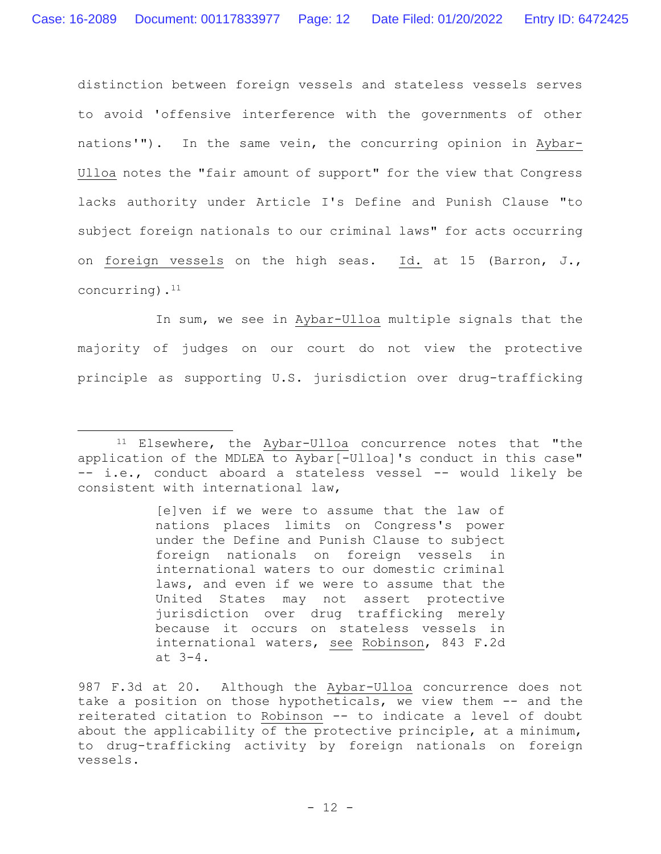distinction between foreign vessels and stateless vessels serves to avoid 'offensive interference with the governments of other nations'"). In the same vein, the concurring opinion in Aybar-Ulloa notes the "fair amount of support" for the view that Congress lacks authority under Article I's Define and Punish Clause "to subject foreign nationals to our criminal laws" for acts occurring on foreign vessels on the high seas. Id. at 15 (Barron, J., concurring).<sup>11</sup>

In sum, we see in Aybar-Ulloa multiple signals that the majority of judges on our court do not view the protective principle as supporting U.S. jurisdiction over drug-trafficking

[e]ven if we were to assume that the law of nations places limits on Congress's power under the Define and Punish Clause to subject foreign nationals on foreign vessels in international waters to our domestic criminal laws, and even if we were to assume that the United States may not assert protective jurisdiction over drug trafficking merely because it occurs on stateless vessels in international waters, see Robinson, 843 F.2d at 3-4.

<sup>&</sup>lt;sup>11</sup> Elsewhere, the Aybar-Ulloa concurrence notes that "the application of the MDLEA to Aybar[-Ulloa]'s conduct in this case" -- i.e., conduct aboard a stateless vessel -- would likely be consistent with international law,

<sup>987</sup> F.3d at 20. Although the Aybar-Ulloa concurrence does not take a position on those hypotheticals, we view them -- and the reiterated citation to Robinson -- to indicate a level of doubt about the applicability of the protective principle, at a minimum, to drug-trafficking activity by foreign nationals on foreign vessels.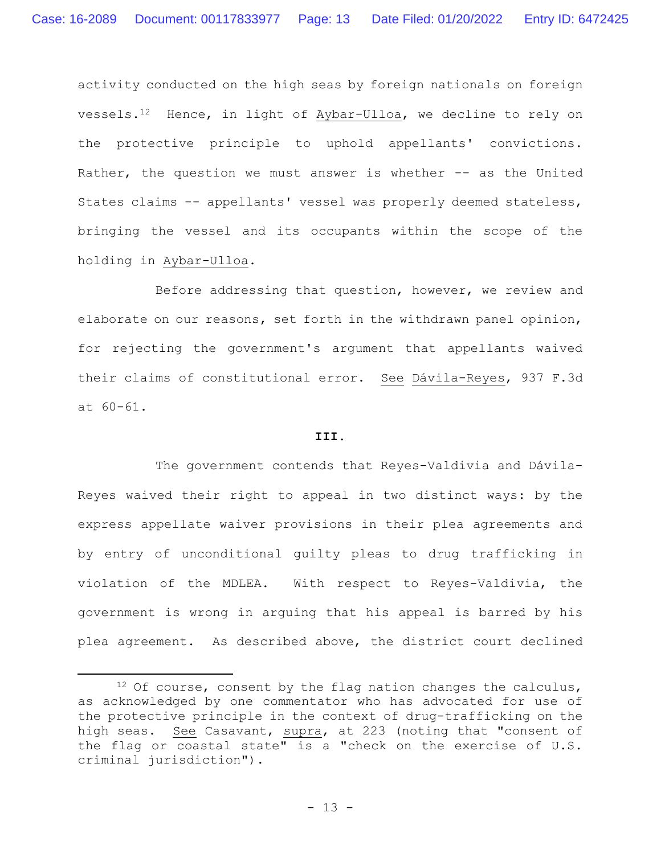activity conducted on the high seas by foreign nationals on foreign vessels.12 Hence, in light of Aybar-Ulloa, we decline to rely on the protective principle to uphold appellants' convictions. Rather, the question we must answer is whether -- as the United States claims -- appellants' vessel was properly deemed stateless, bringing the vessel and its occupants within the scope of the holding in Aybar-Ulloa.

Before addressing that question, however, we review and elaborate on our reasons, set forth in the withdrawn panel opinion, for rejecting the government's argument that appellants waived their claims of constitutional error. See Dávila-Reyes, 937 F.3d at 60-61.

# **III.**

The government contends that Reyes-Valdivia and Dávila-Reyes waived their right to appeal in two distinct ways: by the express appellate waiver provisions in their plea agreements and by entry of unconditional guilty pleas to drug trafficking in violation of the MDLEA. With respect to Reyes-Valdivia, the government is wrong in arguing that his appeal is barred by his plea agreement. As described above, the district court declined

 $12$  Of course, consent by the flag nation changes the calculus, as acknowledged by one commentator who has advocated for use of the protective principle in the context of drug-trafficking on the high seas. See Casavant, supra, at 223 (noting that "consent of the flag or coastal state" is a "check on the exercise of U.S. criminal jurisdiction").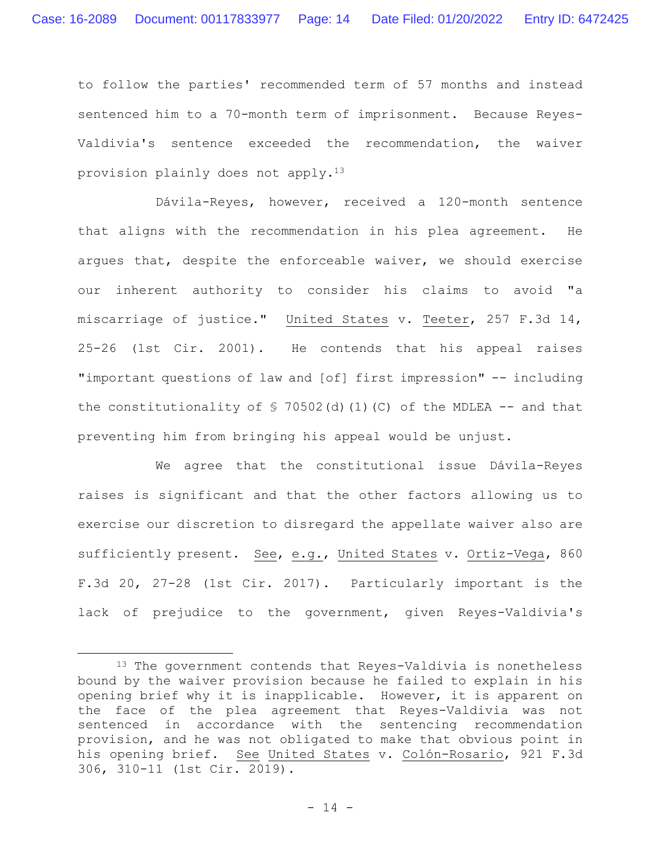to follow the parties' recommended term of 57 months and instead sentenced him to a 70-month term of imprisonment. Because Reyes-Valdivia's sentence exceeded the recommendation, the waiver provision plainly does not apply.<sup>13</sup>

Dávila-Reyes, however, received a 120-month sentence that aligns with the recommendation in his plea agreement. He argues that, despite the enforceable waiver, we should exercise our inherent authority to consider his claims to avoid "a miscarriage of justice." United States v. Teeter, 257 F.3d 14, 25-26 (1st Cir. 2001). He contends that his appeal raises "important questions of law and [of] first impression" -- including the constitutionality of  $\frac{1}{2}$  70502(d)(1)(C) of the MDLEA -- and that preventing him from bringing his appeal would be unjust.

We agree that the constitutional issue Dávila-Reyes raises is significant and that the other factors allowing us to exercise our discretion to disregard the appellate waiver also are sufficiently present. See, e.g., United States v. Ortiz-Vega, 860 F.3d 20, 27-28 (1st Cir. 2017). Particularly important is the lack of prejudice to the government, given Reyes-Valdivia's

<sup>13</sup> The government contends that Reyes-Valdivia is nonetheless bound by the waiver provision because he failed to explain in his opening brief why it is inapplicable. However, it is apparent on the face of the plea agreement that Reyes-Valdivia was not sentenced in accordance with the sentencing recommendation provision, and he was not obligated to make that obvious point in his opening brief. See United States v. Colón-Rosario, 921 F.3d 306, 310-11 (1st Cir. 2019).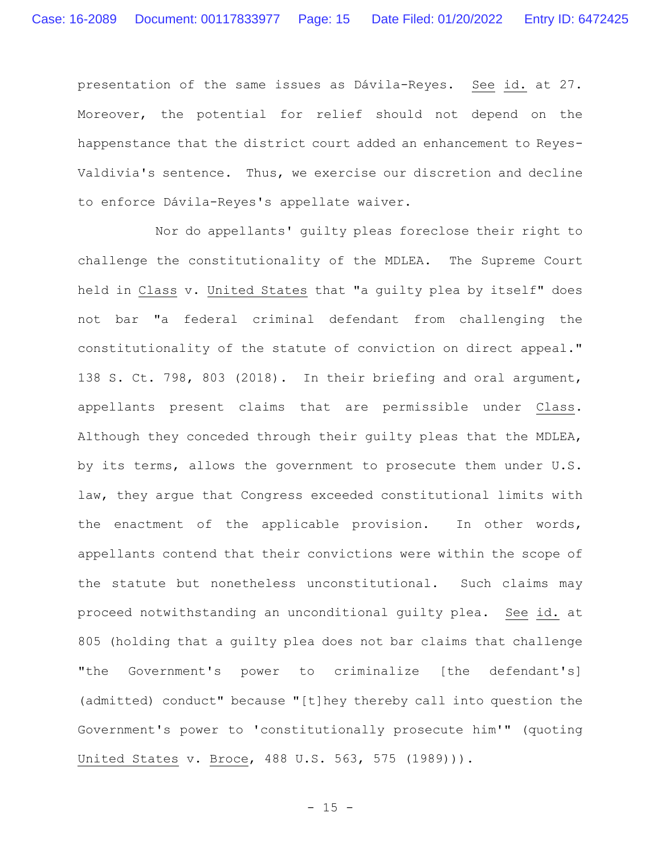presentation of the same issues as Dávila-Reyes. See id. at 27. Moreover, the potential for relief should not depend on the happenstance that the district court added an enhancement to Reyes-Valdivia's sentence. Thus, we exercise our discretion and decline to enforce Dávila-Reyes's appellate waiver.

Nor do appellants' guilty pleas foreclose their right to challenge the constitutionality of the MDLEA. The Supreme Court held in Class v. United States that "a guilty plea by itself" does not bar "a federal criminal defendant from challenging the constitutionality of the statute of conviction on direct appeal." 138 S. Ct. 798, 803 (2018). In their briefing and oral argument, appellants present claims that are permissible under Class. Although they conceded through their guilty pleas that the MDLEA, by its terms, allows the government to prosecute them under U.S. law, they argue that Congress exceeded constitutional limits with the enactment of the applicable provision. In other words, appellants contend that their convictions were within the scope of the statute but nonetheless unconstitutional. Such claims may proceed notwithstanding an unconditional guilty plea. See id. at 805 (holding that a guilty plea does not bar claims that challenge "the Government's power to criminalize [the defendant's] (admitted) conduct" because "[t]hey thereby call into question the Government's power to 'constitutionally prosecute him'" (quoting United States v. Broce, 488 U.S. 563, 575 (1989))).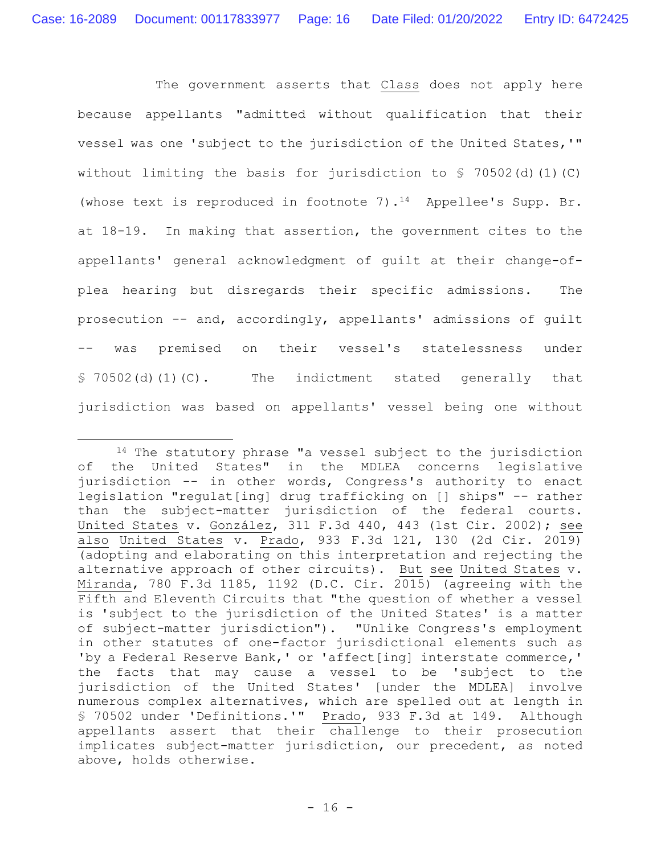The government asserts that Class does not apply here because appellants "admitted without qualification that their vessel was one 'subject to the jurisdiction of the United States,'" without limiting the basis for jurisdiction to  $\frac{1}{5}$  70502(d)(1)(C) (whose text is reproduced in footnote 7).<sup>14</sup> Appellee's Supp. Br. at 18-19. In making that assertion, the government cites to the appellants' general acknowledgment of guilt at their change-ofplea hearing but disregards their specific admissions. The prosecution -- and, accordingly, appellants' admissions of guilt -- was premised on their vessel's statelessness under § 70502(d)(1)(C). The indictment stated generally that jurisdiction was based on appellants' vessel being one without

<sup>&</sup>lt;sup>14</sup> The statutory phrase "a vessel subject to the jurisdiction of the United States" in the MDLEA concerns legislative jurisdiction -- in other words, Congress's authority to enact legislation "regulat[ing] drug trafficking on [] ships" -- rather than the subject-matter jurisdiction of the federal courts. United States v. González, 311 F.3d 440, 443 (1st Cir. 2002); see also United States v. Prado, 933 F.3d 121, 130 (2d Cir. 2019) (adopting and elaborating on this interpretation and rejecting the alternative approach of other circuits). But see United States v. Miranda, 780 F.3d 1185, 1192 (D.C. Cir. 2015) (agreeing with the Fifth and Eleventh Circuits that "the question of whether a vessel is 'subject to the jurisdiction of the United States' is a matter of subject-matter jurisdiction"). "Unlike Congress's employment in other statutes of one-factor jurisdictional elements such as 'by a Federal Reserve Bank,' or 'affect[ing] interstate commerce,' the facts that may cause a vessel to be 'subject to the jurisdiction of the United States' [under the MDLEA] involve numerous complex alternatives, which are spelled out at length in § 70502 under 'Definitions.'" Prado, 933 F.3d at 149. Although appellants assert that their challenge to their prosecution implicates subject-matter jurisdiction, our precedent, as noted above, holds otherwise.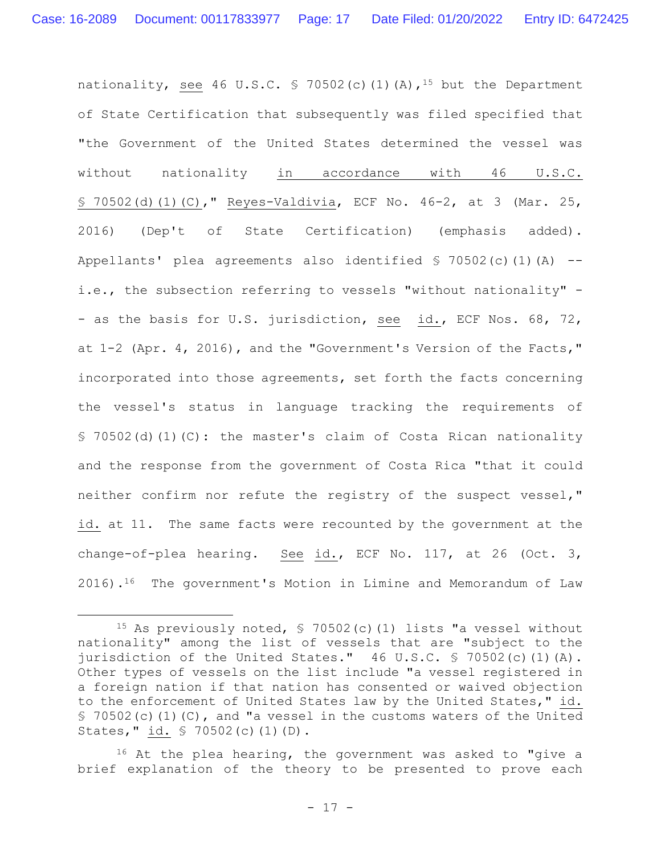nationality, see 46 U.S.C. § 70502(c)(1)(A),<sup>15</sup> but the Department of State Certification that subsequently was filed specified that "the Government of the United States determined the vessel was without nationality in accordance with 46 U.S.C. § 70502(d)(1)(C)," Reyes-Valdivia, ECF No. 46-2, at 3 (Mar. 25, 2016) (Dep't of State Certification) (emphasis added). Appellants' plea agreements also identified § 70502(c)(1)(A) - i.e., the subsection referring to vessels "without nationality" - - as the basis for U.S. jurisdiction, see id., ECF Nos. 68, 72, at 1-2 (Apr. 4, 2016), and the "Government's Version of the Facts," incorporated into those agreements, set forth the facts concerning the vessel's status in language tracking the requirements of § 70502(d)(1)(C): the master's claim of Costa Rican nationality and the response from the government of Costa Rica "that it could neither confirm nor refute the registry of the suspect vessel," id. at 11. The same facts were recounted by the government at the change-of-plea hearing. See id., ECF No. 117, at 26 (Oct. 3, 2016).<sup>16</sup> The government's Motion in Limine and Memorandum of Law

<sup>15</sup> As previously noted, § 70502(c)(1) lists "a vessel without nationality" among the list of vessels that are "subject to the jurisdiction of the United States." 46 U.S.C. § 70502(c)(1)(A). Other types of vessels on the list include "a vessel registered in a foreign nation if that nation has consented or waived objection to the enforcement of United States law by the United States," id.  $$70502(c)(1)(C)$ , and "a vessel in the customs waters of the United States," id. § 70502(c)(1)(D).

<sup>16</sup> At the plea hearing, the government was asked to "give a brief explanation of the theory to be presented to prove each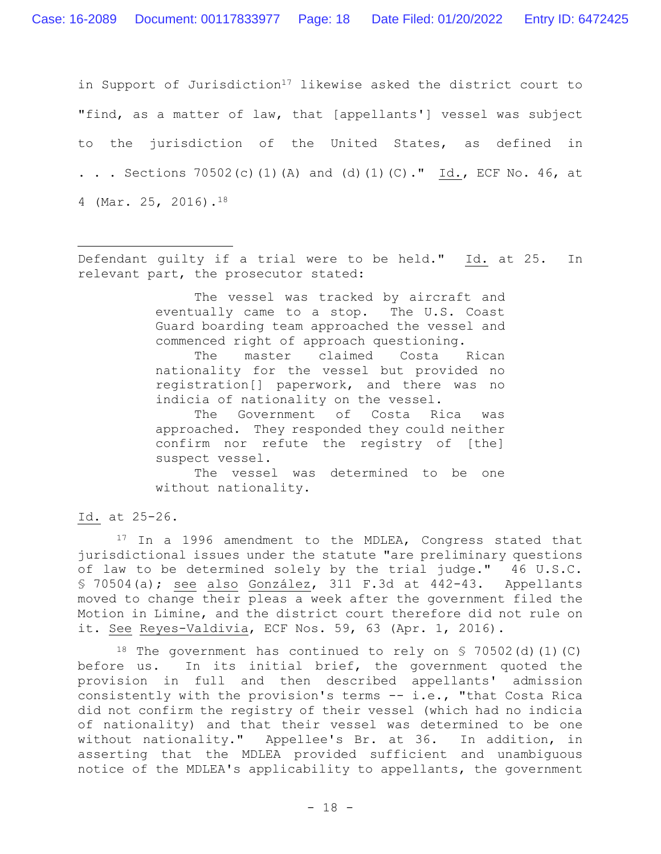in Support of Jurisdiction<sup>17</sup> likewise asked the district court to "find, as a matter of law, that [appellants'] vessel was subject to the jurisdiction of the United States, as defined in . . . Sections 70502(c)(1)(A) and (d)(1)(C)." Id., ECF No. 46, at 4 (Mar. 25, 2016).<sup>18</sup>

Defendant guilty if a trial were to be held." Id. at 25. In relevant part, the prosecutor stated:

> The vessel was tracked by aircraft and eventually came to a stop. The U.S. Coast Guard boarding team approached the vessel and commenced right of approach questioning.

> The master claimed Costa Rican nationality for the vessel but provided no registration[] paperwork, and there was no indicia of nationality on the vessel.

> The Government of Costa Rica was approached. They responded they could neither confirm nor refute the registry of [the] suspect vessel.

> The vessel was determined to be one without nationality.

Id. at 25-26.

17 In a 1996 amendment to the MDLEA, Congress stated that jurisdictional issues under the statute "are preliminary questions of law to be determined solely by the trial judge." 46 U.S.C. § 70504(a); see also González, 311 F.3d at 442-43. Appellants moved to change their pleas a week after the government filed the Motion in Limine, and the district court therefore did not rule on it. See Reyes-Valdivia, ECF Nos. 59, 63 (Apr. 1, 2016).

<sup>18</sup> The government has continued to rely on  $\frac{18}{10}$  70502(d)(1)(C) before us. In its initial brief, the government quoted the provision in full and then described appellants' admission consistently with the provision's terms -- i.e., "that Costa Rica did not confirm the registry of their vessel (which had no indicia of nationality) and that their vessel was determined to be one without nationality." Appellee's Br. at 36. In addition, in asserting that the MDLEA provided sufficient and unambiguous notice of the MDLEA's applicability to appellants, the government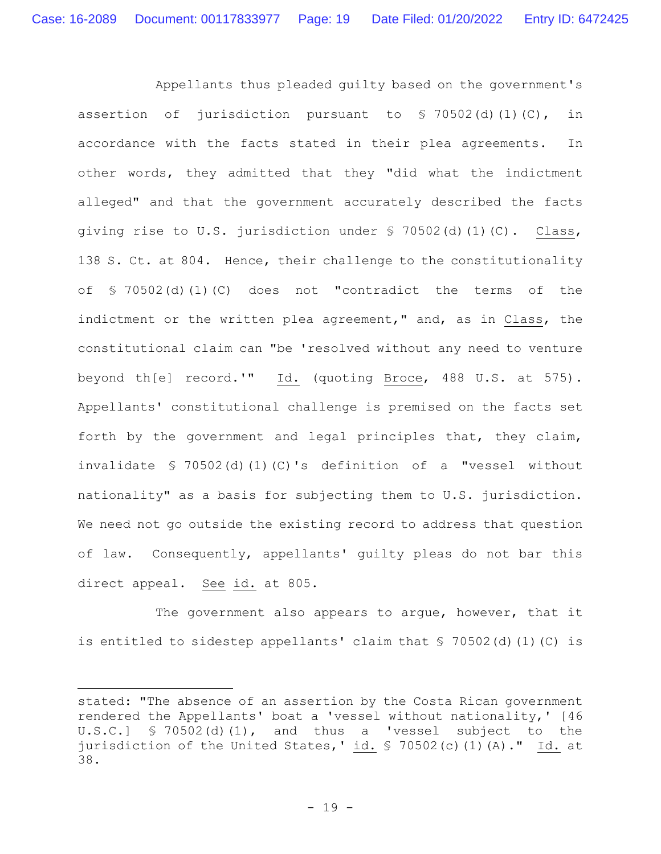Appellants thus pleaded guilty based on the government's assertion of jurisdiction pursuant to  $\frac{1}{2}$  70502(d)(1)(C), in accordance with the facts stated in their plea agreements. In other words, they admitted that they "did what the indictment alleged" and that the government accurately described the facts giving rise to U.S. jurisdiction under § 70502(d)(1)(C). Class, 138 S. Ct. at 804. Hence, their challenge to the constitutionality of § 70502(d)(1)(C) does not "contradict the terms of the indictment or the written plea agreement," and, as in Class, the constitutional claim can "be 'resolved without any need to venture beyond th[e] record.'" Id. (quoting Broce, 488 U.S. at 575). Appellants' constitutional challenge is premised on the facts set forth by the government and legal principles that, they claim, invalidate § 70502(d)(1)(C)'s definition of a "vessel without nationality" as a basis for subjecting them to U.S. jurisdiction. We need not go outside the existing record to address that question of law. Consequently, appellants' guilty pleas do not bar this direct appeal. See id. at 805.

The government also appears to argue, however, that it is entitled to sidestep appellants' claim that § 70502(d)(1)(C) is

stated: "The absence of an assertion by the Costa Rican government rendered the Appellants' boat a 'vessel without nationality,' [46 U.S.C.] § 70502(d)(1), and thus a 'vessel subject to the jurisdiction of the United States,' id. § 70502(c)(1)(A)." Id. at 38.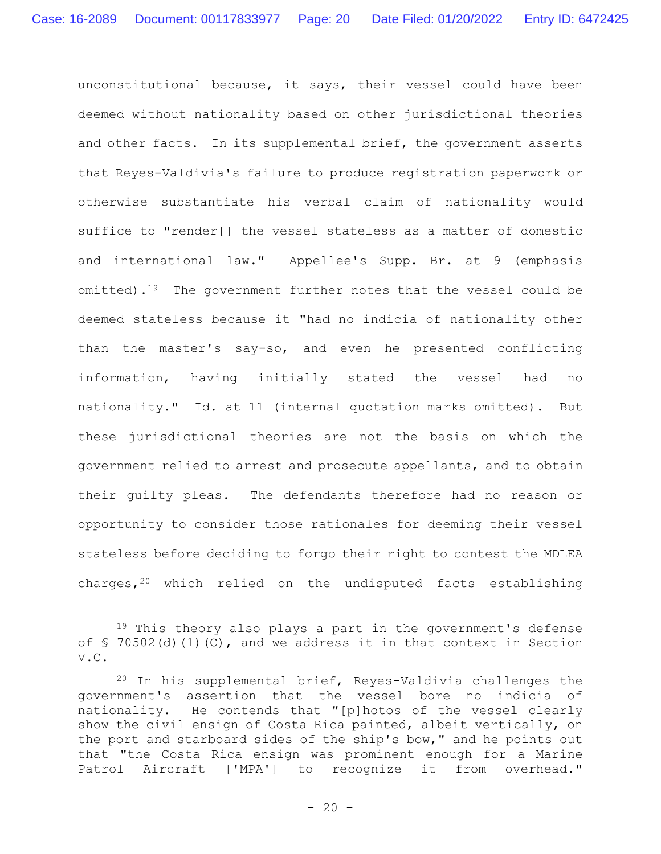unconstitutional because, it says, their vessel could have been deemed without nationality based on other jurisdictional theories and other facts. In its supplemental brief, the government asserts that Reyes-Valdivia's failure to produce registration paperwork or otherwise substantiate his verbal claim of nationality would suffice to "render[] the vessel stateless as a matter of domestic and international law." Appellee's Supp. Br. at 9 (emphasis omitted).<sup>19</sup> The government further notes that the vessel could be deemed stateless because it "had no indicia of nationality other than the master's say-so, and even he presented conflicting information, having initially stated the vessel had no nationality." Id. at 11 (internal quotation marks omitted). But these jurisdictional theories are not the basis on which the government relied to arrest and prosecute appellants, and to obtain their guilty pleas. The defendants therefore had no reason or opportunity to consider those rationales for deeming their vessel stateless before deciding to forgo their right to contest the MDLEA charges,<sup>20</sup> which relied on the undisputed facts establishing

<sup>&</sup>lt;sup>19</sup> This theory also plays a part in the government's defense of  $\frac{1}{2}$  70502(d)(1)(C), and we address it in that context in Section V.C.

<sup>20</sup> In his supplemental brief, Reyes-Valdivia challenges the government's assertion that the vessel bore no indicia of nationality. He contends that "[p]hotos of the vessel clearly show the civil ensign of Costa Rica painted, albeit vertically, on the port and starboard sides of the ship's bow," and he points out that "the Costa Rica ensign was prominent enough for a Marine Patrol Aircraft ['MPA'] to recognize it from overhead."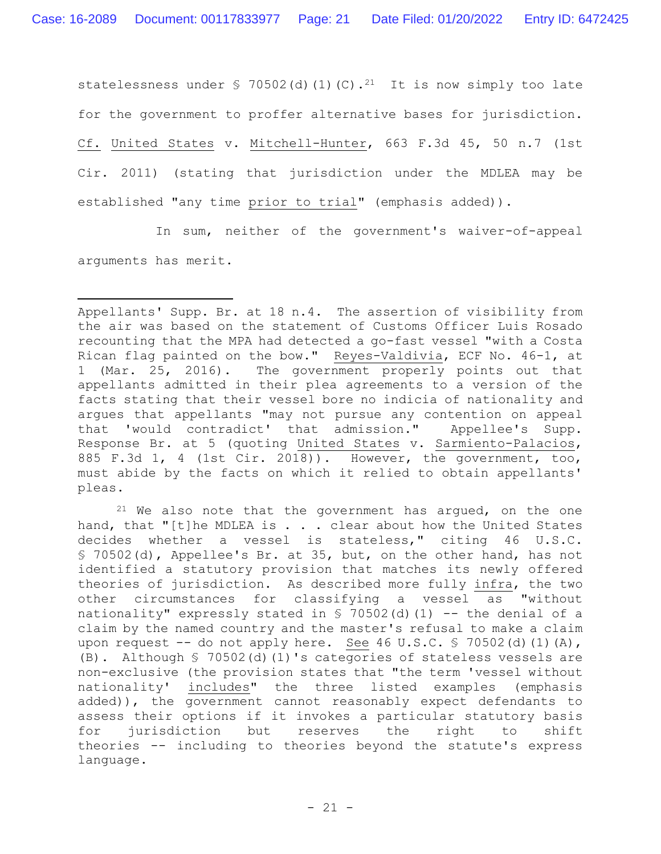statelessness under  $\frac{1}{2}$  70502(d)(1)(C).<sup>21</sup> It is now simply too late for the government to proffer alternative bases for jurisdiction. Cf. United States v. Mitchell-Hunter, 663 F.3d 45, 50 n.7 (1st Cir. 2011) (stating that jurisdiction under the MDLEA may be established "any time prior to trial" (emphasis added)).

In sum, neither of the government's waiver-of-appeal arguments has merit.

 $21$  We also note that the government has argued, on the one hand, that "[t]he MDLEA is . . . clear about how the United States decides whether a vessel is stateless," citing 46 U.S.C. § 70502(d), Appellee's Br. at 35, but, on the other hand, has not identified a statutory provision that matches its newly offered theories of jurisdiction. As described more fully infra, the two other circumstances for classifying a vessel as "without nationality" expressly stated in  $\frac{1}{2}$  70502(d)(1) -- the denial of a claim by the named country and the master's refusal to make a claim upon request -- do not apply here. See 46 U.S.C. § 70502(d)(1)(A), (B). Although § 70502(d)(1)'s categories of stateless vessels are non-exclusive (the provision states that "the term 'vessel without nationality' includes" the three listed examples (emphasis added)), the government cannot reasonably expect defendants to assess their options if it invokes a particular statutory basis for jurisdiction but reserves the right to shift theories -- including to theories beyond the statute's express language.

Appellants' Supp. Br. at 18 n.4. The assertion of visibility from the air was based on the statement of Customs Officer Luis Rosado recounting that the MPA had detected a go-fast vessel "with a Costa Rican flag painted on the bow." Reyes-Valdivia, ECF No. 46-1, at 1 (Mar. 25, 2016). The government properly points out that appellants admitted in their plea agreements to a version of the facts stating that their vessel bore no indicia of nationality and argues that appellants "may not pursue any contention on appeal that 'would contradict' that admission." Appellee's Supp. Response Br. at 5 (quoting United States v. Sarmiento-Palacios, 885 F.3d 1, 4 (1st Cir. 2018)). However, the government, too, must abide by the facts on which it relied to obtain appellants' pleas.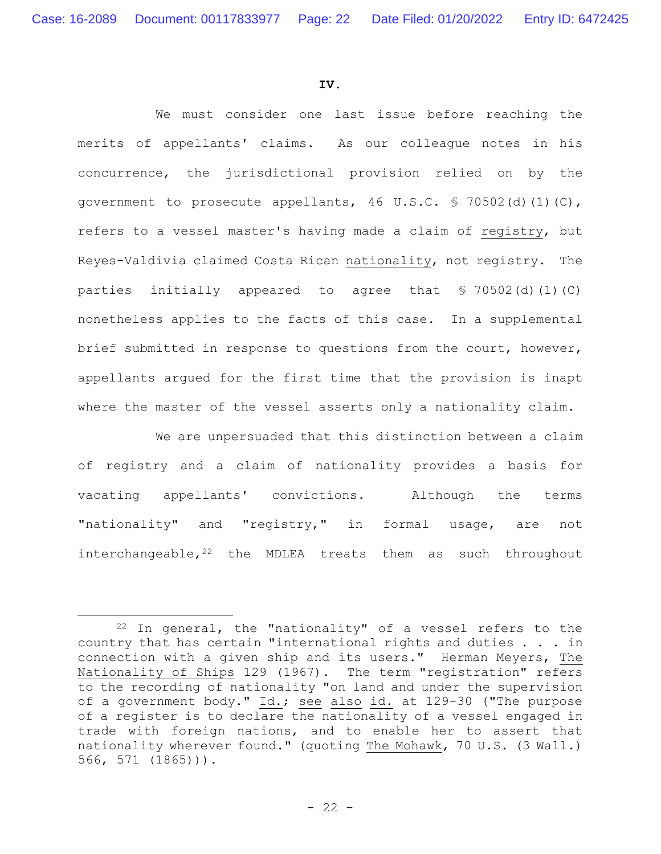#### **IV.**

We must consider one last issue before reaching the merits of appellants' claims. As our colleague notes in his concurrence, the jurisdictional provision relied on by the government to prosecute appellants, 46 U.S.C. § 70502(d)(1)(C), refers to a vessel master's having made a claim of registry, but Reyes-Valdivia claimed Costa Rican nationality, not registry. The parties initially appeared to agree that § 70502(d)(1)(C) nonetheless applies to the facts of this case. In a supplemental brief submitted in response to questions from the court, however, appellants argued for the first time that the provision is inapt where the master of the vessel asserts only a nationality claim.

We are unpersuaded that this distinction between a claim of registry and a claim of nationality provides a basis for vacating appellants' convictions. Although the terms "nationality" and "registry," in formal usage, are not interchangeable, $22$  the MDLEA treats them as such throughout

 $22$  In general, the "nationality" of a vessel refers to the country that has certain "international rights and duties . . . in connection with a given ship and its users." Herman Meyers, The Nationality of Ships 129 (1967). The term "registration" refers to the recording of nationality "on land and under the supervision of a government body." Id.; see also id. at 129-30 ("The purpose of a register is to declare the nationality of a vessel engaged in trade with foreign nations, and to enable her to assert that nationality wherever found." (quoting The Mohawk, 70 U.S. (3 Wall.) 566, 571 (1865))).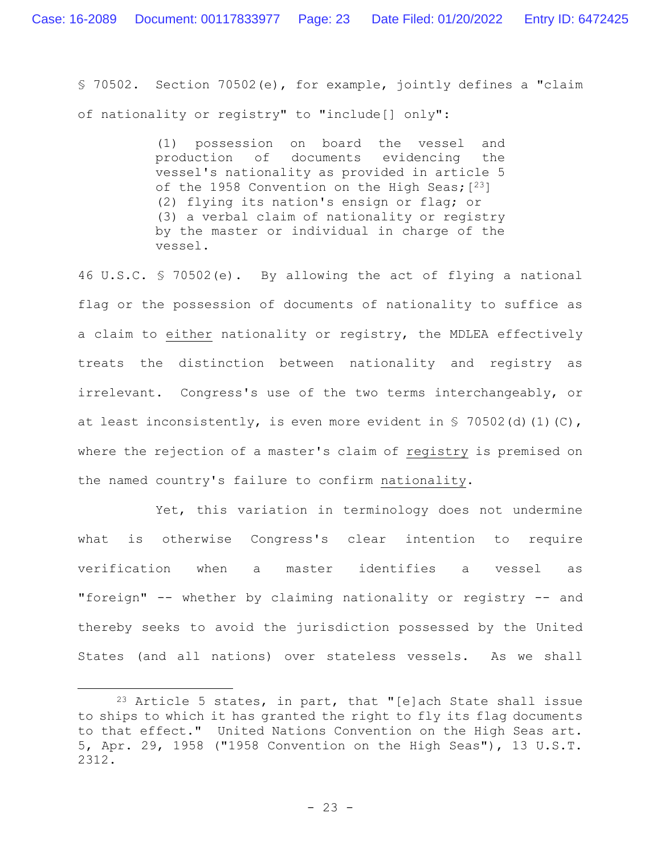§ 70502. Section 70502(e), for example, jointly defines a "claim of nationality or registry" to "include[] only":

> (1) possession on board the vessel and production of documents evidencing the vessel's nationality as provided in article 5 of the 1958 Convention on the High Seas;  $[23]$ (2) flying its nation's ensign or flag; or (3) a verbal claim of nationality or registry by the master or individual in charge of the vessel.

46 U.S.C. § 70502(e). By allowing the act of flying a national flag or the possession of documents of nationality to suffice as a claim to either nationality or registry, the MDLEA effectively treats the distinction between nationality and registry as irrelevant. Congress's use of the two terms interchangeably, or at least inconsistently, is even more evident in § 70502(d)(1)(C), where the rejection of a master's claim of registry is premised on the named country's failure to confirm nationality.

Yet, this variation in terminology does not undermine what is otherwise Congress's clear intention to require verification when a master identifies a vessel as "foreign" -- whether by claiming nationality or registry -- and thereby seeks to avoid the jurisdiction possessed by the United States (and all nations) over stateless vessels. As we shall

 $23$  Article 5 states, in part, that "[e]ach State shall issue to ships to which it has granted the right to fly its flag documents to that effect." United Nations Convention on the High Seas art. 5, Apr. 29, 1958 ("1958 Convention on the High Seas"), 13 U.S.T. 2312.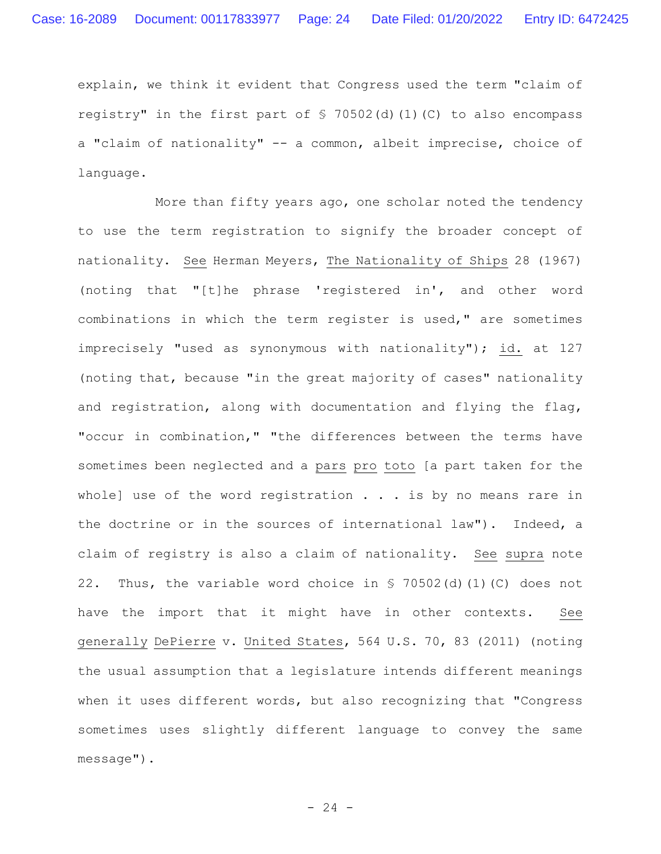explain, we think it evident that Congress used the term "claim of registry" in the first part of  $\frac{1}{2}$  70502(d)(1)(C) to also encompass a "claim of nationality" -- a common, albeit imprecise, choice of language.

 More than fifty years ago, one scholar noted the tendency to use the term registration to signify the broader concept of nationality. See Herman Meyers, The Nationality of Ships 28 (1967) (noting that "[t]he phrase 'registered in', and other word combinations in which the term register is used," are sometimes imprecisely "used as synonymous with nationality"); id. at 127 (noting that, because "in the great majority of cases" nationality and registration, along with documentation and flying the flag, "occur in combination," "the differences between the terms have sometimes been neglected and a pars pro toto [a part taken for the whole] use of the word registration  $\ldots$  is by no means rare in the doctrine or in the sources of international law"). Indeed, a claim of registry is also a claim of nationality. See supra note 22. Thus, the variable word choice in § 70502(d)(1)(C) does not have the import that it might have in other contexts. See generally DePierre v. United States, 564 U.S. 70, 83 (2011) (noting the usual assumption that a legislature intends different meanings when it uses different words, but also recognizing that "Congress sometimes uses slightly different language to convey the same message").

 $- 24 -$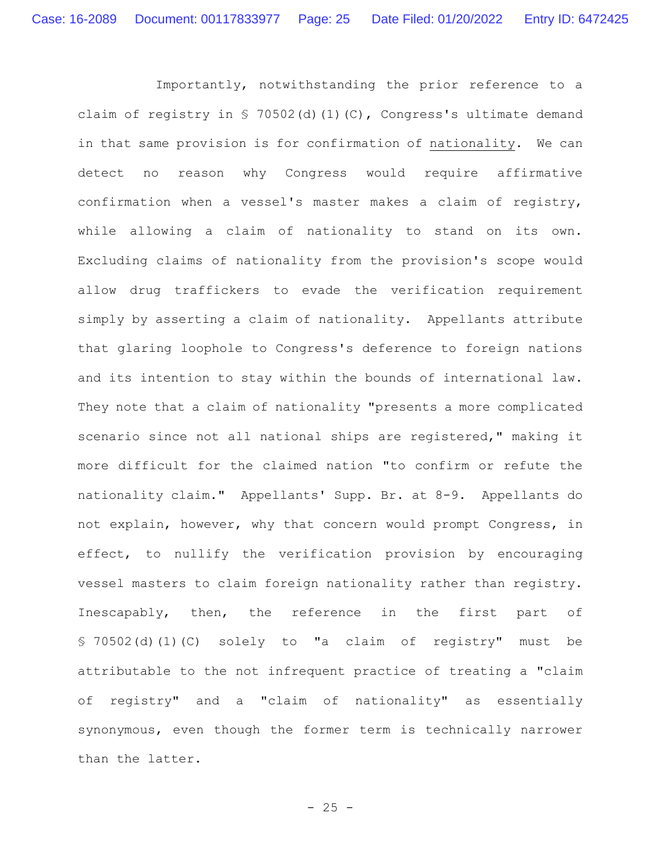Importantly, notwithstanding the prior reference to a claim of registry in § 70502(d)(1)(C), Congress's ultimate demand in that same provision is for confirmation of nationality. We can detect no reason why Congress would require affirmative confirmation when a vessel's master makes a claim of registry, while allowing a claim of nationality to stand on its own. Excluding claims of nationality from the provision's scope would allow drug traffickers to evade the verification requirement simply by asserting a claim of nationality. Appellants attribute that glaring loophole to Congress's deference to foreign nations and its intention to stay within the bounds of international law. They note that a claim of nationality "presents a more complicated scenario since not all national ships are registered," making it more difficult for the claimed nation "to confirm or refute the nationality claim." Appellants' Supp. Br. at 8-9. Appellants do not explain, however, why that concern would prompt Congress, in effect, to nullify the verification provision by encouraging vessel masters to claim foreign nationality rather than registry. Inescapably, then, the reference in the first part of § 70502(d)(1)(C) solely to "a claim of registry" must be attributable to the not infrequent practice of treating a "claim of registry" and a "claim of nationality" as essentially synonymous, even though the former term is technically narrower than the latter.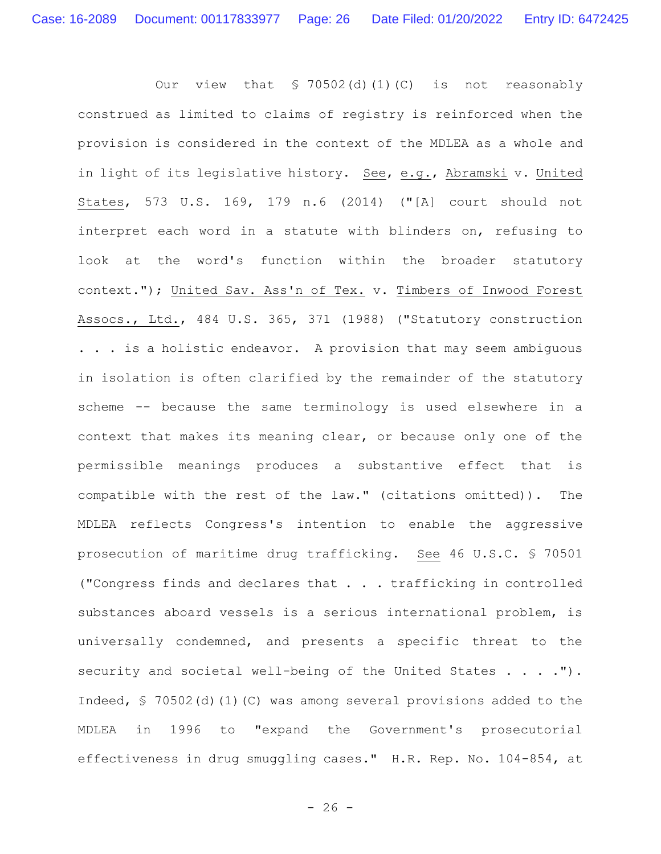Our view that  $$70502(d)(1)(C)$  is not reasonably construed as limited to claims of registry is reinforced when the provision is considered in the context of the MDLEA as a whole and in light of its legislative history. See, e.g., Abramski v. United States, 573 U.S. 169, 179 n.6 (2014) ("[A] court should not interpret each word in a statute with blinders on, refusing to look at the word's function within the broader statutory context."); United Sav. Ass'n of Tex. v. Timbers of Inwood Forest Assocs., Ltd., 484 U.S. 365, 371 (1988) ("Statutory construction . . . is a holistic endeavor. A provision that may seem ambiguous in isolation is often clarified by the remainder of the statutory scheme -- because the same terminology is used elsewhere in a context that makes its meaning clear, or because only one of the permissible meanings produces a substantive effect that is compatible with the rest of the law." (citations omitted)). The MDLEA reflects Congress's intention to enable the aggressive prosecution of maritime drug trafficking. See 46 U.S.C. § 70501 ("Congress finds and declares that . . . trafficking in controlled substances aboard vessels is a serious international problem, is universally condemned, and presents a specific threat to the security and societal well-being of the United States . . . ."). Indeed, § 70502(d)(1)(C) was among several provisions added to the MDLEA in 1996 to "expand the Government's prosecutorial effectiveness in drug smuggling cases." H.R. Rep. No. 104-854, at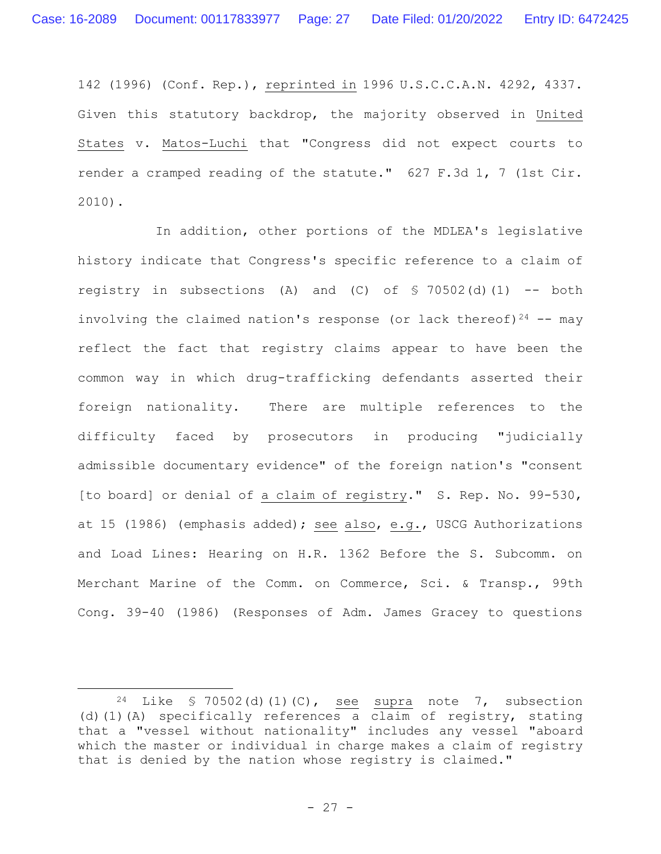142 (1996) (Conf. Rep.), reprinted in 1996 U.S.C.C.A.N. 4292, 4337. Given this statutory backdrop, the majority observed in United States v. Matos-Luchi that "Congress did not expect courts to render a cramped reading of the statute." 627 F.3d 1, 7 (1st Cir. 2010).

In addition, other portions of the MDLEA's legislative history indicate that Congress's specific reference to a claim of registry in subsections (A) and (C) of  $\frac{1}{2}$  70502(d)(1) -- both involving the claimed nation's response (or lack thereof) $24$  -- may reflect the fact that registry claims appear to have been the common way in which drug-trafficking defendants asserted their foreign nationality. There are multiple references to the difficulty faced by prosecutors in producing "judicially admissible documentary evidence" of the foreign nation's "consent [to board] or denial of a claim of registry." S. Rep. No. 99-530, at 15 (1986) (emphasis added); see also, e.g., USCG Authorizations and Load Lines: Hearing on H.R. 1362 Before the S. Subcomm. on Merchant Marine of the Comm. on Commerce, Sci. & Transp., 99th Cong. 39-40 (1986) (Responses of Adm. James Gracey to questions

<sup>&</sup>lt;sup>24</sup> Like § 70502(d)(1)(C), see supra note 7, subsection (d)(1)(A) specifically references a claim of registry, stating that a "vessel without nationality" includes any vessel "aboard which the master or individual in charge makes a claim of registry that is denied by the nation whose registry is claimed."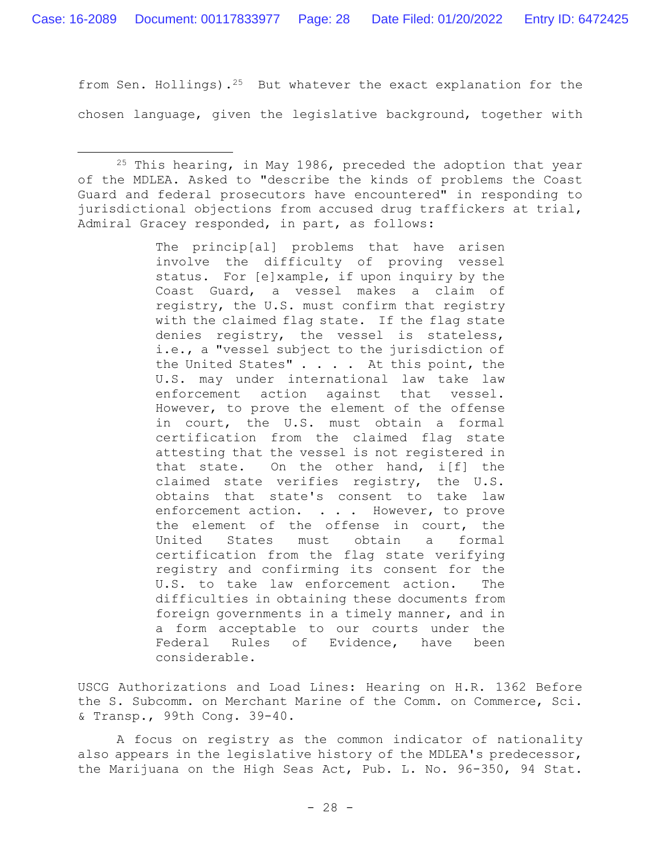from Sen. Hollings).<sup>25</sup> But whatever the exact explanation for the chosen language, given the legislative background, together with

The princip[al] problems that have arisen involve the difficulty of proving vessel status. For [e]xample, if upon inquiry by the Coast Guard, a vessel makes a claim of registry, the U.S. must confirm that registry with the claimed flag state. If the flag state denies registry, the vessel is stateless, i.e., a "vessel subject to the jurisdiction of the United States" . . . . At this point, the U.S. may under international law take law enforcement action against that vessel. However, to prove the element of the offense in court, the U.S. must obtain a formal certification from the claimed flag state attesting that the vessel is not registered in that state. On the other hand, i[f] the claimed state verifies registry, the U.S. obtains that state's consent to take law enforcement action. . . . However, to prove the element of the offense in court, the United States must obtain a formal certification from the flag state verifying registry and confirming its consent for the U.S. to take law enforcement action. The difficulties in obtaining these documents from foreign governments in a timely manner, and in a form acceptable to our courts under the Federal Rules of Evidence, have been considerable.

USCG Authorizations and Load Lines: Hearing on H.R. 1362 Before the S. Subcomm. on Merchant Marine of the Comm. on Commerce, Sci. & Transp., 99th Cong. 39-40.

A focus on registry as the common indicator of nationality also appears in the legislative history of the MDLEA's predecessor, the Marijuana on the High Seas Act, Pub. L. No. 96-350, 94 Stat.

<sup>25</sup> This hearing, in May 1986, preceded the adoption that year of the MDLEA. Asked to "describe the kinds of problems the Coast Guard and federal prosecutors have encountered" in responding to jurisdictional objections from accused drug traffickers at trial, Admiral Gracey responded, in part, as follows: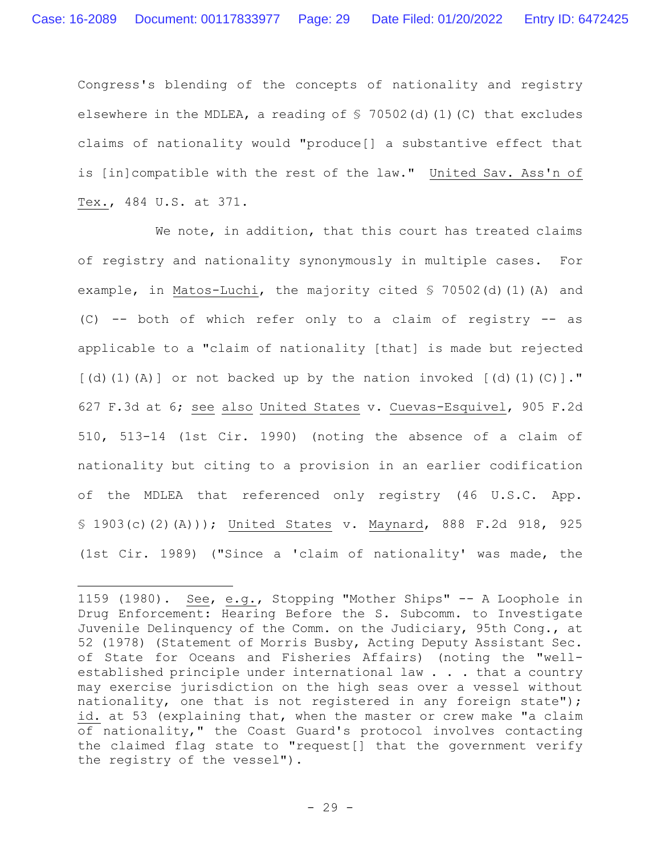Congress's blending of the concepts of nationality and registry elsewhere in the MDLEA, a reading of  $\frac{1}{2}$  70502(d)(1)(C) that excludes claims of nationality would "produce[] a substantive effect that is [in]compatible with the rest of the law." United Sav. Ass'n of Tex., 484 U.S. at 371.

We note, in addition, that this court has treated claims of registry and nationality synonymously in multiple cases. For example, in Matos-Luchi, the majority cited § 70502(d)(1)(A) and (C) -- both of which refer only to a claim of registry -- as applicable to a "claim of nationality [that] is made but rejected  $[(d)(1)(A)]$  or not backed up by the nation invoked  $[(d)(1)(C)]$ ." 627 F.3d at 6; see also United States v. Cuevas-Esquivel, 905 F.2d 510, 513-14 (1st Cir. 1990) (noting the absence of a claim of nationality but citing to a provision in an earlier codification of the MDLEA that referenced only registry (46 U.S.C. App. § 1903(c)(2)(A))); United States v. Maynard, 888 F.2d 918, 925 (1st Cir. 1989) ("Since a 'claim of nationality' was made, the

<sup>1159 (1980).</sup> See, e.g., Stopping "Mother Ships" -- A Loophole in Drug Enforcement: Hearing Before the S. Subcomm. to Investigate Juvenile Delinquency of the Comm. on the Judiciary, 95th Cong., at 52 (1978) (Statement of Morris Busby, Acting Deputy Assistant Sec. of State for Oceans and Fisheries Affairs) (noting the "wellestablished principle under international law . . . that a country may exercise jurisdiction on the high seas over a vessel without nationality, one that is not registered in any foreign state"); id. at 53 (explaining that, when the master or crew make "a claim of nationality," the Coast Guard's protocol involves contacting the claimed flag state to "request[] that the government verify the registry of the vessel").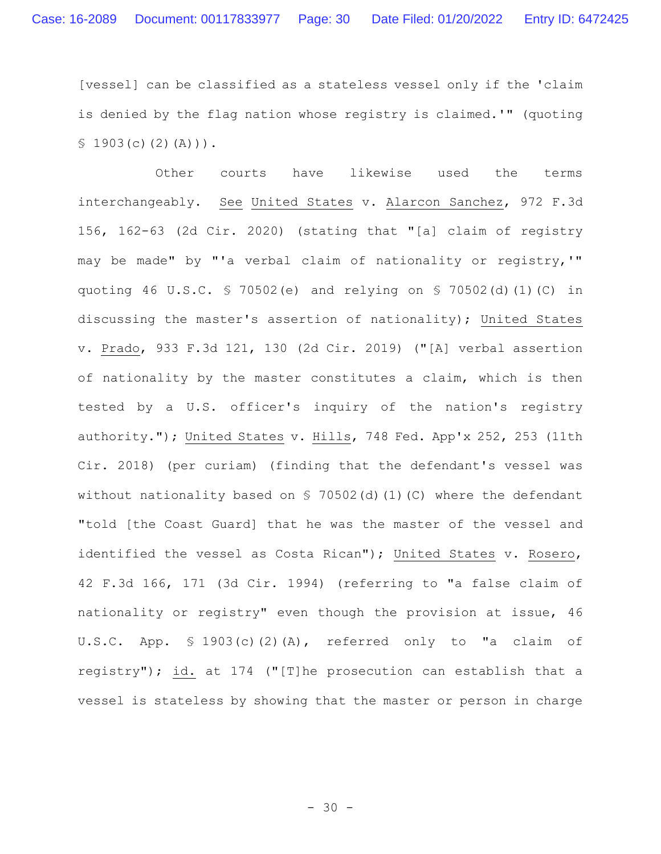[vessel] can be classified as a stateless vessel only if the 'claim is denied by the flag nation whose registry is claimed.'" (quoting  $$1903(c)(2)(A))$ .

Other courts have likewise used the terms interchangeably. See United States v. Alarcon Sanchez, 972 F.3d 156, 162-63 (2d Cir. 2020) (stating that "[a] claim of registry may be made" by "'a verbal claim of nationality or registry,'" quoting 46 U.S.C. § 70502(e) and relying on § 70502(d)(1)(C) in discussing the master's assertion of nationality); United States v. Prado, 933 F.3d 121, 130 (2d Cir. 2019) ("[A] verbal assertion of nationality by the master constitutes a claim, which is then tested by a U.S. officer's inquiry of the nation's registry authority."); United States v. Hills, 748 Fed. App'x 252, 253 (11th Cir. 2018) (per curiam) (finding that the defendant's vessel was without nationality based on  $S$  70502(d)(1)(C) where the defendant "told [the Coast Guard] that he was the master of the vessel and identified the vessel as Costa Rican"); United States v. Rosero, 42 F.3d 166, 171 (3d Cir. 1994) (referring to "a false claim of nationality or registry" even though the provision at issue, 46 U.S.C. App. § 1903(c)(2)(A), referred only to "a claim of registry"); id. at 174 ("[T]he prosecution can establish that a vessel is stateless by showing that the master or person in charge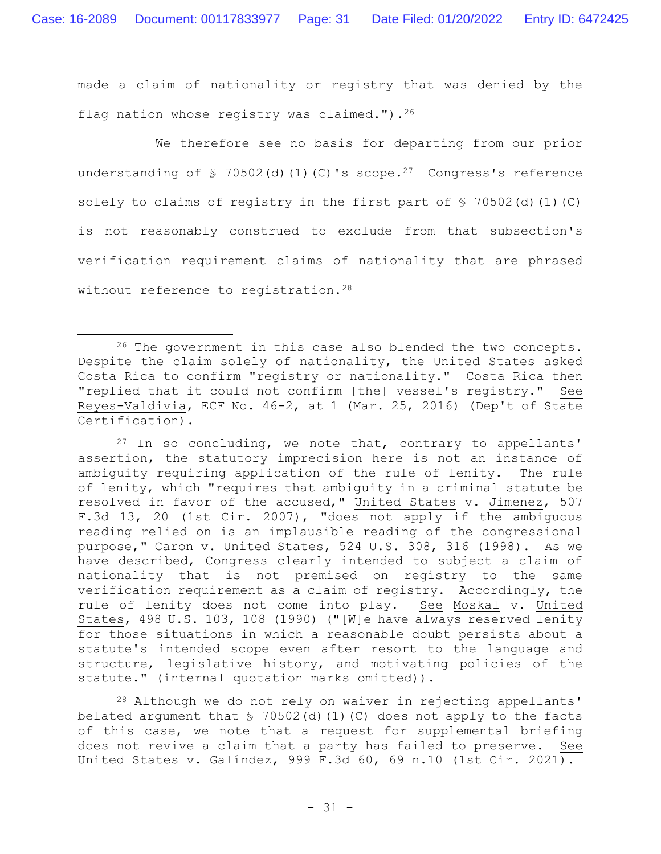made a claim of nationality or registry that was denied by the flag nation whose registry was claimed.").  $26$ 

We therefore see no basis for departing from our prior understanding of  $\frac{1}{2}$  70502(d)(1)(C)'s scope.<sup>27</sup> Congress's reference solely to claims of registry in the first part of  $\S$  70502(d)(1)(C) is not reasonably construed to exclude from that subsection's verification requirement claims of nationality that are phrased without reference to registration.<sup>28</sup>

 $27$  In so concluding, we note that, contrary to appellants' assertion, the statutory imprecision here is not an instance of ambiguity requiring application of the rule of lenity. The rule of lenity, which "requires that ambiguity in a criminal statute be resolved in favor of the accused," United States v. Jimenez, 507 F.3d 13, 20 (1st Cir. 2007), "does not apply if the ambiguous reading relied on is an implausible reading of the congressional purpose," Caron v. United States, 524 U.S. 308, 316 (1998). As we have described, Congress clearly intended to subject a claim of nationality that is not premised on registry to the same verification requirement as a claim of registry. Accordingly, the rule of lenity does not come into play. See Moskal v. United States, 498 U.S. 103, 108 (1990) ("[W]e have always reserved lenity for those situations in which a reasonable doubt persists about a statute's intended scope even after resort to the language and structure, legislative history, and motivating policies of the statute." (internal quotation marks omitted)).

<sup>28</sup> Although we do not rely on waiver in rejecting appellants' belated argument that  $\frac{1}{5}$  70502(d)(1)(C) does not apply to the facts of this case, we note that a request for supplemental briefing does not revive a claim that a party has failed to preserve. See United States v. Galíndez, 999 F.3d 60, 69 n.10 (1st Cir. 2021).

<sup>&</sup>lt;sup>26</sup> The government in this case also blended the two concepts. Despite the claim solely of nationality, the United States asked Costa Rica to confirm "registry or nationality." Costa Rica then "replied that it could not confirm [the] vessel's registry." See Reyes-Valdivia, ECF No. 46-2, at 1 (Mar. 25, 2016) (Dep't of State Certification).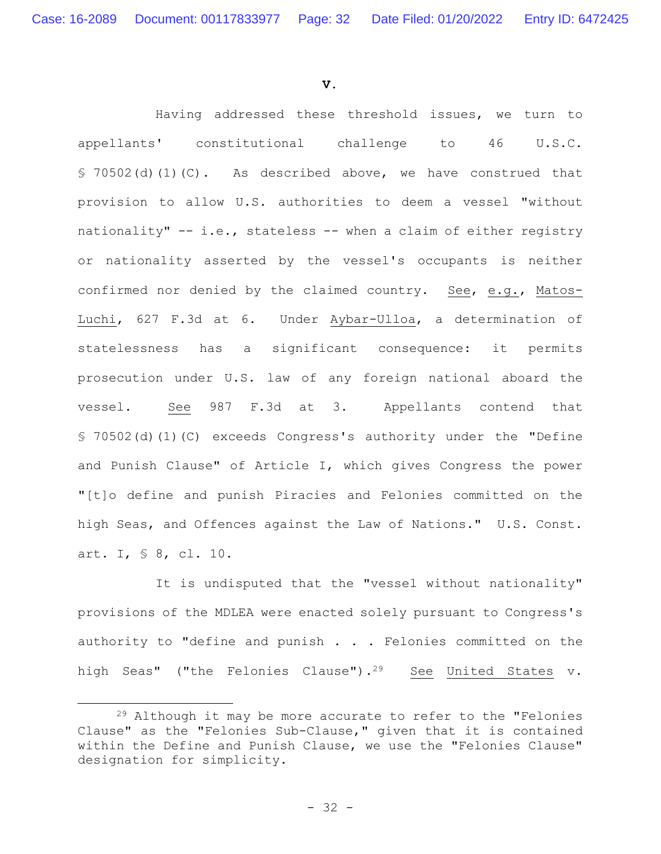**V.**

Having addressed these threshold issues, we turn to appellants' constitutional challenge to 46 U.S.C. § 70502(d)(1)(C). As described above, we have construed that provision to allow U.S. authorities to deem a vessel "without nationality" -- i.e., stateless -- when a claim of either registry or nationality asserted by the vessel's occupants is neither confirmed nor denied by the claimed country. See, e.g., Matos-Luchi, 627 F.3d at 6. Under Aybar-Ulloa, a determination of statelessness has a significant consequence: it permits prosecution under U.S. law of any foreign national aboard the vessel. See 987 F.3d at 3.Appellants contend that § 70502(d)(1)(C) exceeds Congress's authority under the "Define and Punish Clause" of Article I, which gives Congress the power "[t]o define and punish Piracies and Felonies committed on the high Seas, and Offences against the Law of Nations." U.S. Const. art. I, § 8, cl. 10.

It is undisputed that the "vessel without nationality" provisions of the MDLEA were enacted solely pursuant to Congress's authority to "define and punish . . . Felonies committed on the high Seas" ("the Felonies Clause").<sup>29</sup> See United States v.

<sup>&</sup>lt;sup>29</sup> Although it may be more accurate to refer to the "Felonies Clause" as the "Felonies Sub-Clause," given that it is contained within the Define and Punish Clause, we use the "Felonies Clause" designation for simplicity.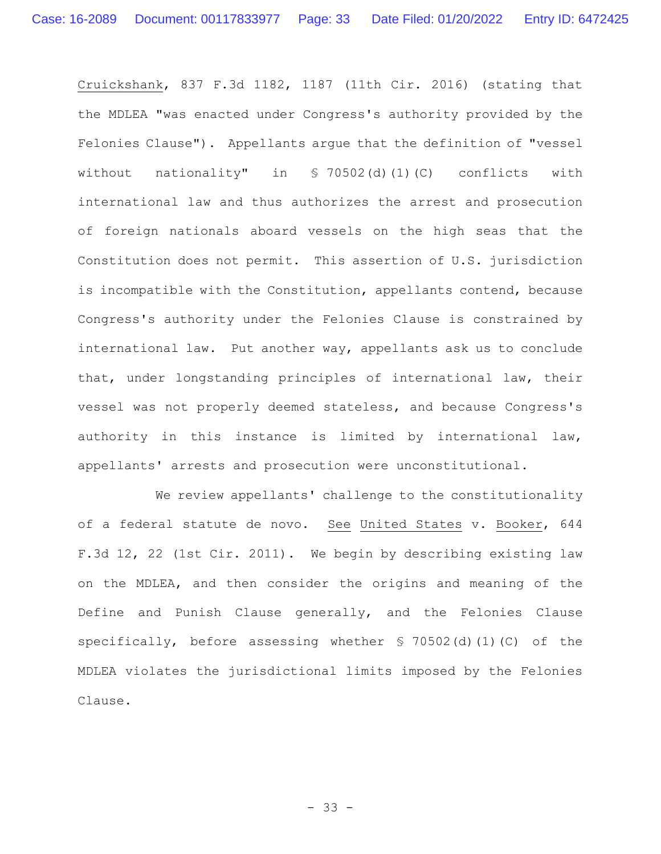Cruickshank, 837 F.3d 1182, 1187 (11th Cir. 2016) (stating that the MDLEA "was enacted under Congress's authority provided by the Felonies Clause"). Appellants argue that the definition of "vessel without nationality" in § 70502(d)(1)(C) conflicts with international law and thus authorizes the arrest and prosecution of foreign nationals aboard vessels on the high seas that the Constitution does not permit. This assertion of U.S. jurisdiction is incompatible with the Constitution, appellants contend, because Congress's authority under the Felonies Clause is constrained by international law. Put another way, appellants ask us to conclude that, under longstanding principles of international law, their vessel was not properly deemed stateless, and because Congress's authority in this instance is limited by international law, appellants' arrests and prosecution were unconstitutional.

We review appellants' challenge to the constitutionality of a federal statute de novo. See United States v. Booker, 644 F.3d 12, 22 (1st Cir. 2011). We begin by describing existing law on the MDLEA, and then consider the origins and meaning of the Define and Punish Clause generally, and the Felonies Clause specifically, before assessing whether § 70502(d)(1)(C) of the MDLEA violates the jurisdictional limits imposed by the Felonies Clause.

- 33 -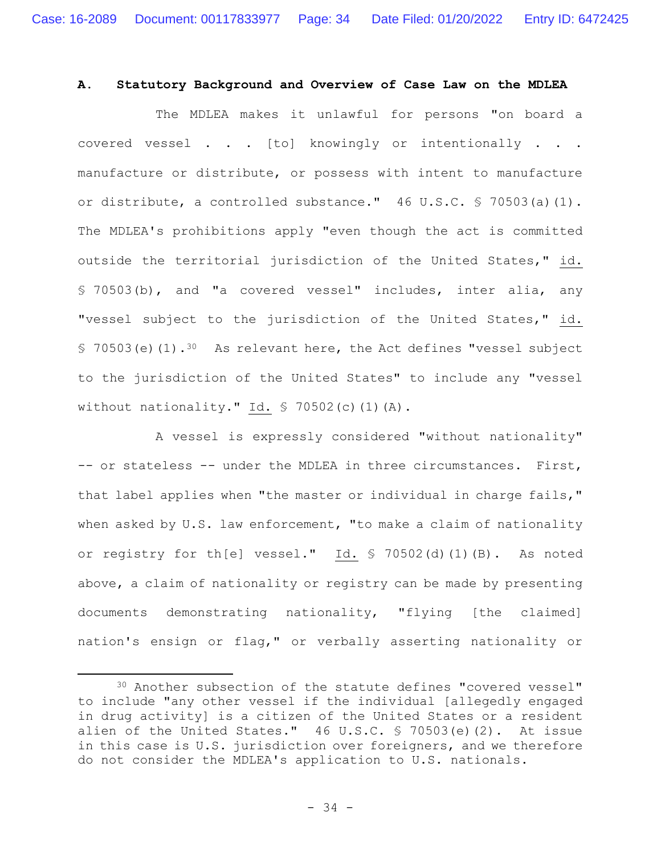# **A. Statutory Background and Overview of Case Law on the MDLEA**

The MDLEA makes it unlawful for persons "on board a covered vessel . . . [to] knowingly or intentionally . . . manufacture or distribute, or possess with intent to manufacture or distribute, a controlled substance." 46 U.S.C. § 70503(a)(1). The MDLEA's prohibitions apply "even though the act is committed outside the territorial jurisdiction of the United States," id. § 70503(b), and "a covered vessel" includes, inter alia, any "vessel subject to the jurisdiction of the United States," id.  $$70503(e)(1).$ <sup>30</sup> As relevant here, the Act defines "vessel subject to the jurisdiction of the United States" to include any "vessel without nationality." Id.  $\sqrt{5}$  70502(c)(1)(A).

A vessel is expressly considered "without nationality" -- or stateless -- under the MDLEA in three circumstances. First, that label applies when "the master or individual in charge fails," when asked by U.S. law enforcement, "to make a claim of nationality or registry for th[e] vessel." Id. § 70502(d)(1)(B). As noted above, a claim of nationality or registry can be made by presenting documents demonstrating nationality, "flying [the claimed] nation's ensign or flag," or verbally asserting nationality or

<sup>30</sup> Another subsection of the statute defines "covered vessel" to include "any other vessel if the individual [allegedly engaged in drug activity] is a citizen of the United States or a resident alien of the United States." 46 U.S.C. § 70503(e)(2). At issue in this case is U.S. jurisdiction over foreigners, and we therefore do not consider the MDLEA's application to U.S. nationals.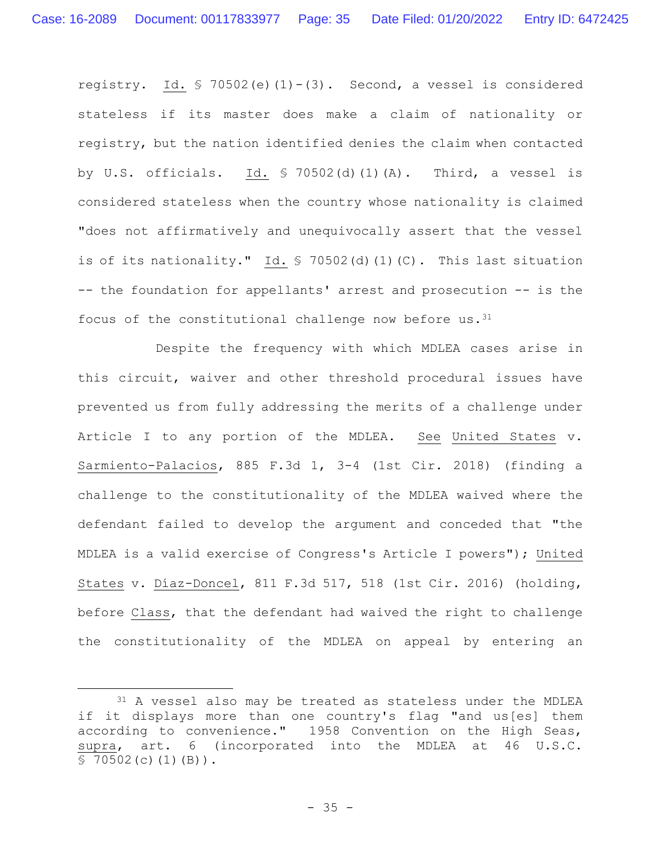registry. Id.  $\frac{1}{2}$  70502(e)(1)-(3). Second, a vessel is considered stateless if its master does make a claim of nationality or registry, but the nation identified denies the claim when contacted by U.S. officials. Id.  $\frac{1}{2}$  70502(d)(1)(A). Third, a vessel is considered stateless when the country whose nationality is claimed "does not affirmatively and unequivocally assert that the vessel is of its nationality." Id. § 70502(d)(1)(C). This last situation -- the foundation for appellants' arrest and prosecution -- is the focus of the constitutional challenge now before us.  $31$ 

Despite the frequency with which MDLEA cases arise in this circuit, waiver and other threshold procedural issues have prevented us from fully addressing the merits of a challenge under Article I to any portion of the MDLEA. See United States v. Sarmiento-Palacios, 885 F.3d 1, 3-4 (1st Cir. 2018) (finding a challenge to the constitutionality of the MDLEA waived where the defendant failed to develop the argument and conceded that "the MDLEA is a valid exercise of Congress's Article I powers"); United States v. Díaz-Doncel, 811 F.3d 517, 518 (1st Cir. 2016) (holding, before Class, that the defendant had waived the right to challenge the constitutionality of the MDLEA on appeal by entering an

<sup>&</sup>lt;sup>31</sup> A vessel also may be treated as stateless under the MDLEA if it displays more than one country's flag "and us[es] them according to convenience." 1958 Convention on the High Seas, supra, art. 6 (incorporated into the MDLEA at 46 U.S.C.  $$70502(c)(1)(B)$ .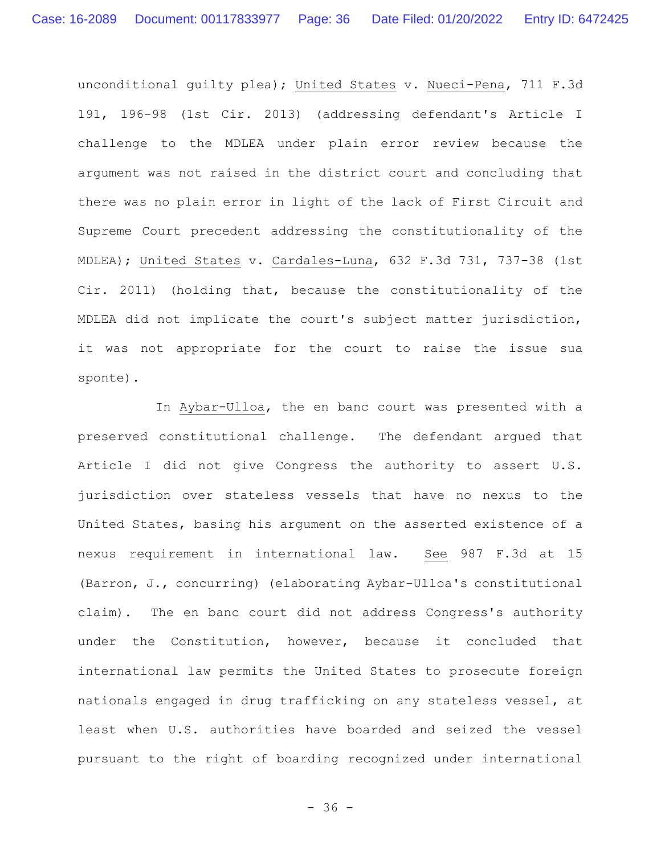unconditional guilty plea); United States v. Nueci-Pena, 711 F.3d 191, 196-98 (1st Cir. 2013) (addressing defendant's Article I challenge to the MDLEA under plain error review because the argument was not raised in the district court and concluding that there was no plain error in light of the lack of First Circuit and Supreme Court precedent addressing the constitutionality of the MDLEA); United States v. Cardales-Luna, 632 F.3d 731, 737-38 (1st Cir. 2011) (holding that, because the constitutionality of the MDLEA did not implicate the court's subject matter jurisdiction, it was not appropriate for the court to raise the issue sua sponte).

In Aybar-Ulloa, the en banc court was presented with a preserved constitutional challenge. The defendant argued that Article I did not give Congress the authority to assert U.S. jurisdiction over stateless vessels that have no nexus to the United States, basing his argument on the asserted existence of a nexus requirement in international law. See 987 F.3d at 15 (Barron, J., concurring) (elaborating Aybar-Ulloa's constitutional claim). The en banc court did not address Congress's authority under the Constitution, however, because it concluded that international law permits the United States to prosecute foreign nationals engaged in drug trafficking on any stateless vessel, at least when U.S. authorities have boarded and seized the vessel pursuant to the right of boarding recognized under international

- 36 -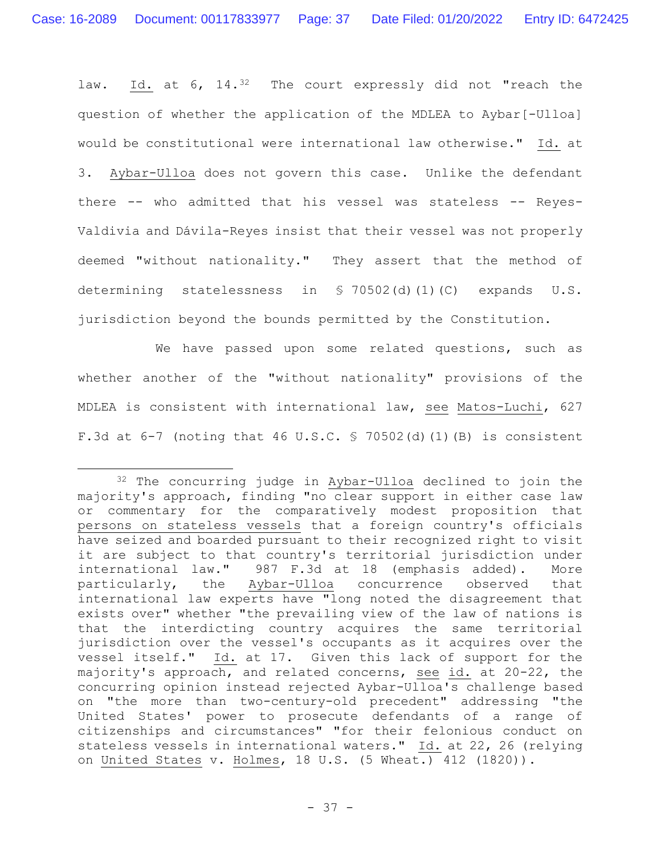law. Id. at 6, 14.<sup>32</sup> The court expressly did not "reach the question of whether the application of the MDLEA to Aybar[-Ulloa] would be constitutional were international law otherwise." Id. at 3. Aybar-Ulloa does not govern this case. Unlike the defendant there -- who admitted that his vessel was stateless -- Reyes-Valdivia and Dávila-Reyes insist that their vessel was not properly deemed "without nationality." They assert that the method of determining statelessness in § 70502(d)(1)(C) expands U.S. jurisdiction beyond the bounds permitted by the Constitution.

We have passed upon some related questions, such as whether another of the "without nationality" provisions of the MDLEA is consistent with international law, see Matos-Luchi, 627 F.3d at 6-7 (noting that 46 U.S.C. § 70502(d)(1)(B) is consistent

<sup>32</sup> The concurring judge in Aybar-Ulloa declined to join the majority's approach, finding "no clear support in either case law or commentary for the comparatively modest proposition that persons on stateless vessels that a foreign country's officials have seized and boarded pursuant to their recognized right to visit it are subject to that country's territorial jurisdiction under international law." 987 F.3d at 18 (emphasis added). More particularly, the Aybar-Ulloa concurrence observed that international law experts have "long noted the disagreement that exists over" whether "the prevailing view of the law of nations is that the interdicting country acquires the same territorial jurisdiction over the vessel's occupants as it acquires over the vessel itself." Id. at 17. Given this lack of support for the majority's approach, and related concerns, see id. at 20-22, the concurring opinion instead rejected Aybar-Ulloa's challenge based on "the more than two-century-old precedent" addressing "the United States' power to prosecute defendants of a range of citizenships and circumstances" "for their felonious conduct on stateless vessels in international waters." Id. at 22, 26 (relying on United States v. Holmes, 18 U.S. (5 Wheat.) 412 (1820)).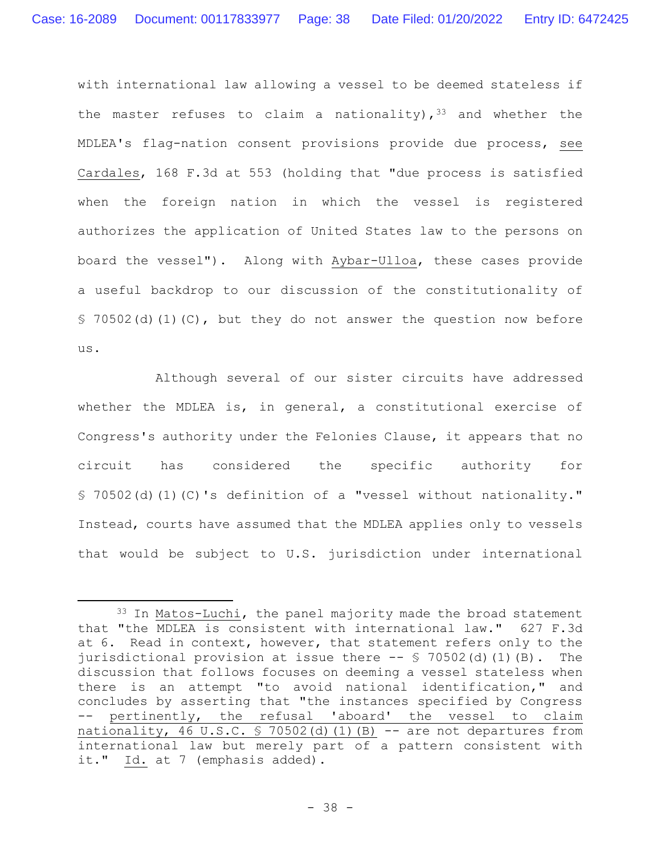with international law allowing a vessel to be deemed stateless if the master refuses to claim a nationality),  $33$  and whether the MDLEA's flag-nation consent provisions provide due process, see Cardales, 168 F.3d at 553 (holding that "due process is satisfied when the foreign nation in which the vessel is registered authorizes the application of United States law to the persons on board the vessel"). Along with Aybar-Ulloa, these cases provide a useful backdrop to our discussion of the constitutionality of § 70502(d)(1)(C), but they do not answer the question now before us.

Although several of our sister circuits have addressed whether the MDLEA is, in general, a constitutional exercise of Congress's authority under the Felonies Clause, it appears that no circuit has considered the specific authority for § 70502(d)(1)(C)'s definition of a "vessel without nationality." Instead, courts have assumed that the MDLEA applies only to vessels that would be subject to U.S. jurisdiction under international

<sup>33</sup> In Matos-Luchi, the panel majority made the broad statement that "the MDLEA is consistent with international law." 627 F.3d at 6. Read in context, however, that statement refers only to the jurisdictional provision at issue there -- § 70502(d)(1)(B). The discussion that follows focuses on deeming a vessel stateless when there is an attempt "to avoid national identification," and concludes by asserting that "the instances specified by Congress pertinently, the refusal 'aboard' the vessel to claim nationality, 46 U.S.C.  $\frac{1}{2}$  70502(d)(1)(B) -- are not departures from international law but merely part of a pattern consistent with it." Id. at 7 (emphasis added).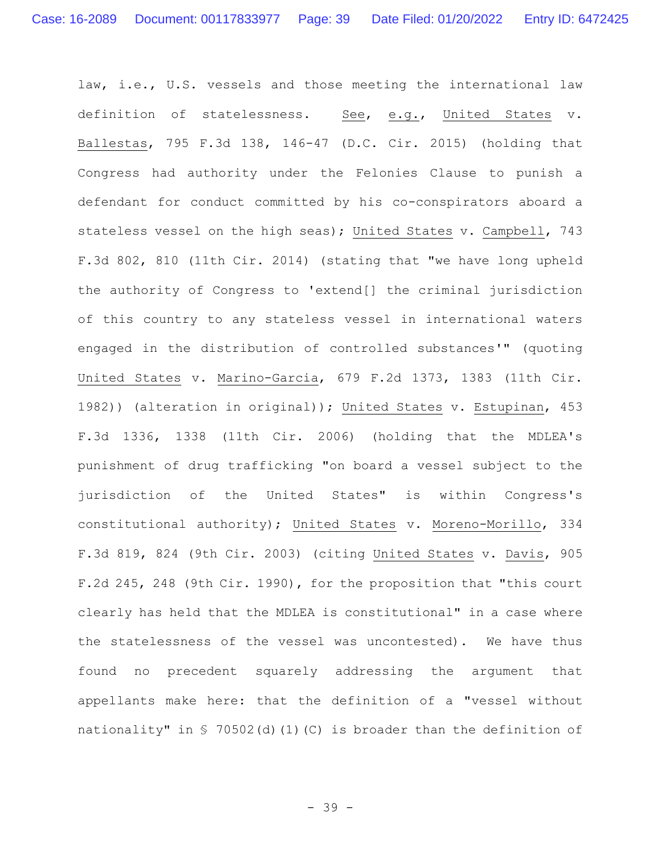law, i.e., U.S. vessels and those meeting the international law definition of statelessness. See, e.g., United States v. Ballestas, 795 F.3d 138, 146-47 (D.C. Cir. 2015) (holding that Congress had authority under the Felonies Clause to punish a defendant for conduct committed by his co-conspirators aboard a stateless vessel on the high seas); United States v. Campbell, 743 F.3d 802, 810 (11th Cir. 2014) (stating that "we have long upheld the authority of Congress to 'extend[] the criminal jurisdiction of this country to any stateless vessel in international waters engaged in the distribution of controlled substances'" (quoting United States v. Marino-Garcia, 679 F.2d 1373, 1383 (11th Cir. 1982)) (alteration in original)); United States v. Estupinan, 453 F.3d 1336, 1338 (11th Cir. 2006) (holding that the MDLEA's punishment of drug trafficking "on board a vessel subject to the jurisdiction of the United States" is within Congress's constitutional authority); United States v. Moreno-Morillo, 334 F.3d 819, 824 (9th Cir. 2003) (citing United States v. Davis, 905 F.2d 245, 248 (9th Cir. 1990), for the proposition that "this court clearly has held that the MDLEA is constitutional" in a case where the statelessness of the vessel was uncontested). We have thus found no precedent squarely addressing the argument that appellants make here: that the definition of a "vessel without nationality" in § 70502(d)(1)(C) is broader than the definition of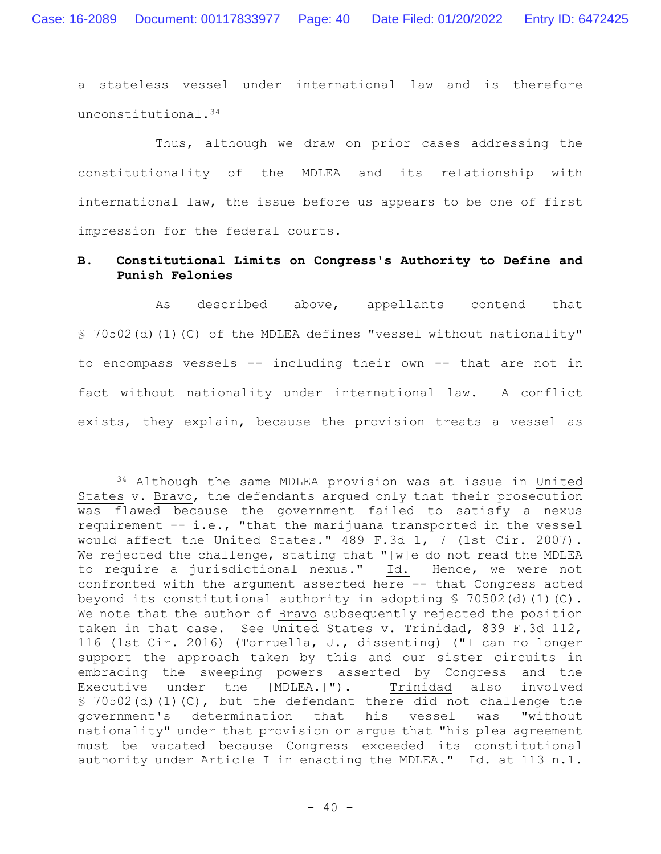a stateless vessel under international law and is therefore unconstitutional.<sup>34</sup>

Thus, although we draw on prior cases addressing the constitutionality of the MDLEA and its relationship with international law, the issue before us appears to be one of first impression for the federal courts.

# **B. Constitutional Limits on Congress's Authority to Define and Punish Felonies**

As described above, appellants contend that § 70502(d)(1)(C) of the MDLEA defines "vessel without nationality" to encompass vessels -- including their own -- that are not in fact without nationality under international law. A conflict exists, they explain, because the provision treats a vessel as

<sup>34</sup> Although the same MDLEA provision was at issue in United States v. Bravo, the defendants argued only that their prosecution was flawed because the government failed to satisfy a nexus requirement -- i.e., "that the marijuana transported in the vessel would affect the United States." 489 F.3d 1, 7 (1st Cir. 2007). We rejected the challenge, stating that "[w]e do not read the MDLEA to require a jurisdictional nexus." Id. Hence, we were not confronted with the argument asserted here -- that Congress acted beyond its constitutional authority in adopting § 70502(d)(1)(C). We note that the author of Bravo subsequently rejected the position taken in that case. See United States v. Trinidad, 839 F.3d 112, 116 (1st Cir. 2016) (Torruella, J., dissenting) ("I can no longer support the approach taken by this and our sister circuits in embracing the sweeping powers asserted by Congress and the Executive under the [MDLEA.]"). Trinidad also involved § 70502(d)(1)(C), but the defendant there did not challenge the government's determination that his vessel was "without nationality" under that provision or argue that "his plea agreement must be vacated because Congress exceeded its constitutional authority under Article I in enacting the MDLEA." Id. at 113 n.1.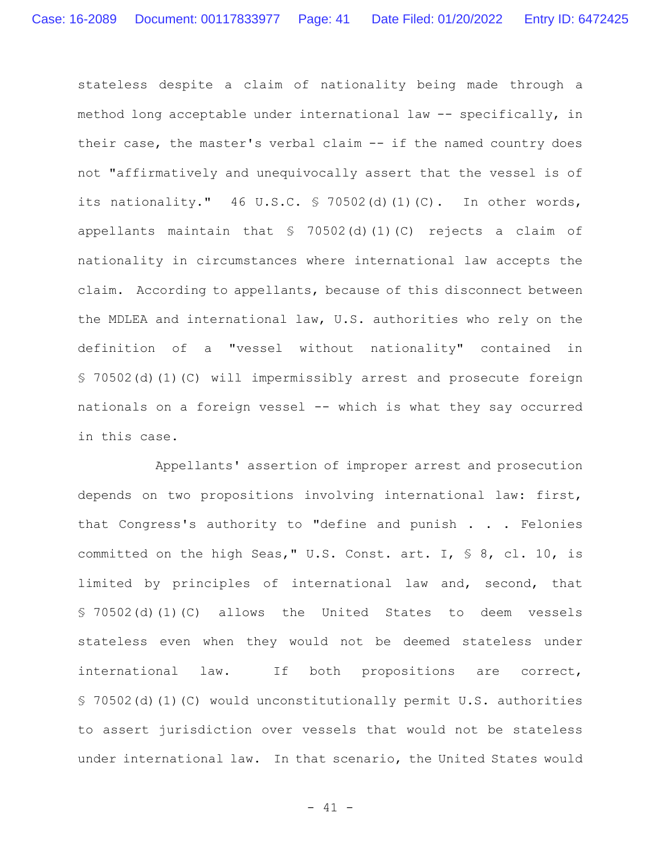stateless despite a claim of nationality being made through a method long acceptable under international law -- specifically, in their case, the master's verbal claim -- if the named country does not "affirmatively and unequivocally assert that the vessel is of its nationality."  $46 \text{ U.S.C. }$  \$ 70502(d)(1)(C). In other words, appellants maintain that § 70502(d)(1)(C) rejects a claim of nationality in circumstances where international law accepts the claim. According to appellants, because of this disconnect between the MDLEA and international law, U.S. authorities who rely on the definition of a "vessel without nationality" contained in § 70502(d)(1)(C) will impermissibly arrest and prosecute foreign nationals on a foreign vessel -- which is what they say occurred in this case.

Appellants' assertion of improper arrest and prosecution depends on two propositions involving international law: first, that Congress's authority to "define and punish . . . Felonies committed on the high Seas," U.S. Const. art. I, § 8, cl. 10, is limited by principles of international law and, second, that § 70502(d)(1)(C) allows the United States to deem vessels stateless even when they would not be deemed stateless under international law. If both propositions are correct, § 70502(d)(1)(C) would unconstitutionally permit U.S. authorities to assert jurisdiction over vessels that would not be stateless under international law. In that scenario, the United States would

- 41 -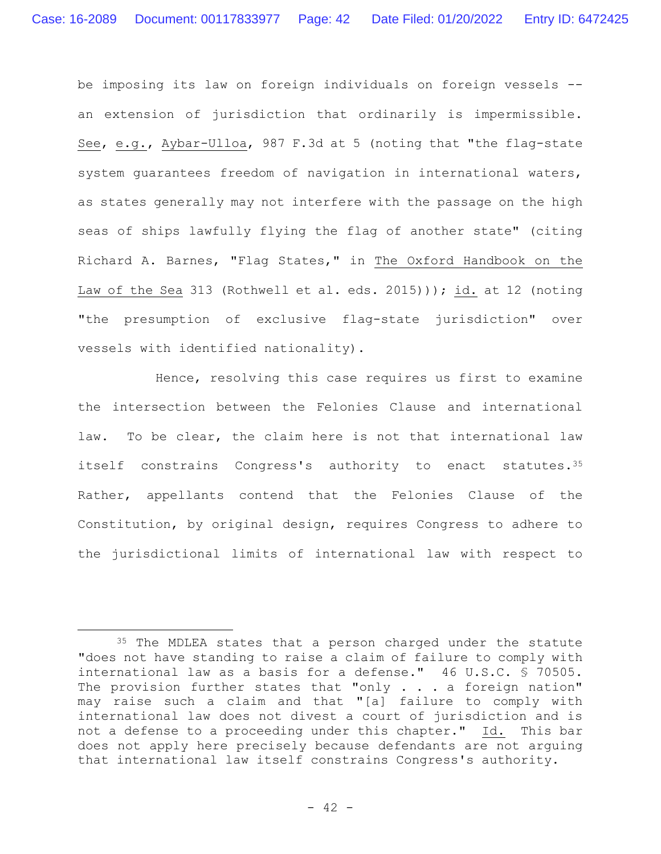be imposing its law on foreign individuals on foreign vessels - an extension of jurisdiction that ordinarily is impermissible. See, e.g., Aybar-Ulloa, 987 F.3d at 5 (noting that "the flag-state system guarantees freedom of navigation in international waters, as states generally may not interfere with the passage on the high seas of ships lawfully flying the flag of another state" (citing Richard A. Barnes, "Flag States," in The Oxford Handbook on the Law of the Sea 313 (Rothwell et al. eds. 2015))); id. at 12 (noting "the presumption of exclusive flag-state jurisdiction" over vessels with identified nationality).

Hence, resolving this case requires us first to examine the intersection between the Felonies Clause and international law. To be clear, the claim here is not that international law itself constrains Congress's authority to enact statutes**.**<sup>35</sup> Rather, appellants contend that the Felonies Clause of the Constitution, by original design, requires Congress to adhere to the jurisdictional limits of international law with respect to

<sup>35</sup> The MDLEA states that a person charged under the statute "does not have standing to raise a claim of failure to comply with international law as a basis for a defense." 46 U.S.C. § 70505. The provision further states that "only . . . a foreign nation" may raise such a claim and that "[a] failure to comply with international law does not divest a court of jurisdiction and is not a defense to a proceeding under this chapter." Id. This bar does not apply here precisely because defendants are not arguing that international law itself constrains Congress's authority.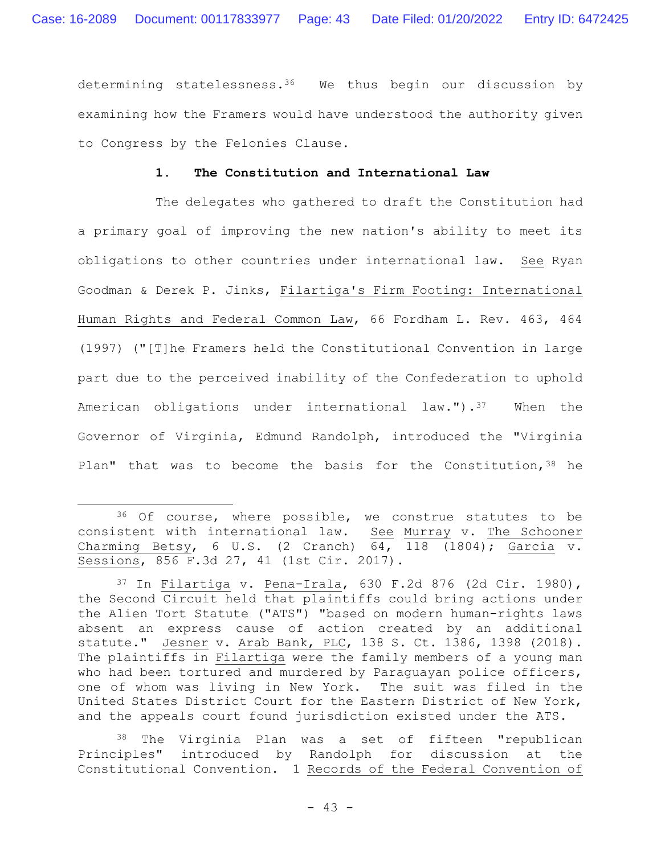determining statelessness.36 We thus begin our discussion by examining how the Framers would have understood the authority given to Congress by the Felonies Clause.

## **1. The Constitution and International Law**

The delegates who gathered to draft the Constitution had a primary goal of improving the new nation's ability to meet its obligations to other countries under international law. See Ryan Goodman & Derek P. Jinks, Filartiga's Firm Footing: International Human Rights and Federal Common Law, 66 Fordham L. Rev. 463, 464 (1997) ("[T]he Framers held the Constitutional Convention in large part due to the perceived inability of the Confederation to uphold American obligations under international law."). $37$  When the Governor of Virginia, Edmund Randolph, introduced the "Virginia Plan" that was to become the basis for the Constitution,  $38$  he

<sup>38</sup> The Virginia Plan was a set of fifteen "republican Principles" introduced by Randolph for discussion at the Constitutional Convention. 1 Records of the Federal Convention of

<sup>36</sup> Of course, where possible, we construe statutes to be consistent with international law. See Murray v. The Schooner Charming Betsy, 6 U.S. (2 Cranch)  $\overline{64}$ ,  $\overline{118}$  (1804); Garcia v. Sessions, 856 F.3d 27, 41 (1st Cir. 2017).

 $37$  In Filartiga v. Pena-Irala, 630 F.2d 876 (2d Cir. 1980), the Second Circuit held that plaintiffs could bring actions under the Alien Tort Statute ("ATS") "based on modern human-rights laws absent an express cause of action created by an additional statute." Jesner v. Arab Bank, PLC, 138 S. Ct. 1386, 1398 (2018). The plaintiffs in Filartiga were the family members of a young man who had been tortured and murdered by Paraguayan police officers, one of whom was living in New York. The suit was filed in the United States District Court for the Eastern District of New York, and the appeals court found jurisdiction existed under the ATS.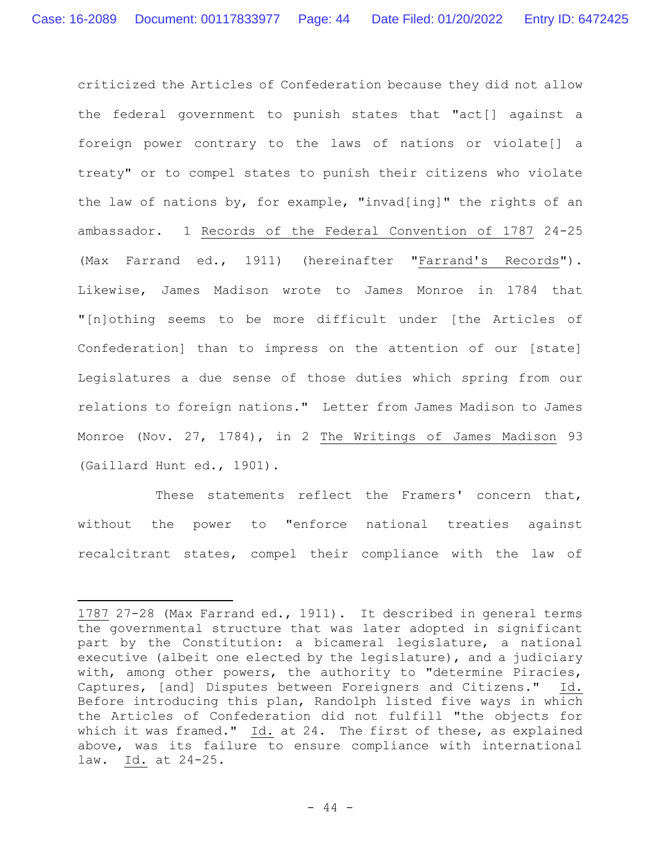criticized the Articles of Confederation because they did not allow the federal government to punish states that "act[] against a foreign power contrary to the laws of nations or violate[] a treaty" or to compel states to punish their citizens who violate the law of nations by, for example, "invad[ing]" the rights of an ambassador. 1 Records of the Federal Convention of 1787 24-25 (Max Farrand ed., 1911) (hereinafter "Farrand's Records"). Likewise, James Madison wrote to James Monroe in 1784 that "[n]othing seems to be more difficult under [the Articles of Confederation] than to impress on the attention of our [state] Legislatures a due sense of those duties which spring from our relations to foreign nations." Letter from James Madison to James Monroe (Nov. 27, 1784), in 2 The Writings of James Madison 93 (Gaillard Hunt ed., 1901).

These statements reflect the Framers' concern that, without the power to "enforce national treaties against recalcitrant states, compel their compliance with the law of

<sup>1787</sup> 27-28 (Max Farrand ed., 1911). It described in general terms the governmental structure that was later adopted in significant part by the Constitution: a bicameral legislature, a national executive (albeit one elected by the legislature), and a judiciary with, among other powers, the authority to "determine Piracies, Captures, [and] Disputes between Foreigners and Citizens." Id. Before introducing this plan, Randolph listed five ways in which the Articles of Confederation did not fulfill "the objects for which it was framed." Id. at 24. The first of these, as explained above, was its failure to ensure compliance with international law. Id. at 24-25.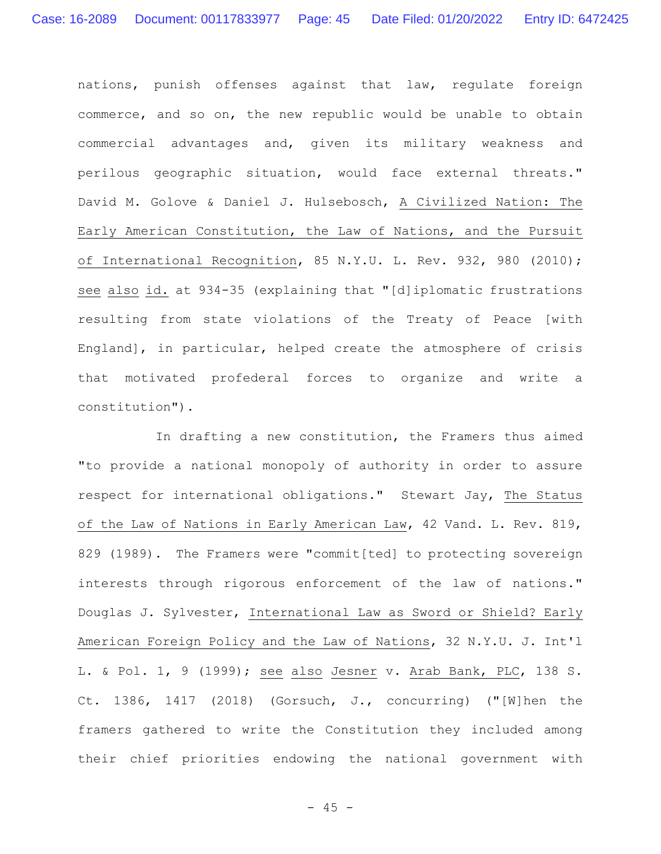nations, punish offenses against that law, regulate foreign commerce, and so on, the new republic would be unable to obtain commercial advantages and, given its military weakness and perilous geographic situation, would face external threats." David M. Golove & Daniel J. Hulsebosch, A Civilized Nation: The Early American Constitution, the Law of Nations, and the Pursuit of International Recognition, 85 N.Y.U. L. Rev. 932, 980 (2010); see also id. at 934-35 (explaining that "[d]iplomatic frustrations resulting from state violations of the Treaty of Peace [with England], in particular, helped create the atmosphere of crisis that motivated profederal forces to organize and write a constitution").

In drafting a new constitution, the Framers thus aimed "to provide a national monopoly of authority in order to assure respect for international obligations." Stewart Jay, The Status of the Law of Nations in Early American Law, 42 Vand. L. Rev. 819, 829 (1989). The Framers were "commit[ted] to protecting sovereign interests through rigorous enforcement of the law of nations." Douglas J. Sylvester, International Law as Sword or Shield? Early American Foreign Policy and the Law of Nations, 32 N.Y.U. J. Int'l L. & Pol. 1, 9 (1999); see also Jesner v. Arab Bank, PLC, 138 S. Ct. 1386, 1417 (2018) (Gorsuch, J., concurring) ("[W]hen the framers gathered to write the Constitution they included among their chief priorities endowing the national government with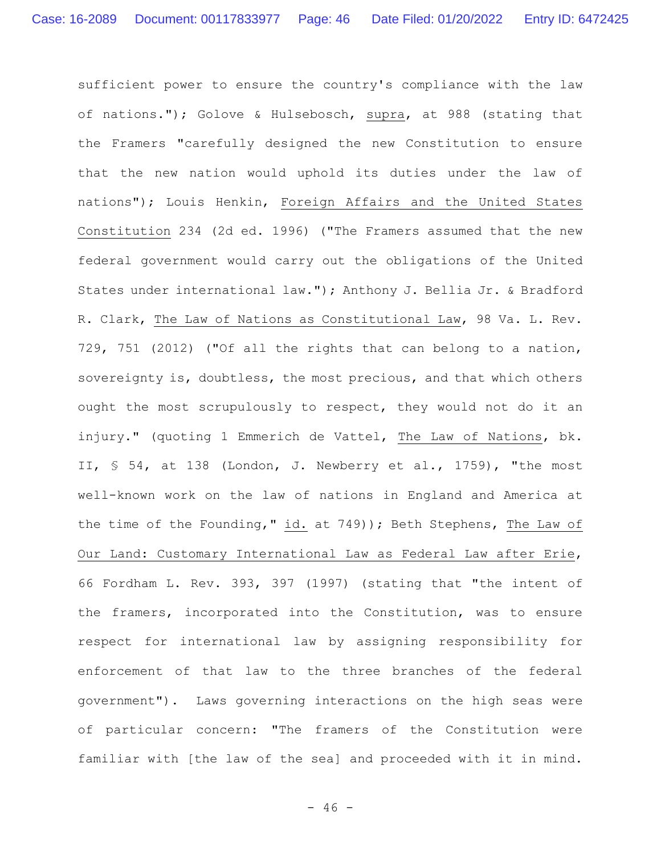sufficient power to ensure the country's compliance with the law of nations."); Golove & Hulsebosch, supra, at 988 (stating that the Framers "carefully designed the new Constitution to ensure that the new nation would uphold its duties under the law of nations"); Louis Henkin, Foreign Affairs and the United States Constitution 234 (2d ed. 1996) ("The Framers assumed that the new federal government would carry out the obligations of the United States under international law."); Anthony J. Bellia Jr. & Bradford R. Clark, The Law of Nations as Constitutional Law, 98 Va. L. Rev. 729, 751 (2012) ("Of all the rights that can belong to a nation, sovereignty is, doubtless, the most precious, and that which others ought the most scrupulously to respect, they would not do it an injury." (quoting 1 Emmerich de Vattel, The Law of Nations, bk. II, § 54, at 138 (London, J. Newberry et al., 1759), "the most well-known work on the law of nations in England and America at the time of the Founding," id. at 749)); Beth Stephens, The Law of Our Land: Customary International Law as Federal Law after Erie, 66 Fordham L. Rev. 393, 397 (1997) (stating that "the intent of the framers, incorporated into the Constitution, was to ensure respect for international law by assigning responsibility for enforcement of that law to the three branches of the federal government"). Laws governing interactions on the high seas were of particular concern: "The framers of the Constitution were familiar with [the law of the sea] and proceeded with it in mind.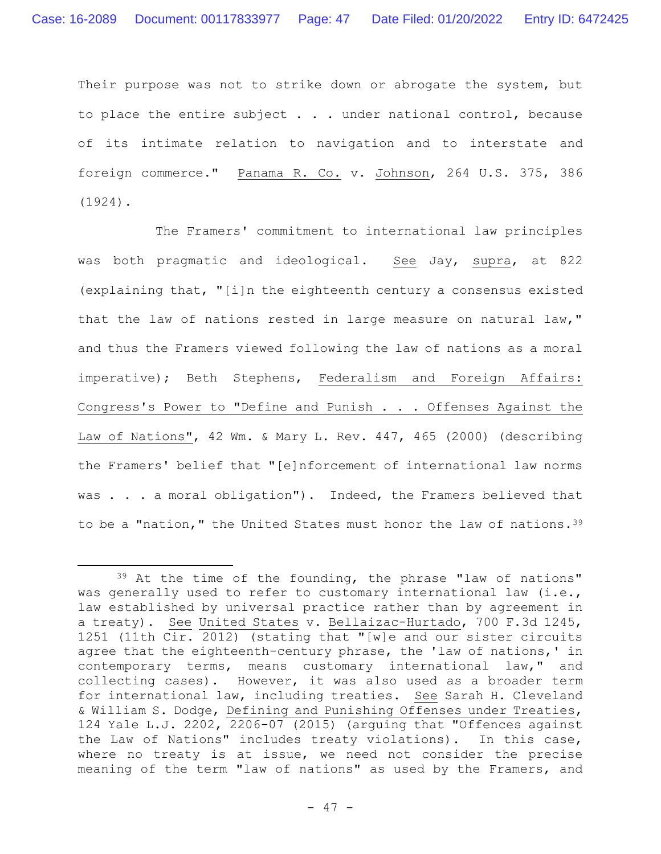Their purpose was not to strike down or abrogate the system, but to place the entire subject . . . under national control, because of its intimate relation to navigation and to interstate and foreign commerce." Panama R. Co. v. Johnson, 264 U.S. 375, 386 (1924).

The Framers' commitment to international law principles was both pragmatic and ideological. See Jay, supra, at 822 (explaining that, "[i]n the eighteenth century a consensus existed that the law of nations rested in large measure on natural law," and thus the Framers viewed following the law of nations as a moral imperative); Beth Stephens, Federalism and Foreign Affairs: Congress's Power to "Define and Punish . . . Offenses Against the Law of Nations", 42 Wm. & Mary L. Rev. 447, 465 (2000) (describing the Framers' belief that "[e]nforcement of international law norms was . . . a moral obligation"). Indeed, the Framers believed that to be a "nation," the United States must honor the law of nations.<sup>39</sup>

<sup>39</sup> At the time of the founding, the phrase "law of nations" was generally used to refer to customary international law (i.e., law established by universal practice rather than by agreement in a treaty). See United States v. Bellaizac-Hurtado, 700 F.3d 1245, 1251 (11th Cir. 2012) (stating that "[w]e and our sister circuits agree that the eighteenth-century phrase, the 'law of nations,' in contemporary terms, means customary international law," and collecting cases). However, it was also used as a broader term for international law, including treaties.See Sarah H. Cleveland & William S. Dodge, Defining and Punishing Offenses under Treaties, 124 Yale L.J. 2202, 2206-07 (2015) (arguing that "Offences against the Law of Nations" includes treaty violations). In this case, where no treaty is at issue, we need not consider the precise meaning of the term "law of nations" as used by the Framers, and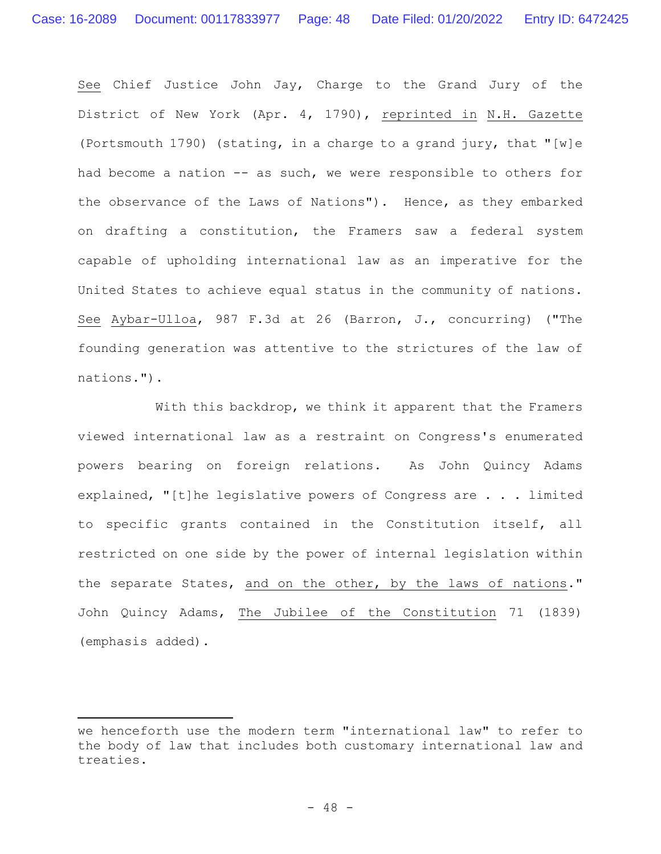See Chief Justice John Jay, Charge to the Grand Jury of the District of New York (Apr. 4, 1790), reprinted in N.H. Gazette (Portsmouth 1790) (stating, in a charge to a grand jury, that "[w]e had become a nation -- as such, we were responsible to others for the observance of the Laws of Nations"). Hence, as they embarked on drafting a constitution, the Framers saw a federal system capable of upholding international law as an imperative for the United States to achieve equal status in the community of nations. See Aybar-Ulloa, 987 F.3d at 26 (Barron, J., concurring) ("The founding generation was attentive to the strictures of the law of nations.").

With this backdrop, we think it apparent that the Framers viewed international law as a restraint on Congress's enumerated powers bearing on foreign relations. As John Quincy Adams explained, "[t]he legislative powers of Congress are . . . limited to specific grants contained in the Constitution itself, all restricted on one side by the power of internal legislation within the separate States, and on the other, by the laws of nations." John Quincy Adams, The Jubilee of the Constitution 71 (1839) (emphasis added).

we henceforth use the modern term "international law" to refer to the body of law that includes both customary international law and treaties.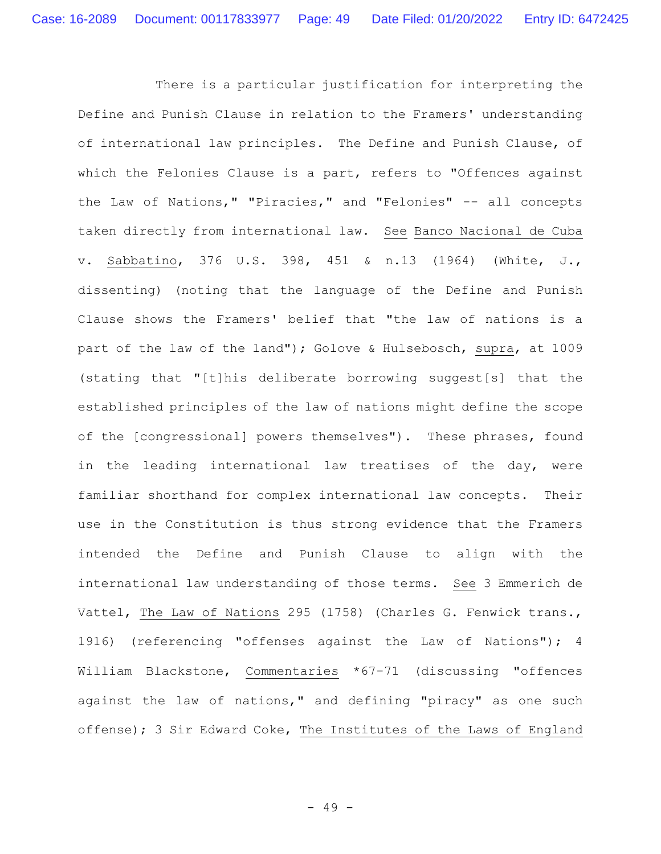There is a particular justification for interpreting the Define and Punish Clause in relation to the Framers' understanding of international law principles.The Define and Punish Clause, of which the Felonies Clause is a part, refers to "Offences against the Law of Nations," "Piracies," and "Felonies" -- all concepts taken directly from international law. See Banco Nacional de Cuba v. Sabbatino, 376 U.S. 398, 451 & n.13 (1964) (White, J., dissenting) (noting that the language of the Define and Punish Clause shows the Framers' belief that "the law of nations is a part of the law of the land"); Golove & Hulsebosch, supra, at 1009 (stating that "[t]his deliberate borrowing suggest[s] that the established principles of the law of nations might define the scope of the [congressional] powers themselves"). These phrases, found in the leading international law treatises of the day, were familiar shorthand for complex international law concepts. Their use in the Constitution is thus strong evidence that the Framers intended the Define and Punish Clause to align with the international law understanding of those terms. See 3 Emmerich de Vattel, The Law of Nations 295 (1758) (Charles G. Fenwick trans., 1916) (referencing "offenses against the Law of Nations"); 4 William Blackstone, Commentaries \*67-71 (discussing "offences against the law of nations," and defining "piracy" as one such offense); 3 Sir Edward Coke, The Institutes of the Laws of England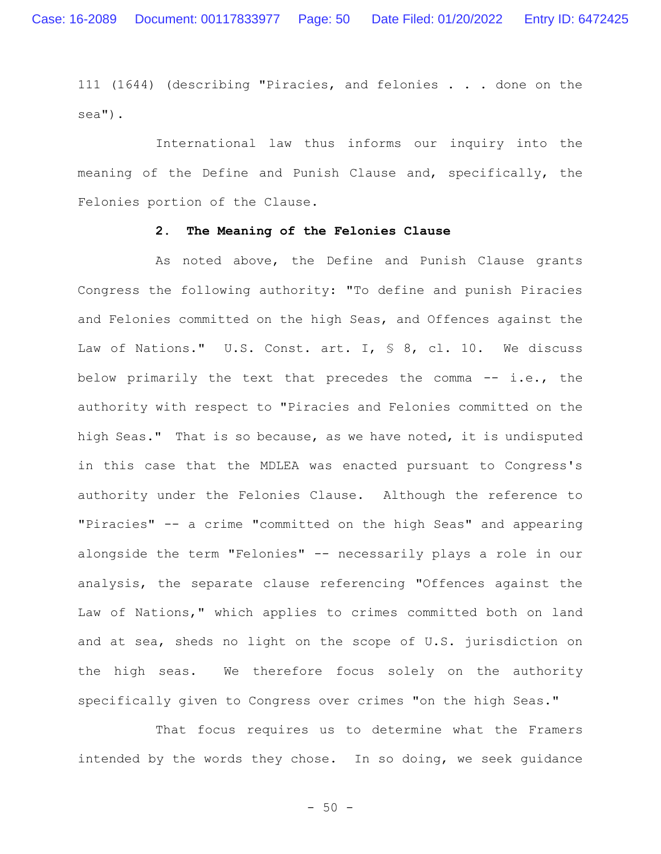111 (1644) (describing "Piracies, and felonies . . . done on the sea").

International law thus informs our inquiry into the meaning of the Define and Punish Clause and, specifically, the Felonies portion of the Clause.

## **2. The Meaning of the Felonies Clause**

As noted above, the Define and Punish Clause grants Congress the following authority: "To define and punish Piracies and Felonies committed on the high Seas, and Offences against the Law of Nations." U.S. Const. art. I, § 8, cl. 10. We discuss below primarily the text that precedes the comma -- i.e., the authority with respect to "Piracies and Felonies committed on the high Seas." That is so because, as we have noted, it is undisputed in this case that the MDLEA was enacted pursuant to Congress's authority under the Felonies Clause. Although the reference to "Piracies" -- a crime "committed on the high Seas" and appearing alongside the term "Felonies" -- necessarily plays a role in our analysis, the separate clause referencing "Offences against the Law of Nations," which applies to crimes committed both on land and at sea, sheds no light on the scope of U.S. jurisdiction on the high seas. We therefore focus solely on the authority specifically given to Congress over crimes "on the high Seas."

That focus requires us to determine what the Framers intended by the words they chose. In so doing, we seek guidance

 $-50 -$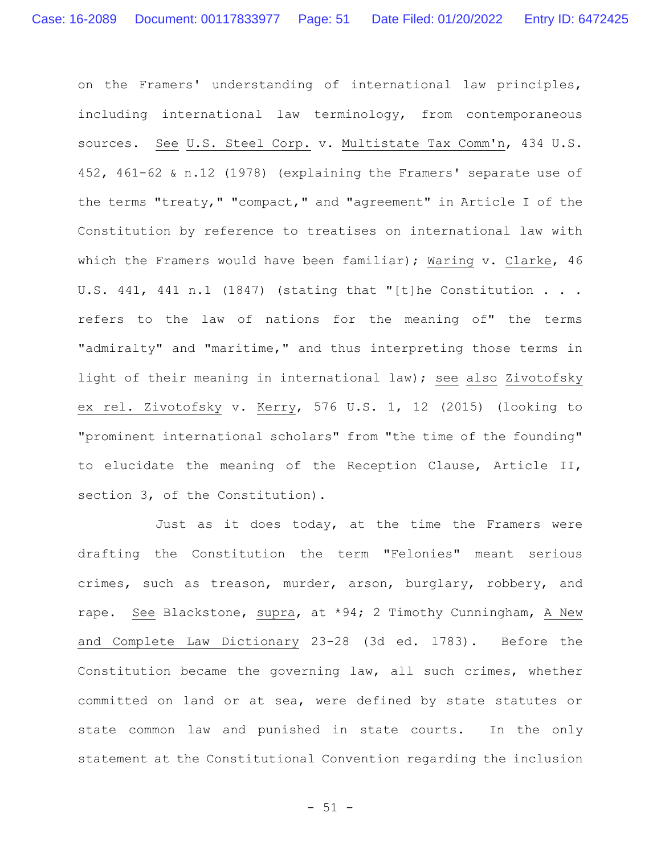on the Framers' understanding of international law principles, including international law terminology, from contemporaneous sources. See U.S. Steel Corp. v. Multistate Tax Comm'n, 434 U.S. 452, 461-62 & n.12 (1978) (explaining the Framers' separate use of the terms "treaty," "compact," and "agreement" in Article I of the Constitution by reference to treatises on international law with which the Framers would have been familiar); Waring v. Clarke, 46 U.S. 441, 441 n.1 (1847) (stating that "[t]he Constitution . . . refers to the law of nations for the meaning of" the terms "admiralty" and "maritime," and thus interpreting those terms in light of their meaning in international law); see also Zivotofsky ex rel. Zivotofsky v. Kerry, 576 U.S. 1, 12 (2015) (looking to "prominent international scholars" from "the time of the founding" to elucidate the meaning of the Reception Clause, Article II, section 3, of the Constitution).

Just as it does today, at the time the Framers were drafting the Constitution the term "Felonies" meant serious crimes, such as treason, murder, arson, burglary, robbery, and rape. See Blackstone, supra, at \*94; 2 Timothy Cunningham, A New and Complete Law Dictionary 23-28 (3d ed. 1783). Before the Constitution became the governing law, all such crimes, whether committed on land or at sea, were defined by state statutes or state common law and punished in state courts. In the only statement at the Constitutional Convention regarding the inclusion

 $- 51 -$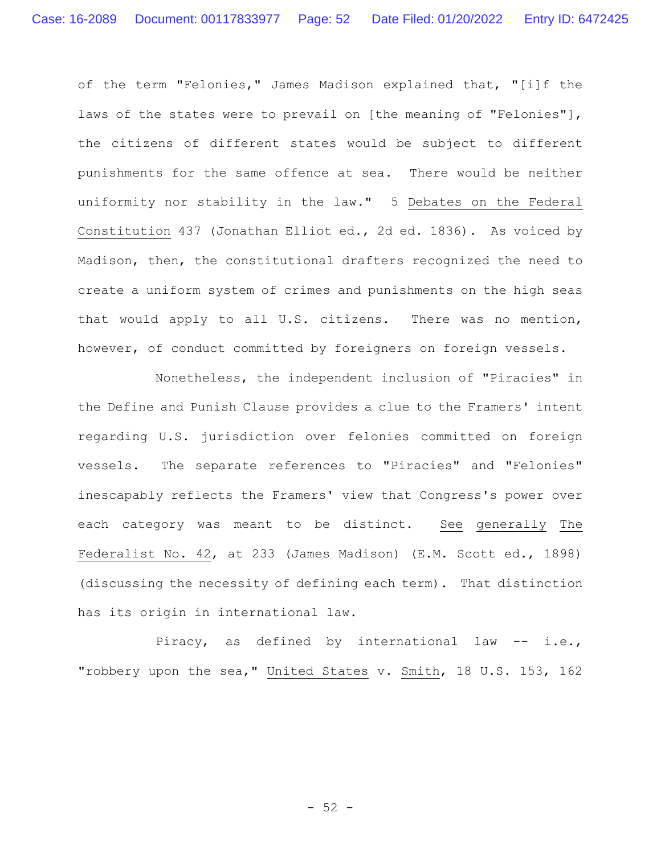of the term "Felonies," James Madison explained that, "[i]f the laws of the states were to prevail on [the meaning of "Felonies"], the citizens of different states would be subject to different punishments for the same offence at sea. There would be neither uniformity nor stability in the law." 5 Debates on the Federal Constitution 437 (Jonathan Elliot ed., 2d ed. 1836). As voiced by Madison, then, the constitutional drafters recognized the need to create a uniform system of crimes and punishments on the high seas that would apply to all U.S. citizens. There was no mention, however, of conduct committed by foreigners on foreign vessels.

Nonetheless, the independent inclusion of "Piracies" in the Define and Punish Clause provides a clue to the Framers' intent regarding U.S. jurisdiction over felonies committed on foreign vessels. The separate references to "Piracies" and "Felonies" inescapably reflects the Framers' view that Congress's power over each category was meant to be distinct. See generally The Federalist No. 42, at 233 (James Madison) (E.M. Scott ed., 1898) (discussing the necessity of defining each term). That distinction has its origin in international law.

Piracy, as defined by international law -- i.e., "robbery upon the sea," United States v. Smith, 18 U.S. 153, 162

 $-52 -$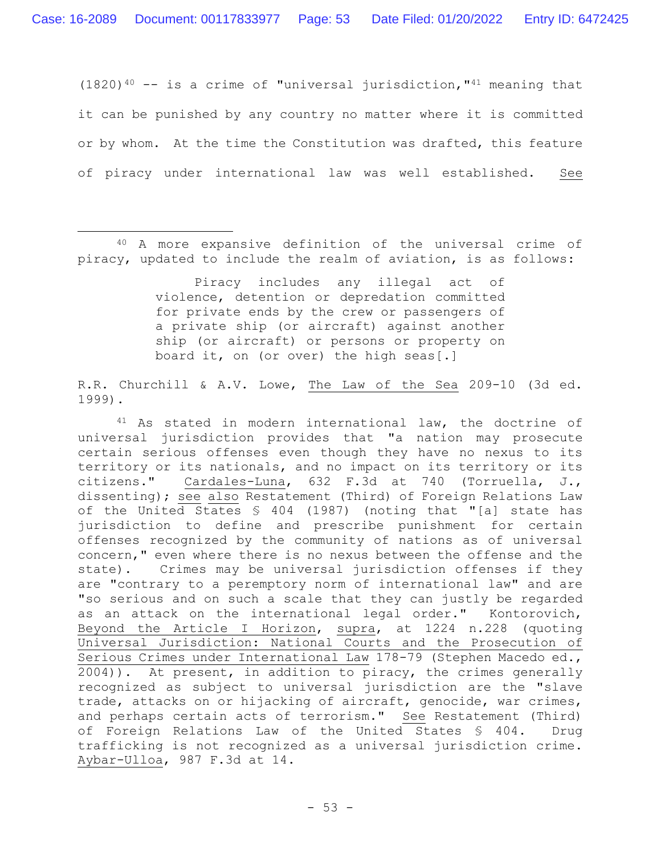$(1820)^{40}$  -- is a crime of "universal jurisdiction,"<sup>41</sup> meaning that it can be punished by any country no matter where it is committed or by whom. At the time the Constitution was drafted, this feature of piracy under international law was well established. See

Piracy includes any illegal act of violence, detention or depredation committed for private ends by the crew or passengers of a private ship (or aircraft) against another ship (or aircraft) or persons or property on board it, on (or over) the high seas[.]

R.R. Churchill & A.V. Lowe, The Law of the Sea 209-10 (3d ed. 1999).

<sup>41</sup> As stated in modern international law, the doctrine of universal jurisdiction provides that "a nation may prosecute certain serious offenses even though they have no nexus to its territory or its nationals, and no impact on its territory or its citizens." Cardales-Luna, 632 F.3d at 740 (Torruella, J., dissenting); see also Restatement (Third) of Foreign Relations Law of the United States § 404 (1987) (noting that "[a] state has jurisdiction to define and prescribe punishment for certain offenses recognized by the community of nations as of universal concern," even where there is no nexus between the offense and the state). Crimes may be universal jurisdiction offenses if they are "contrary to a peremptory norm of international law" and are "so serious and on such a scale that they can justly be regarded as an attack on the international legal order." Kontorovich, Beyond the Article I Horizon, supra, at 1224 n.228 (quoting Universal Jurisdiction: National Courts and the Prosecution of Serious Crimes under International Law 178-79 (Stephen Macedo ed., 2004)). At present, in addition to piracy, the crimes generally recognized as subject to universal jurisdiction are the "slave trade, attacks on or hijacking of aircraft, genocide, war crimes, and perhaps certain acts of terrorism." See Restatement (Third) of Foreign Relations Law of the United States § 404. Drug trafficking is not recognized as a universal jurisdiction crime. Aybar-Ulloa, 987 F.3d at 14.

<sup>40</sup> A more expansive definition of the universal crime of piracy, updated to include the realm of aviation, is as follows: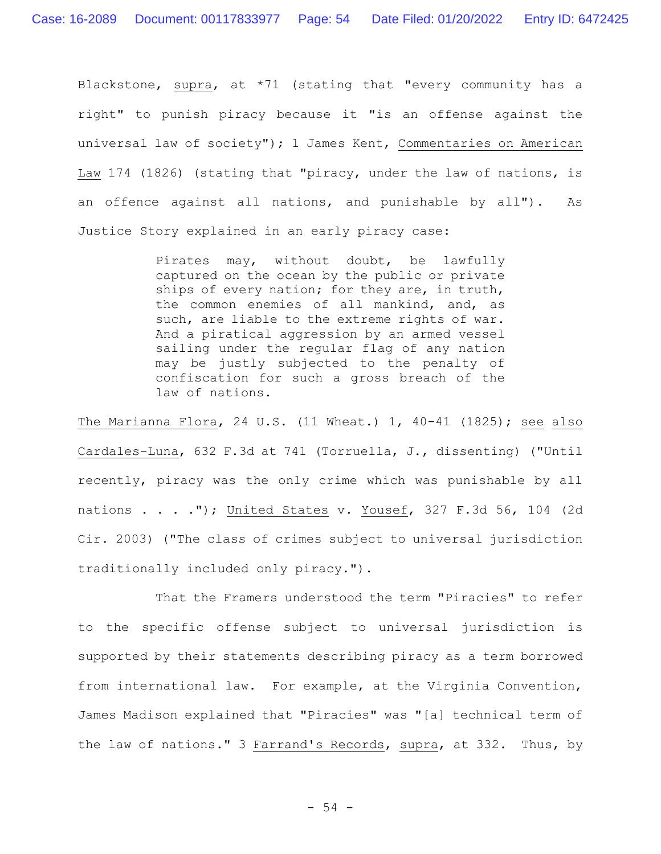Blackstone, supra, at \*71 (stating that "every community has a right" to punish piracy because it "is an offense against the universal law of society"); 1 James Kent, Commentaries on American Law 174 (1826) (stating that "piracy, under the law of nations, is an offence against all nations, and punishable by all"). As Justice Story explained in an early piracy case:

> Pirates may, without doubt, be lawfully captured on the ocean by the public or private ships of every nation; for they are, in truth, the common enemies of all mankind, and, as such, are liable to the extreme rights of war. And a piratical aggression by an armed vessel sailing under the regular flag of any nation may be justly subjected to the penalty of confiscation for such a gross breach of the law of nations.

The Marianna Flora, 24 U.S. (11 Wheat.)  $1, 40-41$  (1825); see also Cardales-Luna, 632 F.3d at 741 (Torruella, J., dissenting) ("Until recently, piracy was the only crime which was punishable by all nations . . . ."); United States v. Yousef, 327 F.3d 56, 104 (2d Cir. 2003) ("The class of crimes subject to universal jurisdiction traditionally included only piracy.").

That the Framers understood the term "Piracies" to refer to the specific offense subject to universal jurisdiction is supported by their statements describing piracy as a term borrowed from international law. For example, at the Virginia Convention, James Madison explained that "Piracies" was "[a] technical term of the law of nations." 3 Farrand's Records, supra, at 332. Thus, by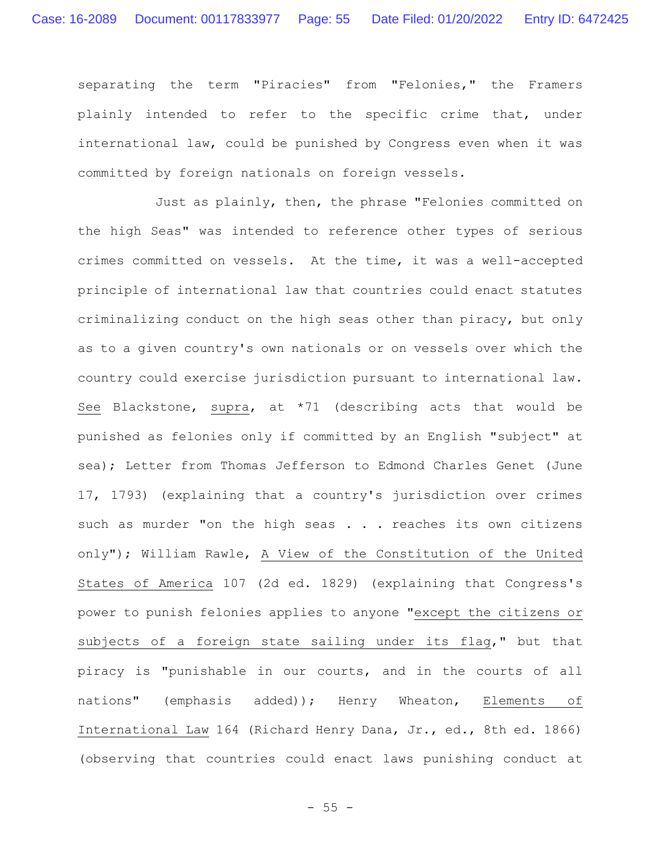separating the term "Piracies" from "Felonies," the Framers plainly intended to refer to the specific crime that, under international law, could be punished by Congress even when it was committed by foreign nationals on foreign vessels.

Just as plainly, then, the phrase "Felonies committed on the high Seas" was intended to reference other types of serious crimes committed on vessels. At the time, it was a well-accepted principle of international law that countries could enact statutes criminalizing conduct on the high seas other than piracy, but only as to a given country's own nationals or on vessels over which the country could exercise jurisdiction pursuant to international law. See Blackstone, supra, at \*71 (describing acts that would be punished as felonies only if committed by an English "subject" at sea); Letter from Thomas Jefferson to Edmond Charles Genet (June 17, 1793) (explaining that a country's jurisdiction over crimes such as murder "on the high seas . . . reaches its own citizens only"); William Rawle, A View of the Constitution of the United States of America 107 (2d ed. 1829) (explaining that Congress's power to punish felonies applies to anyone "except the citizens or subjects of a foreign state sailing under its flag," but that piracy is "punishable in our courts, and in the courts of all nations" (emphasis added)); Henry Wheaton, Elements of International Law 164 (Richard Henry Dana, Jr., ed., 8th ed. 1866) (observing that countries could enact laws punishing conduct at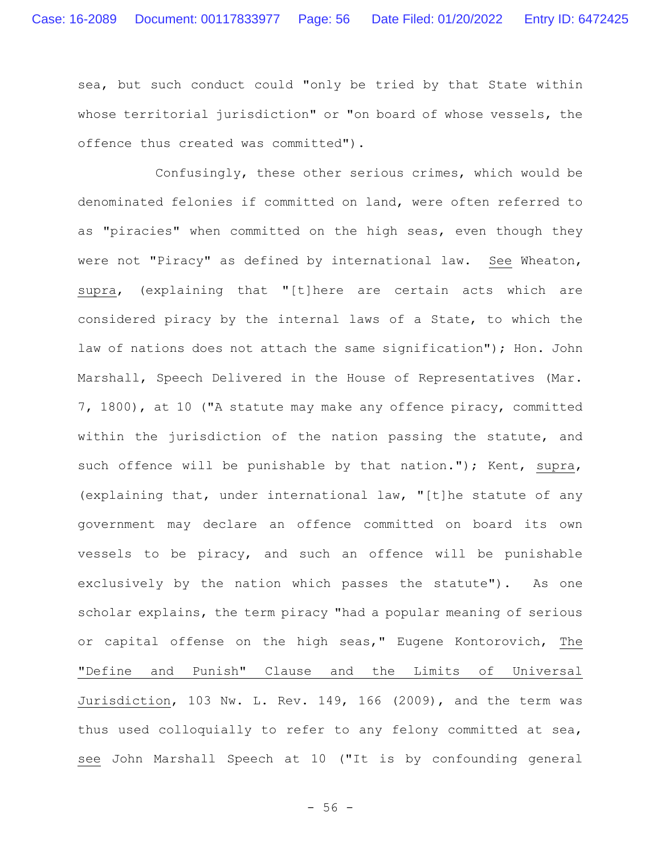sea, but such conduct could "only be tried by that State within whose territorial jurisdiction" or "on board of whose vessels, the offence thus created was committed").

Confusingly, these other serious crimes, which would be denominated felonies if committed on land, were often referred to as "piracies" when committed on the high seas, even though they were not "Piracy" as defined by international law. See Wheaton, supra, (explaining that "[t]here are certain acts which are considered piracy by the internal laws of a State, to which the law of nations does not attach the same signification"); Hon. John Marshall, Speech Delivered in the House of Representatives (Mar. 7, 1800), at 10 ("A statute may make any offence piracy, committed within the jurisdiction of the nation passing the statute, and such offence will be punishable by that nation."); Kent, supra, (explaining that, under international law, "[t]he statute of any government may declare an offence committed on board its own vessels to be piracy, and such an offence will be punishable exclusively by the nation which passes the statute"). As one scholar explains, the term piracy "had a popular meaning of serious or capital offense on the high seas," Eugene Kontorovich, The "Define and Punish" Clause and the Limits of Universal Jurisdiction, 103 Nw. L. Rev. 149, 166 (2009), and the term was thus used colloquially to refer to any felony committed at sea, see John Marshall Speech at 10 ("It is by confounding general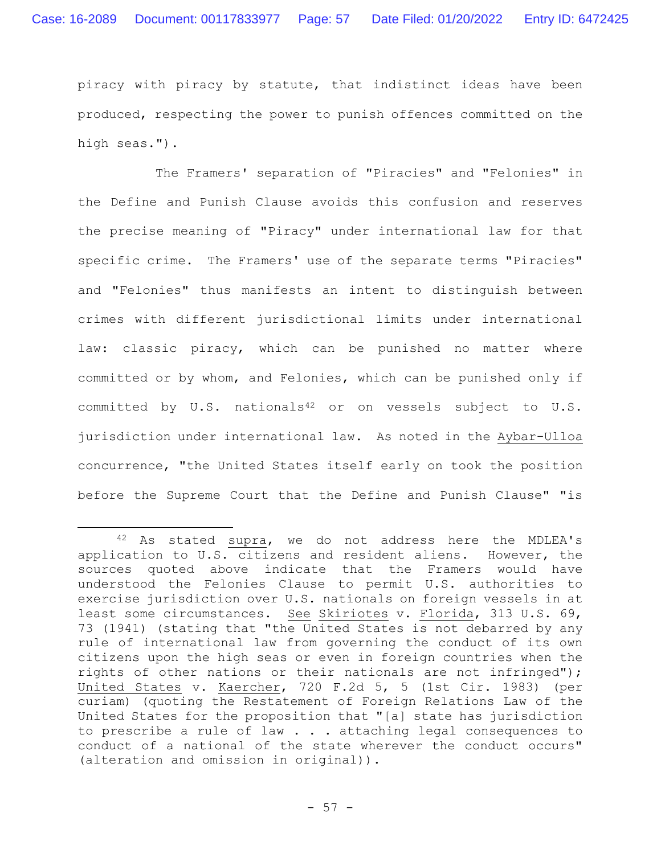piracy with piracy by statute, that indistinct ideas have been produced, respecting the power to punish offences committed on the high seas.").

The Framers' separation of "Piracies" and "Felonies" in the Define and Punish Clause avoids this confusion and reserves the precise meaning of "Piracy" under international law for that specific crime. The Framers' use of the separate terms "Piracies" and "Felonies" thus manifests an intent to distinguish between crimes with different jurisdictional limits under international law: classic piracy, which can be punished no matter where committed or by whom, and Felonies, which can be punished only if committed by U.S. nationals<sup>42</sup> or on vessels subject to U.S. jurisdiction under international law. As noted in the Aybar-Ulloa concurrence, "the United States itself early on took the position before the Supreme Court that the Define and Punish Clause" "is

<sup>42</sup> As stated supra, we do not address here the MDLEA's application to U.S. citizens and resident aliens. However, the sources quoted above indicate that the Framers would have understood the Felonies Clause to permit U.S. authorities to exercise jurisdiction over U.S. nationals on foreign vessels in at least some circumstances. See Skiriotes v. Florida, 313 U.S. 69, 73 (1941) (stating that "the United States is not debarred by any rule of international law from governing the conduct of its own citizens upon the high seas or even in foreign countries when the rights of other nations or their nationals are not infringed"); United States v. Kaercher, 720 F.2d 5, 5 (1st Cir. 1983) (per curiam) (quoting the Restatement of Foreign Relations Law of the United States for the proposition that "[a] state has jurisdiction to prescribe a rule of law  $\ldots$  attaching legal consequences to conduct of a national of the state wherever the conduct occurs" (alteration and omission in original)).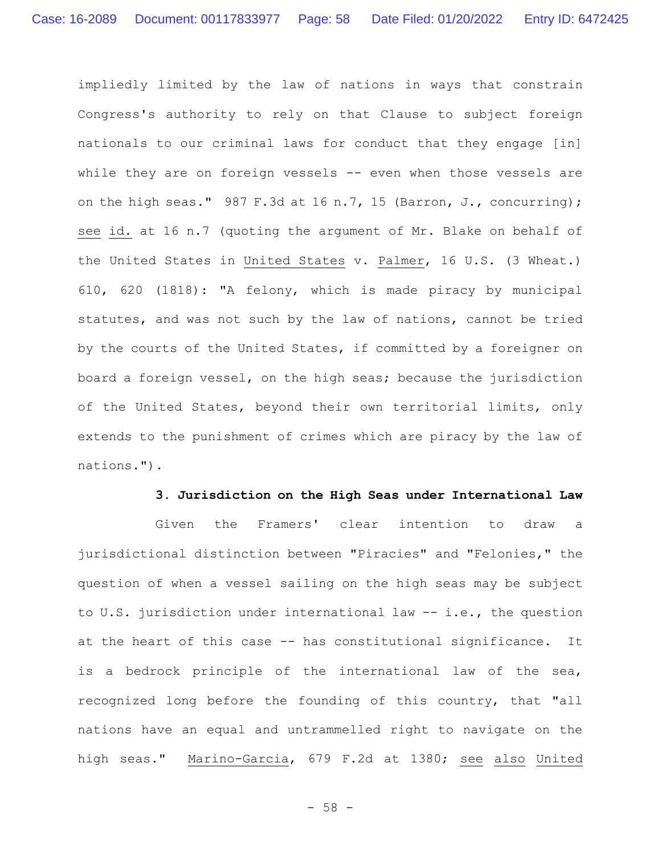impliedly limited by the law of nations in ways that constrain Congress's authority to rely on that Clause to subject foreign nationals to our criminal laws for conduct that they engage [in] while they are on foreign vessels -- even when those vessels are on the high seas." 987 F.3d at 16 n.7, 15 (Barron, J., concurring); see id. at 16 n.7 (quoting the argument of Mr. Blake on behalf of the United States in United States v. Palmer, 16 U.S. (3 Wheat.) 610, 620 (1818): "A felony, which is made piracy by municipal statutes, and was not such by the law of nations, cannot be tried by the courts of the United States, if committed by a foreigner on board a foreign vessel, on the high seas; because the jurisdiction of the United States, beyond their own territorial limits, only extends to the punishment of crimes which are piracy by the law of nations.").

#### **3. Jurisdiction on the High Seas under International Law**

Given the Framers' clear intention to draw a jurisdictional distinction between "Piracies" and "Felonies," the question of when a vessel sailing on the high seas may be subject to U.S. jurisdiction under international law -- i.e., the question at the heart of this case -- has constitutional significance. It is a bedrock principle of the international law of the sea, recognized long before the founding of this country, that "all nations have an equal and untrammelled right to navigate on the high seas." Marino-Garcia, 679 F.2d at 1380; see also United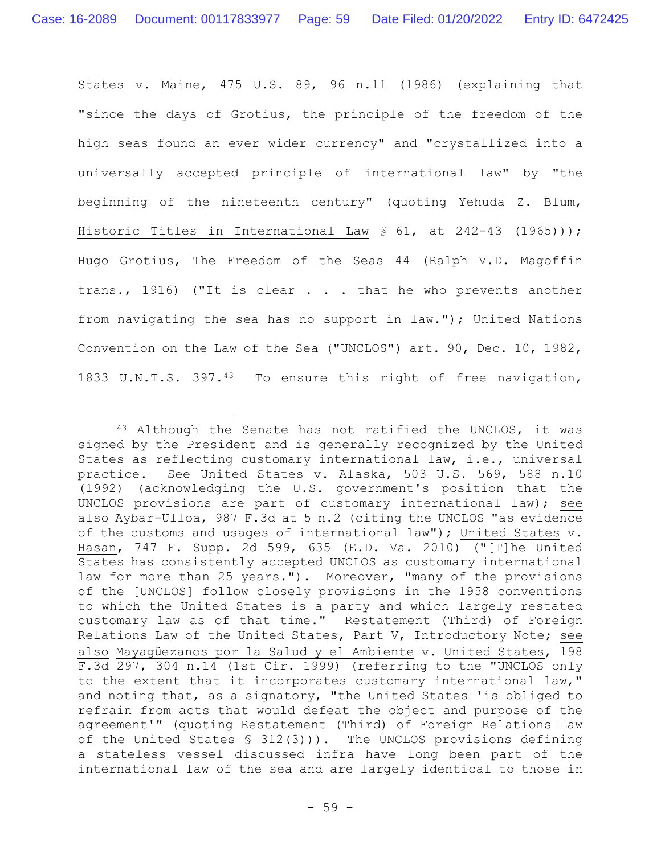States v. Maine, 475 U.S. 89, 96 n.11 (1986) (explaining that "since the days of Grotius, the principle of the freedom of the high seas found an ever wider currency" and "crystallized into a universally accepted principle of international law" by "the beginning of the nineteenth century" (quoting Yehuda Z. Blum, Historic Titles in International Law § 61, at 242-43 (1965))); Hugo Grotius, The Freedom of the Seas 44 (Ralph V.D. Magoffin trans., 1916) ("It is clear . . . that he who prevents another from navigating the sea has no support in law."); United Nations Convention on the Law of the Sea ("UNCLOS") art. 90, Dec. 10, 1982, 1833 U.N.T.S. 397.43 To ensure this right of free navigation,

<sup>43</sup> Although the Senate has not ratified the UNCLOS, it was signed by the President and is generally recognized by the United States as reflecting customary international law, i.e., universal practice. See United States v. Alaska, 503 U.S. 569, 588 n.10 (1992) (acknowledging the U.S. government's position that the UNCLOS provisions are part of customary international law); see also Aybar-Ulloa, 987 F.3d at 5 n.2 (citing the UNCLOS "as evidence of the customs and usages of international law"); United States v. Hasan, 747 F. Supp. 2d 599, 635 (E.D. Va. 2010) ("[T]he United States has consistently accepted UNCLOS as customary international law for more than 25 years."). Moreover, "many of the provisions of the [UNCLOS] follow closely provisions in the 1958 conventions to which the United States is a party and which largely restated customary law as of that time." Restatement (Third) of Foreign Relations Law of the United States, Part V, Introductory Note; see also Mayagüezanos por la Salud y el Ambiente v. United States, 198 F.3d 297, 304 n.14 (1st Cir. 1999) (referring to the "UNCLOS only to the extent that it incorporates customary international law," and noting that, as a signatory, "the United States 'is obliged to refrain from acts that would defeat the object and purpose of the agreement'" (quoting Restatement (Third) of Foreign Relations Law of the United States § 312(3))). The UNCLOS provisions defining a stateless vessel discussed infra have long been part of the international law of the sea and are largely identical to those in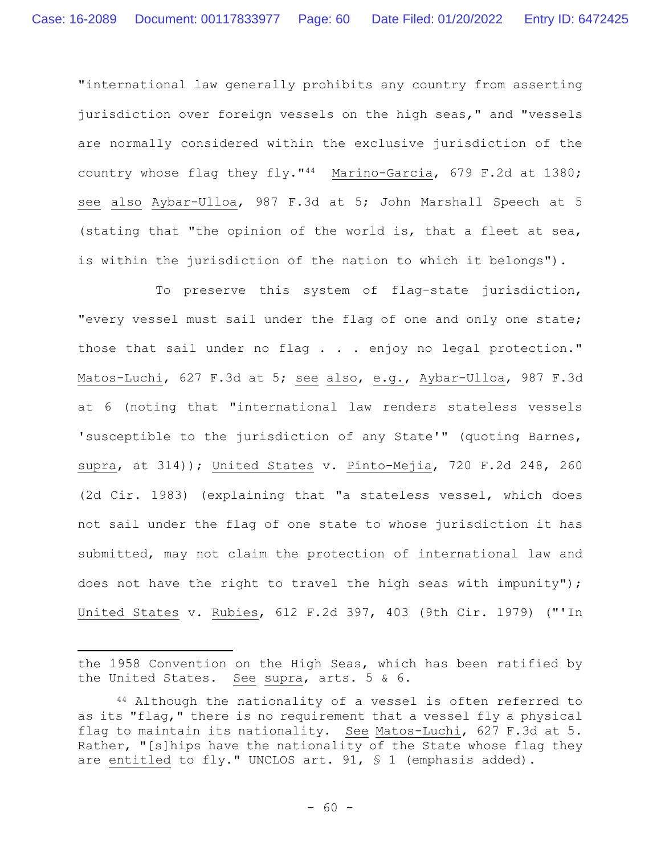"international law generally prohibits any country from asserting jurisdiction over foreign vessels on the high seas," and "vessels are normally considered within the exclusive jurisdiction of the country whose flag they fly."44 Marino-Garcia, 679 F.2d at 1380; see also Aybar-Ulloa, 987 F.3d at 5; John Marshall Speech at 5 (stating that "the opinion of the world is, that a fleet at sea, is within the jurisdiction of the nation to which it belongs").

To preserve this system of flag-state jurisdiction, "every vessel must sail under the flag of one and only one state; those that sail under no flag . . . enjoy no legal protection." Matos-Luchi, 627 F.3d at 5; see also, e.g., Aybar-Ulloa, 987 F.3d at 6 (noting that "international law renders stateless vessels 'susceptible to the jurisdiction of any State'" (quoting Barnes, supra, at 314)); United States v. Pinto-Mejia, 720 F.2d 248, 260 (2d Cir. 1983) (explaining that "a stateless vessel, which does not sail under the flag of one state to whose jurisdiction it has submitted, may not claim the protection of international law and does not have the right to travel the high seas with impunity"); United States v. Rubies, 612 F.2d 397, 403 (9th Cir. 1979) ("'In

the 1958 Convention on the High Seas, which has been ratified by the United States. See supra, arts. 5 & 6.

<sup>44</sup> Although the nationality of a vessel is often referred to as its "flag," there is no requirement that a vessel fly a physical flag to maintain its nationality. See Matos-Luchi, 627 F.3d at 5. Rather, "[s]hips have the nationality of the State whose flag they are entitled to fly." UNCLOS art. 91, § 1 (emphasis added).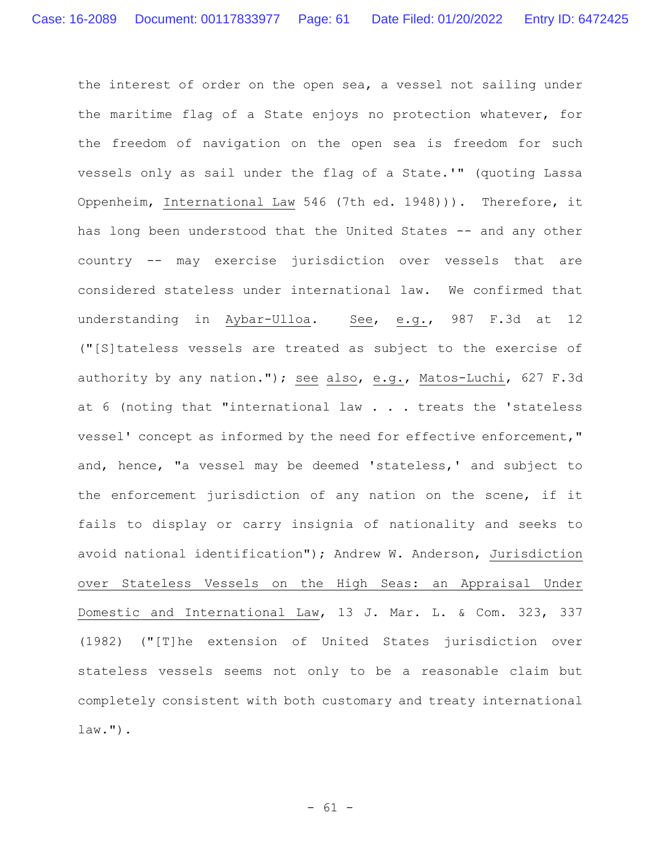the interest of order on the open sea, a vessel not sailing under the maritime flag of a State enjoys no protection whatever, for the freedom of navigation on the open sea is freedom for such vessels only as sail under the flag of a State.'" (quoting Lassa Oppenheim, International Law 546 (7th ed. 1948))). Therefore, it has long been understood that the United States -- and any other country -- may exercise jurisdiction over vessels that are considered stateless under international law. We confirmed that understanding in Aybar-Ulloa. See, e.g., 987 F.3d at 12 ("[S]tateless vessels are treated as subject to the exercise of authority by any nation."); see also, e.g., Matos-Luchi, 627 F.3d at 6 (noting that "international law . . . treats the 'stateless vessel' concept as informed by the need for effective enforcement," and, hence, "a vessel may be deemed 'stateless,' and subject to the enforcement jurisdiction of any nation on the scene, if it fails to display or carry insignia of nationality and seeks to avoid national identification"); Andrew W. Anderson, Jurisdiction over Stateless Vessels on the High Seas: an Appraisal Under Domestic and International Law, 13 J. Mar. L. & Com. 323, 337 (1982) ("[T]he extension of United States jurisdiction over stateless vessels seems not only to be a reasonable claim but completely consistent with both customary and treaty international law.").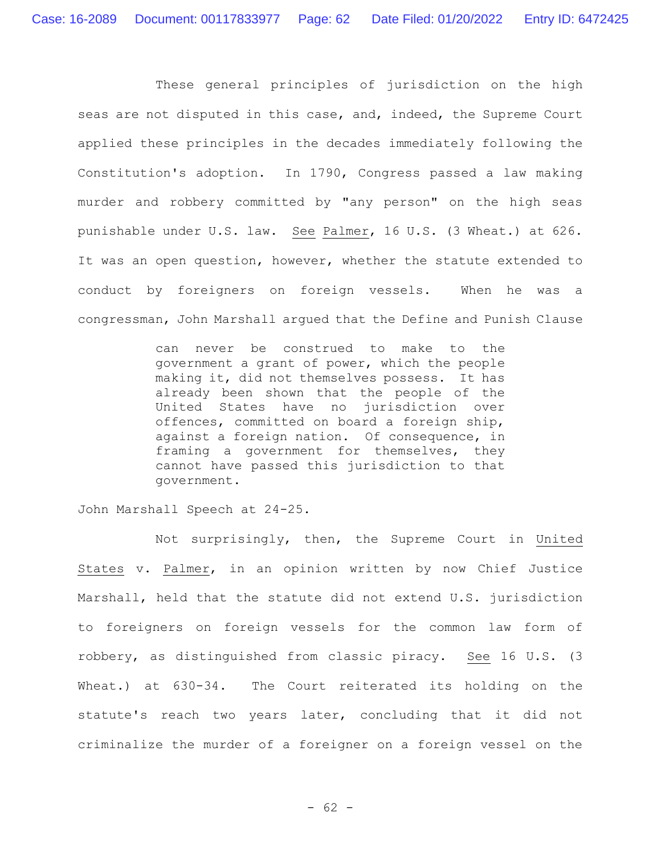These general principles of jurisdiction on the high seas are not disputed in this case, and, indeed, the Supreme Court applied these principles in the decades immediately following the Constitution's adoption. In 1790, Congress passed a law making murder and robbery committed by "any person" on the high seas punishable under U.S. law. See Palmer, 16 U.S. (3 Wheat.) at 626. It was an open question, however, whether the statute extended to conduct by foreigners on foreign vessels. When he was a congressman, John Marshall argued that the Define and Punish Clause

> can never be construed to make to the government a grant of power, which the people making it, did not themselves possess. It has already been shown that the people of the United States have no jurisdiction over offences, committed on board a foreign ship, against a foreign nation. Of consequence, in framing a government for themselves, they cannot have passed this jurisdiction to that government.

John Marshall Speech at 24-25.

Not surprisingly, then, the Supreme Court in United States v. Palmer, in an opinion written by now Chief Justice Marshall, held that the statute did not extend U.S. jurisdiction to foreigners on foreign vessels for the common law form of robbery, as distinguished from classic piracy. See 16 U.S. (3 Wheat.) at 630-34. The Court reiterated its holding on the statute's reach two years later, concluding that it did not criminalize the murder of a foreigner on a foreign vessel on the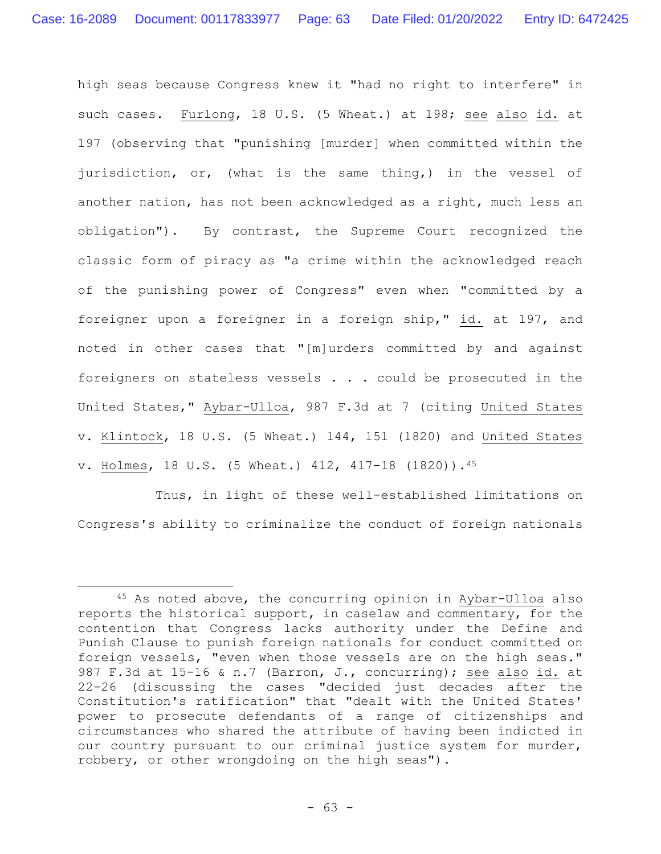high seas because Congress knew it "had no right to interfere" in such cases. Furlong, 18 U.S. (5 Wheat.) at 198; see also id. at 197 (observing that "punishing [murder] when committed within the jurisdiction, or, (what is the same thing,) in the vessel of another nation, has not been acknowledged as a right, much less an obligation"). By contrast, the Supreme Court recognized the classic form of piracy as "a crime within the acknowledged reach of the punishing power of Congress" even when "committed by a foreigner upon a foreigner in a foreign ship," id. at 197, and noted in other cases that "[m]urders committed by and against foreigners on stateless vessels . . . could be prosecuted in the United States," Aybar-Ulloa, 987 F.3d at 7 (citing United States v. Klintock, 18 U.S. (5 Wheat.) 144, 151 (1820) and United States v. Holmes, 18 U.S. (5 Wheat.) 412, 417-18 (1820)).<sup>45</sup>

Thus, in light of these well-established limitations on Congress's ability to criminalize the conduct of foreign nationals

<sup>45</sup> As noted above, the concurring opinion in Aybar-Ulloa also reports the historical support, in caselaw and commentary, for the contention that Congress lacks authority under the Define and Punish Clause to punish foreign nationals for conduct committed on foreign vessels, "even when those vessels are on the high seas." 987 F.3d at 15-16 & n.7 (Barron, J., concurring); see also id. at 22-26 (discussing the cases "decided just decades after the Constitution's ratification" that "dealt with the United States' power to prosecute defendants of a range of citizenships and circumstances who shared the attribute of having been indicted in our country pursuant to our criminal justice system for murder, robbery, or other wrongdoing on the high seas").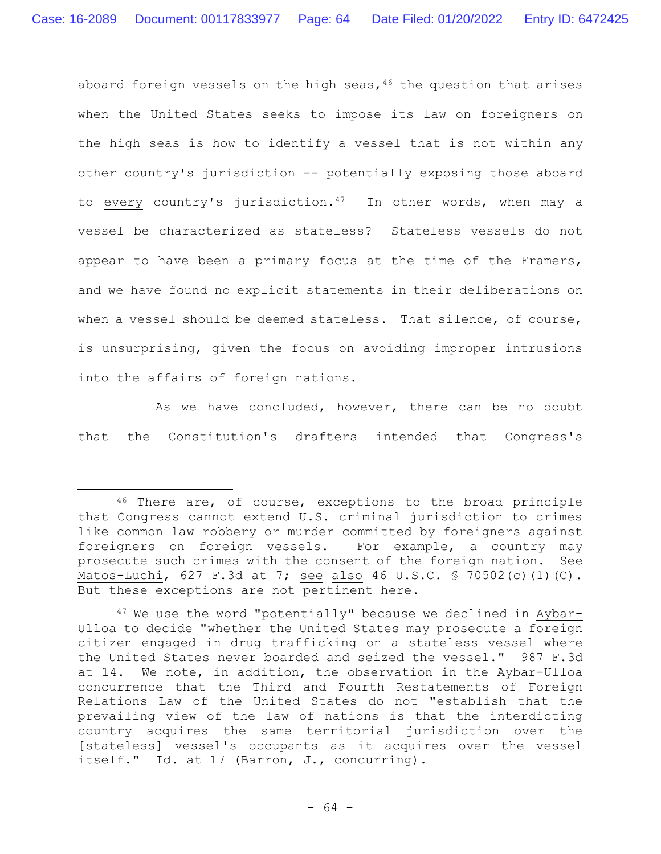aboard foreign vessels on the high seas,  $46$  the question that arises when the United States seeks to impose its law on foreigners on the high seas is how to identify a vessel that is not within any other country's jurisdiction -- potentially exposing those aboard to every country's jurisdiction. $47$  In other words, when may a vessel be characterized as stateless? Stateless vessels do not appear to have been a primary focus at the time of the Framers, and we have found no explicit statements in their deliberations on when a vessel should be deemed stateless. That silence, of course, is unsurprising, given the focus on avoiding improper intrusions into the affairs of foreign nations.

As we have concluded, however, there can be no doubt that the Constitution's drafters intended that Congress's

<sup>46</sup> There are, of course, exceptions to the broad principle that Congress cannot extend U.S. criminal jurisdiction to crimes like common law robbery or murder committed by foreigners against foreigners on foreign vessels. For example, a country may prosecute such crimes with the consent of the foreign nation. See Matos-Luchi, 627 F.3d at 7; see also 46 U.S.C. § 70502(c)(1)(C). But these exceptions are not pertinent here.

 $47$  We use the word "potentially" because we declined in Aybar-Ulloa to decide "whether the United States may prosecute a foreign citizen engaged in drug trafficking on a stateless vessel where the United States never boarded and seized the vessel." 987 F.3d at 14. We note, in addition, the observation in the Aybar-Ulloa concurrence that the Third and Fourth Restatements of Foreign Relations Law of the United States do not "establish that the prevailing view of the law of nations is that the interdicting country acquires the same territorial jurisdiction over the [stateless] vessel's occupants as it acquires over the vessel itself." Id. at 17 (Barron, J., concurring).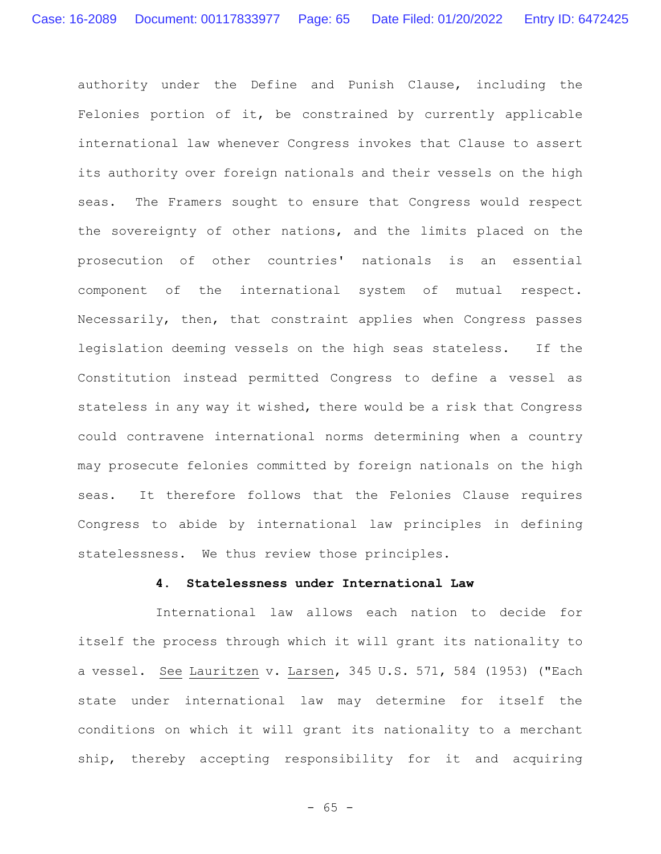authority under the Define and Punish Clause, including the Felonies portion of it, be constrained by currently applicable international law whenever Congress invokes that Clause to assert its authority over foreign nationals and their vessels on the high seas. The Framers sought to ensure that Congress would respect the sovereignty of other nations, and the limits placed on the prosecution of other countries' nationals is an essential component of the international system of mutual respect. Necessarily, then, that constraint applies when Congress passes legislation deeming vessels on the high seas stateless.If the Constitution instead permitted Congress to define a vessel as stateless in any way it wished, there would be a risk that Congress could contravene international norms determining when a country may prosecute felonies committed by foreign nationals on the high seas. It therefore follows that the Felonies Clause requires Congress to abide by international law principles in defining statelessness. We thus review those principles.

### **4. Statelessness under International Law**

International law allows each nation to decide for itself the process through which it will grant its nationality to a vessel. See Lauritzen v. Larsen, 345 U.S. 571, 584 (1953) ("Each state under international law may determine for itself the conditions on which it will grant its nationality to a merchant ship, thereby accepting responsibility for it and acquiring

- 65 -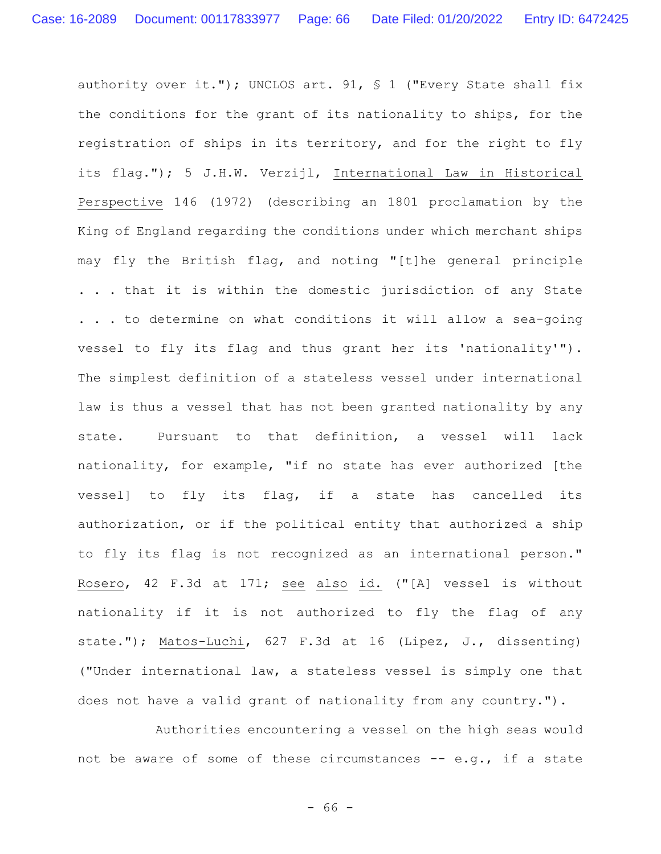authority over it."); UNCLOS art. 91, § 1 ("Every State shall fix the conditions for the grant of its nationality to ships, for the registration of ships in its territory, and for the right to fly its flag."); 5 J.H.W. Verzijl, International Law in Historical Perspective 146 (1972) (describing an 1801 proclamation by the King of England regarding the conditions under which merchant ships may fly the British flag, and noting "[t]he general principle . . . that it is within the domestic jurisdiction of any State . . . to determine on what conditions it will allow a sea-going vessel to fly its flag and thus grant her its 'nationality'"). The simplest definition of a stateless vessel under international law is thus a vessel that has not been granted nationality by any state. Pursuant to that definition, a vessel will lack nationality, for example, "if no state has ever authorized [the vessel] to fly its flag, if a state has cancelled its authorization, or if the political entity that authorized a ship to fly its flag is not recognized as an international person." Rosero, 42 F.3d at 171; see also id. ("[A] vessel is without nationality if it is not authorized to fly the flag of any state."); Matos-Luchi, 627 F.3d at 16 (Lipez, J., dissenting) ("Under international law, a stateless vessel is simply one that does not have a valid grant of nationality from any country.").

Authorities encountering a vessel on the high seas would not be aware of some of these circumstances -- e.g., if a state

- 66 -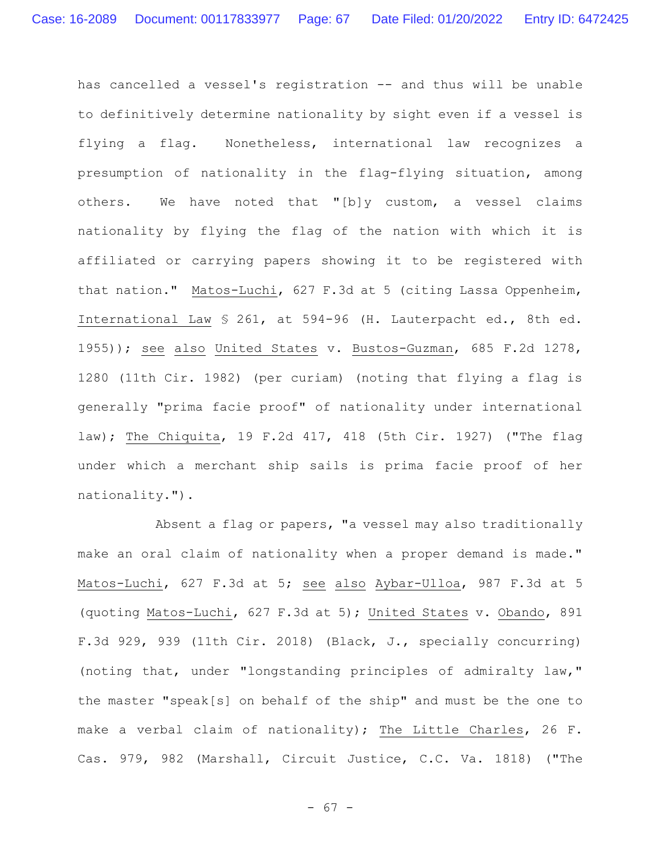has cancelled a vessel's registration -- and thus will be unable to definitively determine nationality by sight even if a vessel is flying a flag. Nonetheless, international law recognizes a presumption of nationality in the flag-flying situation, among others. We have noted that "[b]y custom, a vessel claims nationality by flying the flag of the nation with which it is affiliated or carrying papers showing it to be registered with that nation." Matos-Luchi, 627 F.3d at 5 (citing Lassa Oppenheim, International Law § 261, at 594-96 (H. Lauterpacht ed., 8th ed. 1955)); see also United States v. Bustos-Guzman, 685 F.2d 1278, 1280 (11th Cir. 1982) (per curiam) (noting that flying a flag is generally "prima facie proof" of nationality under international law); The Chiquita, 19 F.2d 417, 418 (5th Cir. 1927) ("The flag under which a merchant ship sails is prima facie proof of her nationality.").

Absent a flag or papers, "a vessel may also traditionally make an oral claim of nationality when a proper demand is made." Matos-Luchi, 627 F.3d at 5; see also Aybar-Ulloa, 987 F.3d at 5 (quoting Matos-Luchi, 627 F.3d at 5); United States v. Obando, 891 F.3d 929, 939 (11th Cir. 2018) (Black, J., specially concurring) (noting that, under "longstanding principles of admiralty law," the master "speak[s] on behalf of the ship" and must be the one to make a verbal claim of nationality); The Little Charles, 26 F. Cas. 979, 982 (Marshall, Circuit Justice, C.C. Va. 1818) ("The

- 67 -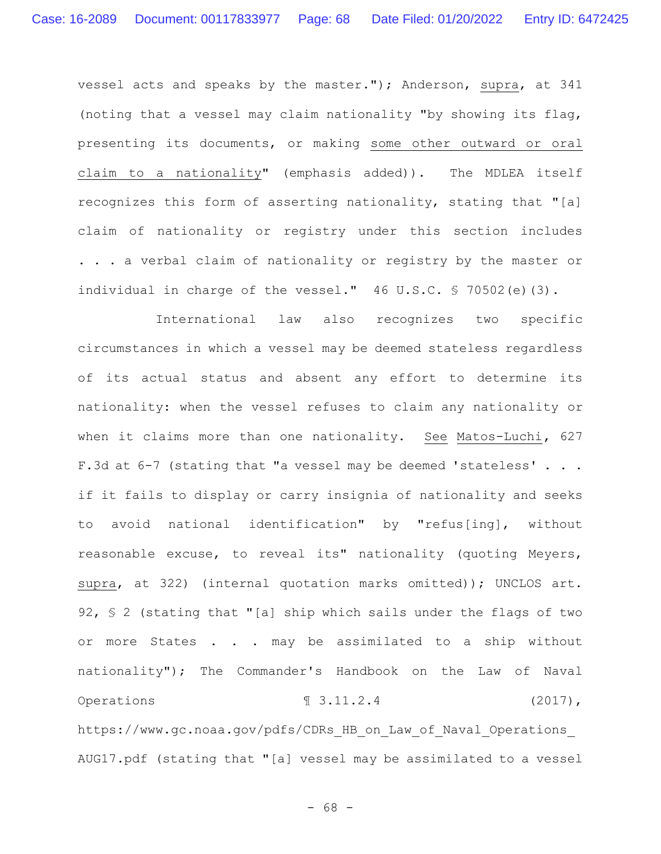vessel acts and speaks by the master."); Anderson, supra, at 341 (noting that a vessel may claim nationality "by showing its flag, presenting its documents, or making some other outward or oral claim to a nationality" (emphasis added)). The MDLEA itself recognizes this form of asserting nationality, stating that "[a] claim of nationality or registry under this section includes . . . a verbal claim of nationality or registry by the master or individual in charge of the vessel." 46 U.S.C. § 70502(e)(3).

International law also recognizes two specific circumstances in which a vessel may be deemed stateless regardless of its actual status and absent any effort to determine its nationality: when the vessel refuses to claim any nationality or when it claims more than one nationality. See Matos-Luchi**,** 627 F.3d at 6-7 (stating that "a vessel may be deemed 'stateless' . . . if it fails to display or carry insignia of nationality and seeks to avoid national identification" by "refus[ing], without reasonable excuse, to reveal its" nationality (quoting Meyers, supra, at 322) (internal quotation marks omitted)); UNCLOS art. 92, § 2 (stating that "[a] ship which sails under the flags of two or more States . . . may be assimilated to a ship without nationality"); The Commander's Handbook on the Law of Naval Operations  $\text{I} \quad 3.11.2.4$  (2017), https://www.gc.noaa.gov/pdfs/CDRs HB on Law of Naval Operations

AUG17.pdf (stating that "[a] vessel may be assimilated to a vessel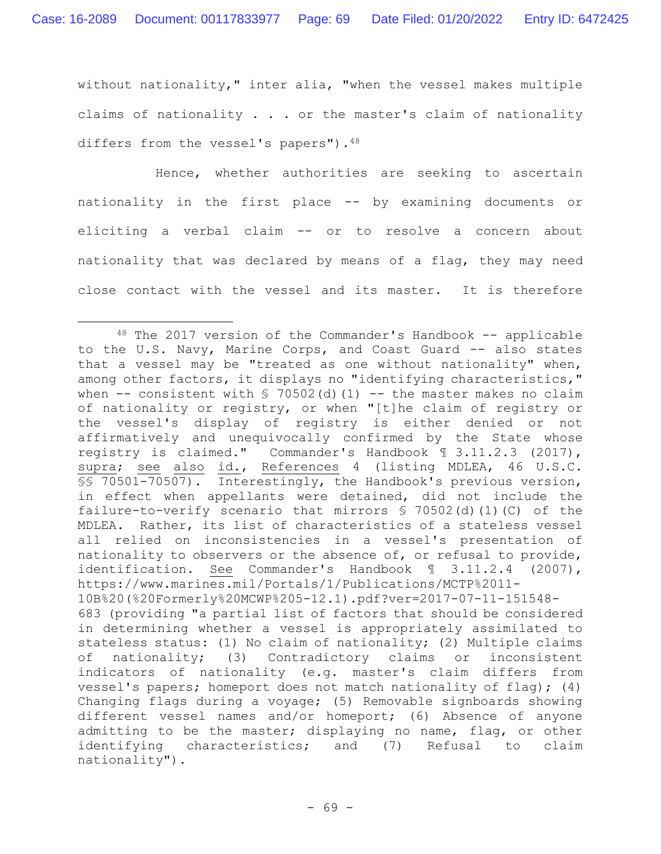without nationality," inter alia, "when the vessel makes multiple claims of nationality . . . or the master's claim of nationality differs from the vessel's papers"). 48

Hence, whether authorities are seeking to ascertain nationality in the first place -- by examining documents or eliciting a verbal claim -- or to resolve a concern about nationality that was declared by means of a flag, they may need close contact with the vessel and its master. It is therefore

 $48$  The 2017 version of the Commander's Handbook  $-$  applicable to the U.S. Navy, Marine Corps, and Coast Guard -- also states that a vessel may be "treated as one without nationality" when, among other factors, it displays no "identifying characteristics," when  $--$  consistent with § 70502(d)(1) -- the master makes no claim of nationality or registry, or when "[t]he claim of registry or the vessel's display of registry is either denied or not affirmatively and unequivocally confirmed by the State whose registry is claimed." Commander's Handbook ¶ 3.11.2.3 (2017), supra; see also id., References 4 (listing MDLEA, 46 U.S.C. §§ 70501-70507). Interestingly, the Handbook's previous version, in effect when appellants were detained, did not include the failure-to-verify scenario that mirrors § 70502(d)(1)(C) of the MDLEA. Rather, its list of characteristics of a stateless vessel all relied on inconsistencies in a vessel's presentation of nationality to observers or the absence of, or refusal to provide, identification. See Commander's Handbook ¶ 3.11.2.4 (2007), https://www.marines.mil/Portals/1/Publications/MCTP%2011- 10B%20(%20Formerly%20MCWP%205-12.1).pdf?ver=2017-07-11-151548- 683 (providing "a partial list of factors that should be considered in determining whether a vessel is appropriately assimilated to stateless status: (1) No claim of nationality; (2) Multiple claims of nationality; (3) Contradictory claims or inconsistent indicators of nationality (e.g. master's claim differs from vessel's papers; homeport does not match nationality of flag); (4) Changing flags during a voyage; (5) Removable signboards showing different vessel names and/or homeport; (6) Absence of anyone admitting to be the master; displaying no name, flag, or other identifying characteristics; and (7) Refusal to claim nationality").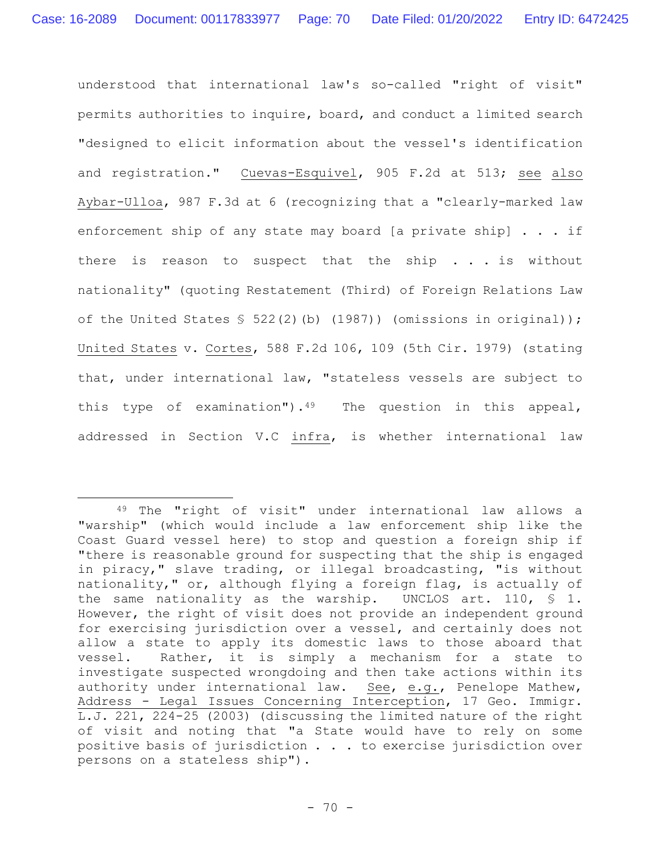understood that international law's so-called "right of visit" permits authorities to inquire, board, and conduct a limited search "designed to elicit information about the vessel's identification and registration." Cuevas-Esquivel, 905 F.2d at 513; see also Aybar-Ulloa, 987 F.3d at 6 (recognizing that a "clearly-marked law enforcement ship of any state may board [a private ship] . . . if there is reason to suspect that the ship . . . is without nationality" (quoting Restatement (Third) of Foreign Relations Law of the United States § 522(2)(b) (1987)) (omissions in original)); United States v. Cortes, 588 F.2d 106, 109 (5th Cir. 1979) (stating that, under international law, "stateless vessels are subject to this type of examination").<sup>49</sup> The question in this appeal, addressed in Section V.C infra, is whether international law

<sup>49</sup> The "right of visit" under international law allows a "warship" (which would include a law enforcement ship like the Coast Guard vessel here) to stop and question a foreign ship if "there is reasonable ground for suspecting that the ship is engaged in piracy," slave trading, or illegal broadcasting, "is without nationality," or, although flying a foreign flag, is actually of the same nationality as the warship. UNCLOS art. 110, § 1. However, the right of visit does not provide an independent ground for exercising jurisdiction over a vessel, and certainly does not allow a state to apply its domestic laws to those aboard that vessel. Rather, it is simply a mechanism for a state to investigate suspected wrongdoing and then take actions within its authority under international law. See, e.g., Penelope Mathew, Address - Legal Issues Concerning Interception, 17 Geo. Immigr. L.J. 221, 224-25 (2003) (discussing the limited nature of the right of visit and noting that "a State would have to rely on some positive basis of jurisdiction . . . to exercise jurisdiction over persons on a stateless ship")**.**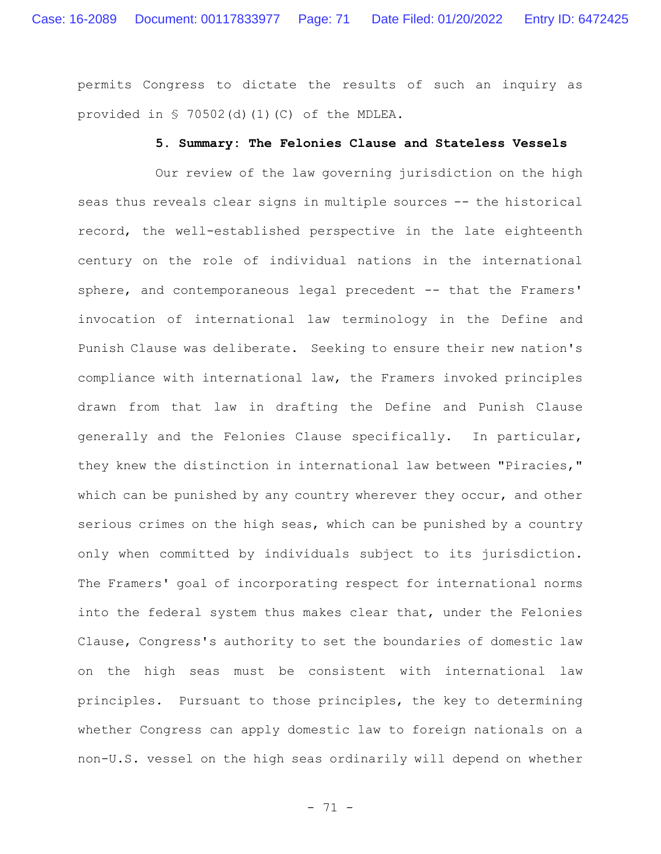permits Congress to dictate the results of such an inquiry as provided in § 70502(d)(1)(C) of the MDLEA.

#### **5. Summary: The Felonies Clause and Stateless Vessels**

Our review of the law governing jurisdiction on the high seas thus reveals clear signs in multiple sources -- the historical record, the well-established perspective in the late eighteenth century on the role of individual nations in the international sphere, and contemporaneous legal precedent -- that the Framers' invocation of international law terminology in the Define and Punish Clause was deliberate. Seeking to ensure their new nation's compliance with international law, the Framers invoked principles drawn from that law in drafting the Define and Punish Clause generally and the Felonies Clause specifically. In particular, they knew the distinction in international law between "Piracies," which can be punished by any country wherever they occur, and other serious crimes on the high seas, which can be punished by a country only when committed by individuals subject to its jurisdiction. The Framers' goal of incorporating respect for international norms into the federal system thus makes clear that, under the Felonies Clause, Congress's authority to set the boundaries of domestic law on the high seas must be consistent with international law principles. Pursuant to those principles, the key to determining whether Congress can apply domestic law to foreign nationals on a non-U.S. vessel on the high seas ordinarily will depend on whether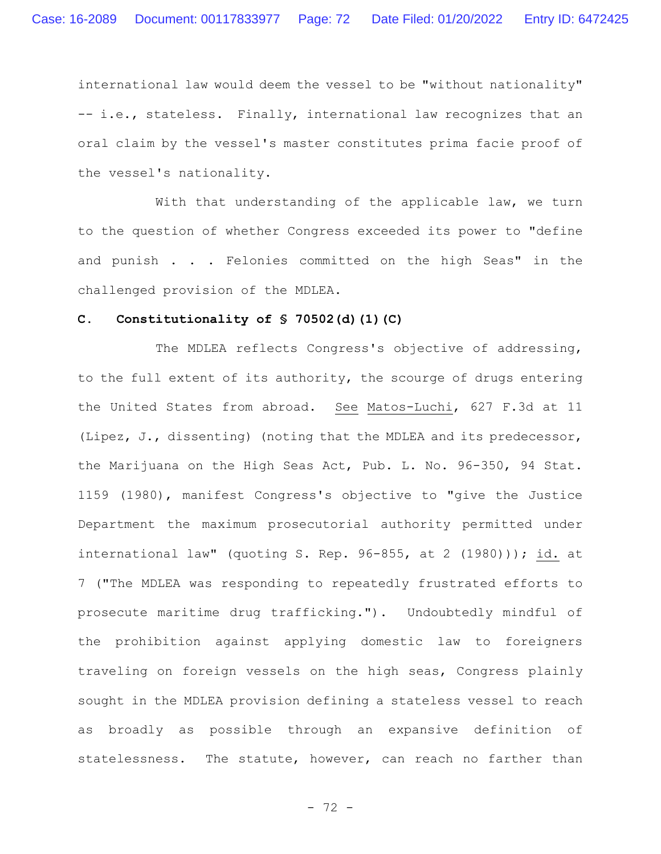international law would deem the vessel to be "without nationality" -- i.e., stateless. Finally, international law recognizes that an oral claim by the vessel's master constitutes prima facie proof of the vessel's nationality.

With that understanding of the applicable law, we turn to the question of whether Congress exceeded its power to "define and punish . . . Felonies committed on the high Seas" in the challenged provision of the MDLEA.

#### **C. Constitutionality of § 70502(d)(1)(C)**

The MDLEA reflects Congress's objective of addressing, to the full extent of its authority, the scourge of drugs entering the United States from abroad. See Matos-Luchi, 627 F.3d at 11 (Lipez, J., dissenting) (noting that the MDLEA and its predecessor, the Marijuana on the High Seas Act, Pub. L. No. 96-350, 94 Stat. 1159 (1980), manifest Congress's objective to "give the Justice Department the maximum prosecutorial authority permitted under international law" (quoting S. Rep. 96-855, at 2 (1980))); id. at 7 ("The MDLEA was responding to repeatedly frustrated efforts to prosecute maritime drug trafficking."). Undoubtedly mindful of the prohibition against applying domestic law to foreigners traveling on foreign vessels on the high seas, Congress plainly sought in the MDLEA provision defining a stateless vessel to reach as broadly as possible through an expansive definition of statelessness. The statute, however, can reach no farther than

- 72 -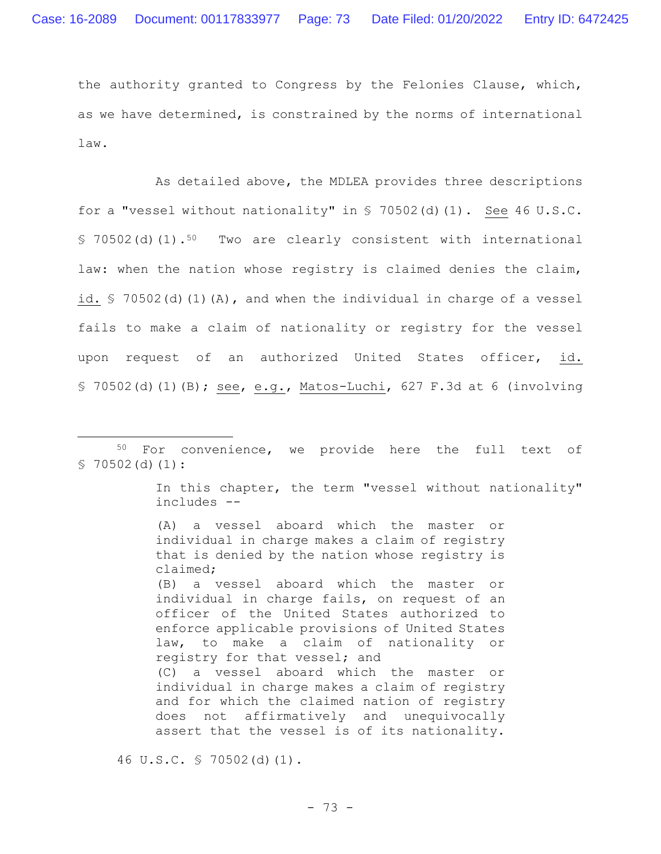the authority granted to Congress by the Felonies Clause, which, as we have determined, is constrained by the norms of international law.

As detailed above, the MDLEA provides three descriptions for a "vessel without nationality" in  $\frac{1}{5}$  70502(d)(1). See 46 U.S.C. § 70502(d)(1).<sup>50</sup> Two are clearly consistent with international law: when the nation whose registry is claimed denies the claim, id. § 70502(d)(1)(A), and when the individual in charge of a vessel fails to make a claim of nationality or registry for the vessel upon request of an authorized United States officer, id. § 70502(d)(1)(B); see, e.g., Matos-Luchi, 627 F.3d at 6 (involving

In this chapter, the term "vessel without nationality" includes --

(A) a vessel aboard which the master or individual in charge makes a claim of registry that is denied by the nation whose registry is claimed; (B) a vessel aboard which the master or individual in charge fails, on request of an officer of the United States authorized to enforce applicable provisions of United States law, to make a claim of nationality or registry for that vessel; and (C) a vessel aboard which the master or individual in charge makes a claim of registry and for which the claimed nation of registry does not affirmatively and unequivocally assert that the vessel is of its nationality.

46 U.S.C. § 70502(d)(1).

<sup>50</sup> For convenience, we provide here the full text of  $$70502(d)(1):$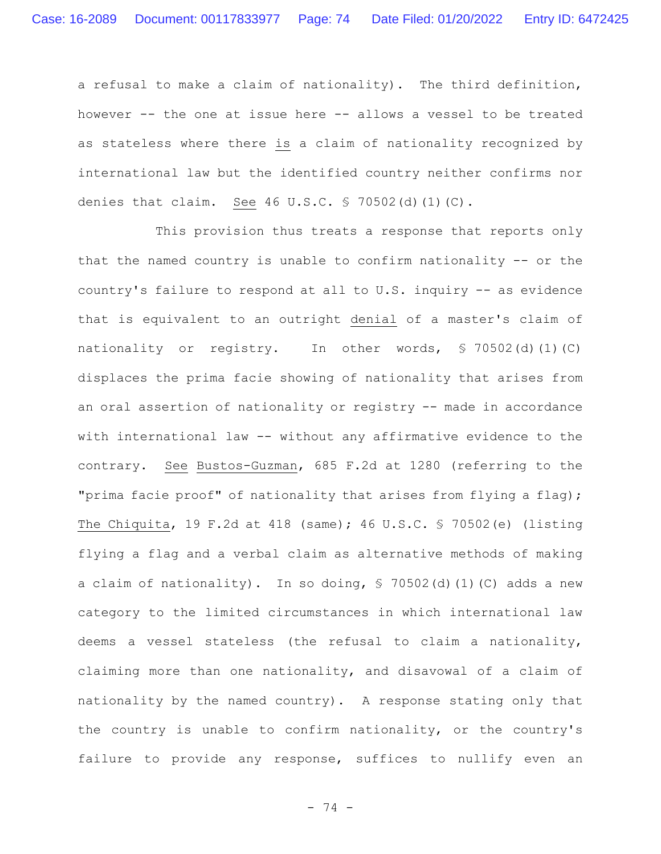a refusal to make a claim of nationality). The third definition, however -- the one at issue here -- allows a vessel to be treated as stateless where there is a claim of nationality recognized by international law but the identified country neither confirms nor denies that claim. See 46 U.S.C. § 70502(d)(1)(C).

This provision thus treats a response that reports only that the named country is unable to confirm nationality -- or the country's failure to respond at all to U.S. inquiry -- as evidence that is equivalent to an outright denial of a master's claim of nationality or registry.In other words, § 70502(d)(1)(C) displaces the prima facie showing of nationality that arises from an oral assertion of nationality or registry -- made in accordance with international law -- without any affirmative evidence to the contrary. See Bustos-Guzman, 685 F.2d at 1280 (referring to the "prima facie proof" of nationality that arises from flying a flag); The Chiquita, 19 F.2d at 418 (same); 46 U.S.C. § 70502(e) (listing flying a flag and a verbal claim as alternative methods of making a claim of nationality). In so doing, § 70502(d)(1)(C) adds a new category to the limited circumstances in which international law deems a vessel stateless (the refusal to claim a nationality, claiming more than one nationality, and disavowal of a claim of nationality by the named country).A response stating only that the country is unable to confirm nationality, or the country's failure to provide any response, suffices to nullify even an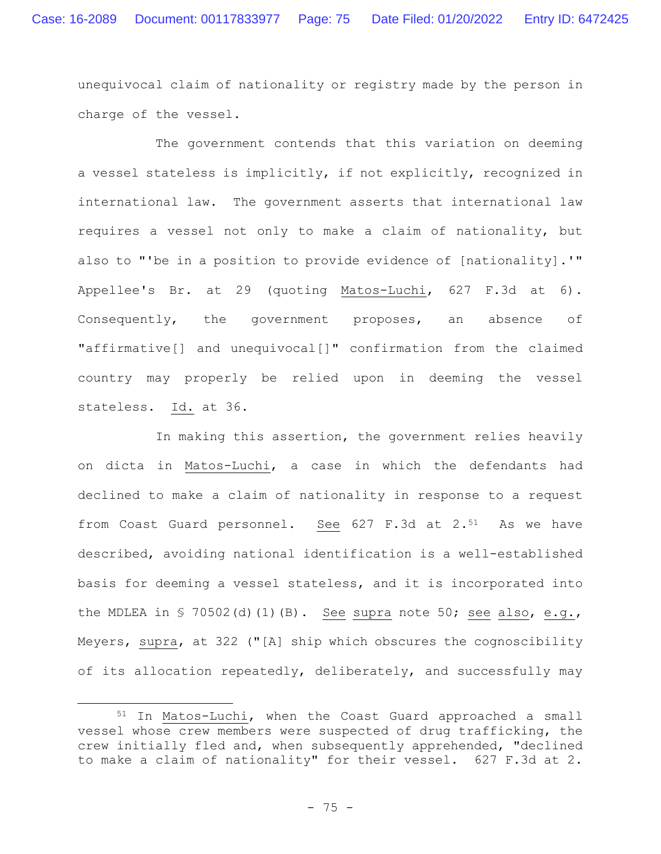unequivocal claim of nationality or registry made by the person in charge of the vessel.

The government contends that this variation on deeming a vessel stateless is implicitly, if not explicitly, recognized in international law. The government asserts that international law requires a vessel not only to make a claim of nationality, but also to "'be in a position to provide evidence of [nationality].'" Appellee's Br. at 29 (quoting Matos-Luchi, 627 F.3d at 6). Consequently, the government proposes, an absence of "affirmative[] and unequivocal[]" confirmation from the claimed country may properly be relied upon in deeming the vessel stateless. Id. at 36.

In making this assertion, the government relies heavily on dicta in Matos-Luchi, a case in which the defendants had declined to make a claim of nationality in response to a request from Coast Guard personnel. See 627 F.3d at 2.<sup>51</sup> As we have described, avoiding national identification is a well-established basis for deeming a vessel stateless, and it is incorporated into the MDLEA in  $\frac{1}{5}$  70502(d)(1)(B). See supra note 50; see also, e.g., Meyers, supra, at 322 ("[A] ship which obscures the cognoscibility of its allocation repeatedly, deliberately, and successfully may

<sup>51</sup> In Matos-Luchi, when the Coast Guard approached a small vessel whose crew members were suspected of drug trafficking, the crew initially fled and, when subsequently apprehended, "declined to make a claim of nationality" for their vessel. 627 F.3d at 2.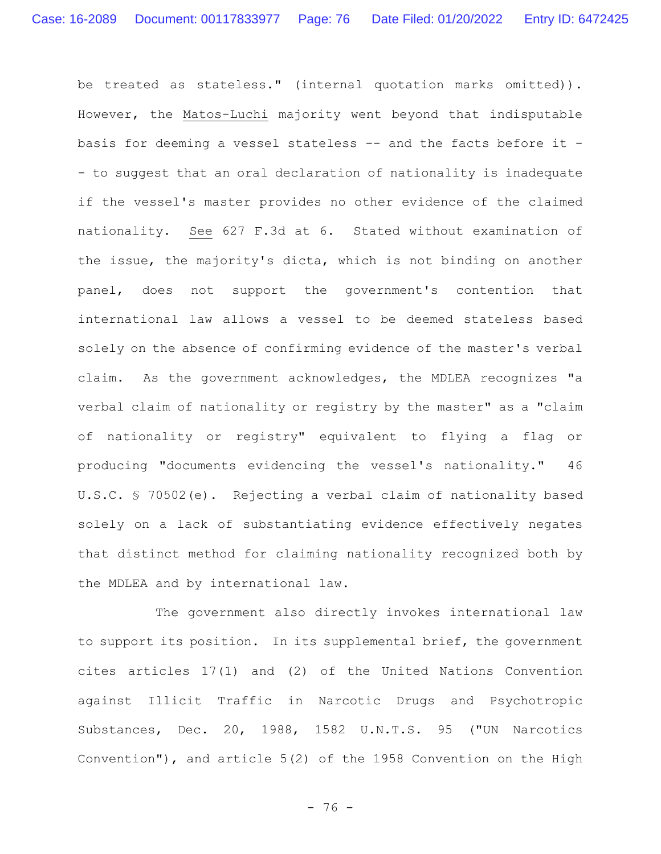be treated as stateless." (internal quotation marks omitted)). However, the Matos-Luchi majority went beyond that indisputable basis for deeming a vessel stateless -- and the facts before it - - to suggest that an oral declaration of nationality is inadequate if the vessel's master provides no other evidence of the claimed nationality. See 627 F.3d at 6. Stated without examination of the issue, the majority's dicta, which is not binding on another panel, does not support the government's contention that international law allows a vessel to be deemed stateless based solely on the absence of confirming evidence of the master's verbal claim. As the government acknowledges, the MDLEA recognizes "a verbal claim of nationality or registry by the master" as a "claim of nationality or registry" equivalent to flying a flag or producing "documents evidencing the vessel's nationality." 46 U.S.C. § 70502(e). Rejecting a verbal claim of nationality based solely on a lack of substantiating evidence effectively negates that distinct method for claiming nationality recognized both by the MDLEA and by international law.

The government also directly invokes international law to support its position. In its supplemental brief, the government cites articles 17(1) and (2) of the United Nations Convention against Illicit Traffic in Narcotic Drugs and Psychotropic Substances, Dec. 20, 1988, 1582 U.N.T.S. 95 ("UN Narcotics Convention"), and article 5(2) of the 1958 Convention on the High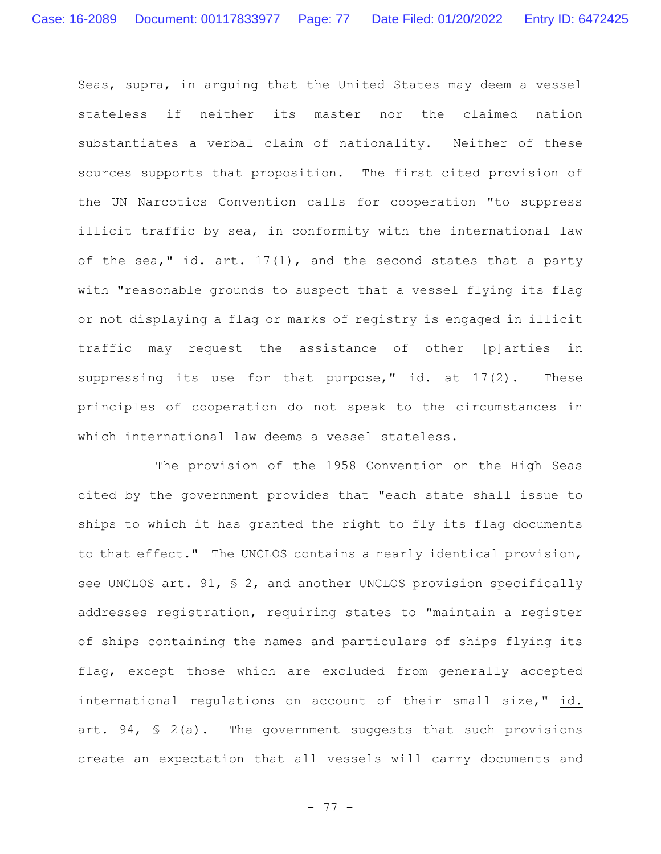Seas, supra, in arguing that the United States may deem a vessel stateless if neither its master nor the claimed nation substantiates a verbal claim of nationality. Neither of these sources supports that proposition. The first cited provision of the UN Narcotics Convention calls for cooperation "to suppress illicit traffic by sea, in conformity with the international law of the sea," id. art. 17(1), and the second states that a party with "reasonable grounds to suspect that a vessel flying its flag or not displaying a flag or marks of registry is engaged in illicit traffic may request the assistance of other [p]arties in suppressing its use for that purpose," id. at 17(2). These principles of cooperation do not speak to the circumstances in which international law deems a vessel stateless.

The provision of the 1958 Convention on the High Seas cited by the government provides that "each state shall issue to ships to which it has granted the right to fly its flag documents to that effect." The UNCLOS contains a nearly identical provision, see UNCLOS art. 91, § 2, and another UNCLOS provision specifically addresses registration, requiring states to "maintain a register of ships containing the names and particulars of ships flying its flag, except those which are excluded from generally accepted international regulations on account of their small size," id. art.  $94$ ,  $\frac{6}{5}$  2(a). The government suggests that such provisions create an expectation that all vessels will carry documents and

- 77 -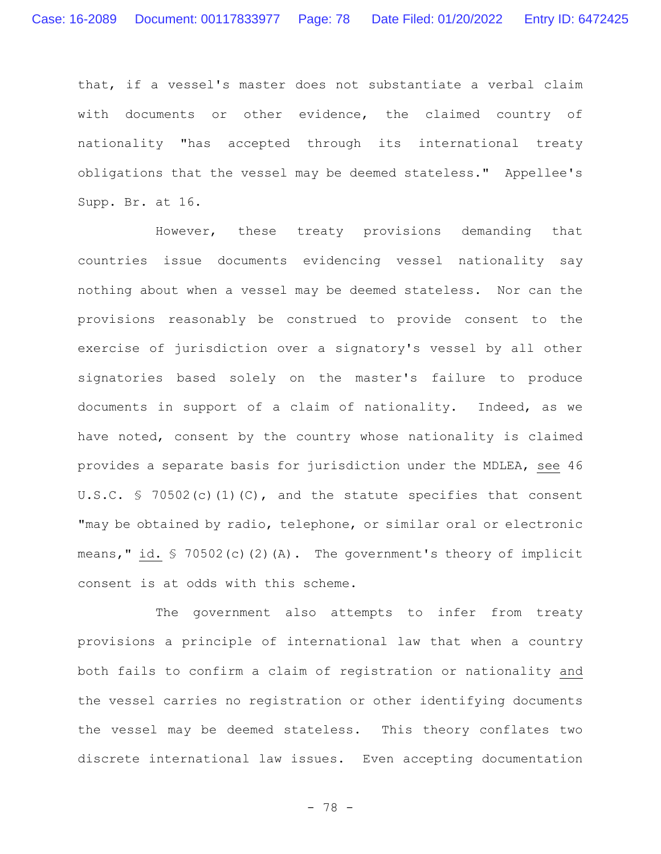that, if a vessel's master does not substantiate a verbal claim with documents or other evidence, the claimed country of nationality "has accepted through its international treaty obligations that the vessel may be deemed stateless." Appellee's Supp. Br. at 16.

However, these treaty provisions demanding that countries issue documents evidencing vessel nationality say nothing about when a vessel may be deemed stateless. Nor can the provisions reasonably be construed to provide consent to the exercise of jurisdiction over a signatory's vessel by all other signatories based solely on the master's failure to produce documents in support of a claim of nationality.Indeed, as we have noted, consent by the country whose nationality is claimed provides a separate basis for jurisdiction under the MDLEA, see 46 U.S.C. § 70502(c)(1)(C), and the statute specifies that consent "may be obtained by radio, telephone, or similar oral or electronic means," id. § 70502(c)(2)(A). The government's theory of implicit consent is at odds with this scheme.

The government also attempts to infer from treaty provisions a principle of international law that when a country both fails to confirm a claim of registration or nationality and the vessel carries no registration or other identifying documents the vessel may be deemed stateless. This theory conflates two discrete international law issues. Even accepting documentation

- 78 -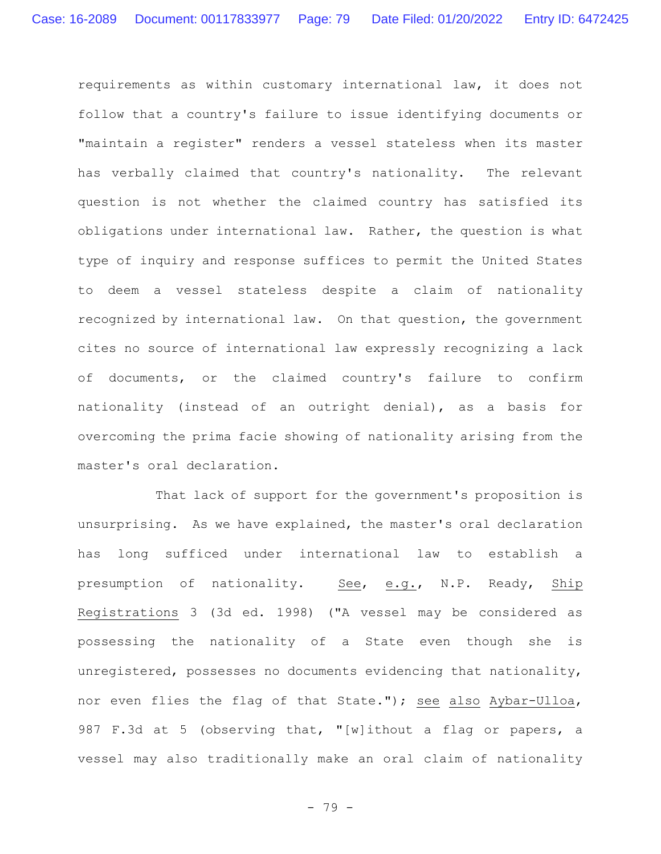requirements as within customary international law, it does not follow that a country's failure to issue identifying documents or "maintain a register" renders a vessel stateless when its master has verbally claimed that country's nationality. The relevant question is not whether the claimed country has satisfied its obligations under international law. Rather, the question is what type of inquiry and response suffices to permit the United States to deem a vessel stateless despite a claim of nationality recognized by international law. On that question, the government cites no source of international law expressly recognizing a lack of documents, or the claimed country's failure to confirm nationality (instead of an outright denial), as a basis for overcoming the prima facie showing of nationality arising from the master's oral declaration.

That lack of support for the government's proposition is unsurprising. As we have explained, the master's oral declaration has long sufficed under international law to establish a presumption of nationality.See, e.g., N.P. Ready, Ship Registrations 3 (3d ed. 1998) ("A vessel may be considered as possessing the nationality of a State even though she is unregistered, possesses no documents evidencing that nationality, nor even flies the flag of that State."); see also Aybar-Ulloa, 987 F.3d at 5 (observing that, "[w]ithout a flag or papers, a vessel may also traditionally make an oral claim of nationality

- 79 -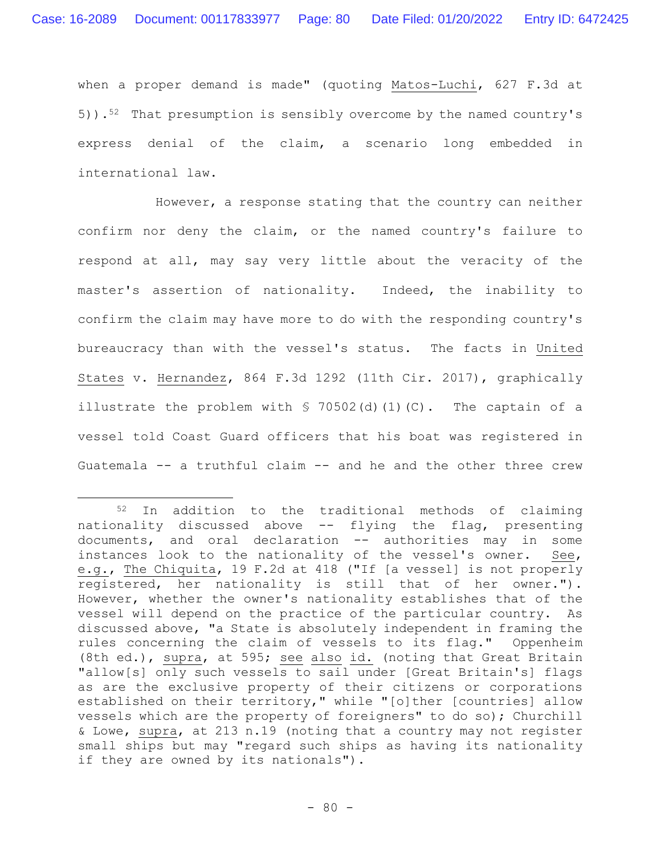when a proper demand is made" (quoting Matos-Luchi, 627 F.3d at 5)).52 That presumption is sensibly overcome by the named country's express denial of the claim, a scenario long embedded in international law.

However, a response stating that the country can neither confirm nor deny the claim, or the named country's failure to respond at all, may say very little about the veracity of the master's assertion of nationality. Indeed, the inability to confirm the claim may have more to do with the responding country's bureaucracy than with the vessel's status. The facts in United States v. Hernandez, 864 F.3d 1292 (11th Cir. 2017), graphically illustrate the problem with  $\frac{1}{2}$  70502(d)(1)(C). The captain of a vessel told Coast Guard officers that his boat was registered in Guatemala -- a truthful claim -- and he and the other three crew

<sup>52</sup> In addition to the traditional methods of claiming nationality discussed above -- flying the flag, presenting documents, and oral declaration -- authorities may in some instances look to the nationality of the vessel's owner. See, e.g., The Chiquita, 19 F.2d at 418 ("If [a vessel] is not properly registered, her nationality is still that of her owner."). However, whether the owner's nationality establishes that of the vessel will depend on the practice of the particular country. As discussed above, "a State is absolutely independent in framing the rules concerning the claim of vessels to its flag." Oppenheim (8th ed.), supra, at 595; see also id. (noting that Great Britain "allow[s] only such vessels to sail under [Great Britain's] flags as are the exclusive property of their citizens or corporations established on their territory," while "[o]ther [countries] allow vessels which are the property of foreigners" to do so); Churchill & Lowe, supra, at 213 n.19 (noting that a country may not register small ships but may "regard such ships as having its nationality if they are owned by its nationals").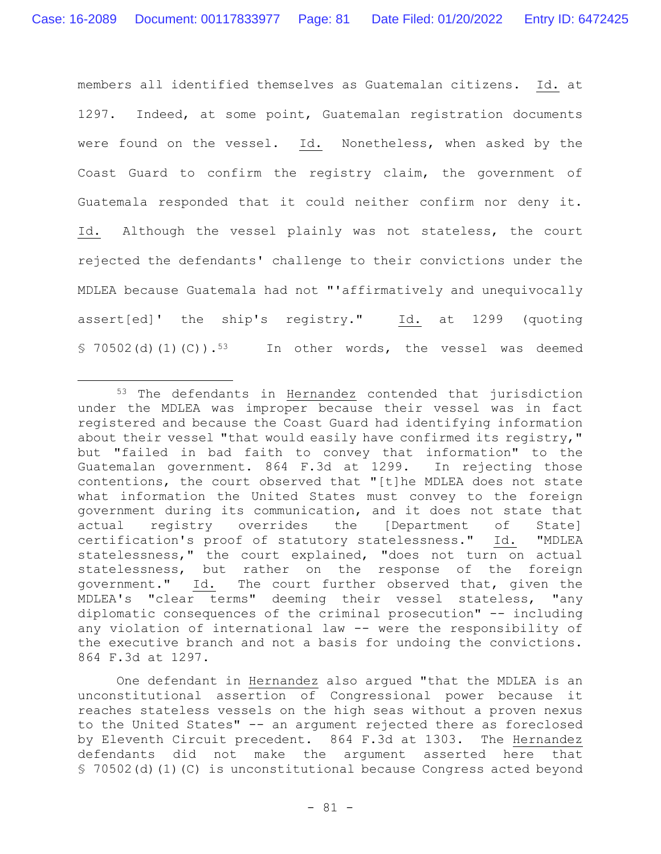members all identified themselves as Guatemalan citizens**.** Id. at 1297. Indeed, at some point, Guatemalan registration documents were found on the vessel. Id. Nonetheless, when asked by the Coast Guard to confirm the registry claim, the government of Guatemala responded that it could neither confirm nor deny it. Id. Although the vessel plainly was not stateless, the court rejected the defendants' challenge to their convictions under the MDLEA because Guatemala had not "'affirmatively and unequivocally assert[ed]' the ship's registry." Id. at 1299 (quoting  $$ 70502(d)(1)(C)$ .<sup>53</sup> In other words, the vessel was deemed

One defendant in Hernandez also argued "that the MDLEA is an unconstitutional assertion of Congressional power because it reaches stateless vessels on the high seas without a proven nexus to the United States" -- an argument rejected there as foreclosed by Eleventh Circuit precedent. 864 F.3d at 1303. The Hernandez defendants did not make the argument asserted here that § 70502(d)(1)(C) is unconstitutional because Congress acted beyond

<sup>53</sup> The defendants in Hernandez contended that jurisdiction under the MDLEA was improper because their vessel was in fact registered and because the Coast Guard had identifying information about their vessel "that would easily have confirmed its registry," but "failed in bad faith to convey that information" to the Guatemalan government. 864 F.3d at 1299. In rejecting those contentions, the court observed that "[t]he MDLEA does not state what information the United States must convey to the foreign government during its communication, and it does not state that actual registry overrides the [Department of State] certification's proof of statutory statelessness." Id. "MDLEA statelessness," the court explained, "does not turn on actual statelessness, but rather on the response of the foreign government." Id. The court further observed that, given the MDLEA's "clear terms" deeming their vessel stateless, "any diplomatic consequences of the criminal prosecution" -- including any violation of international law -- were the responsibility of the executive branch and not a basis for undoing the convictions. 864 F.3d at 1297.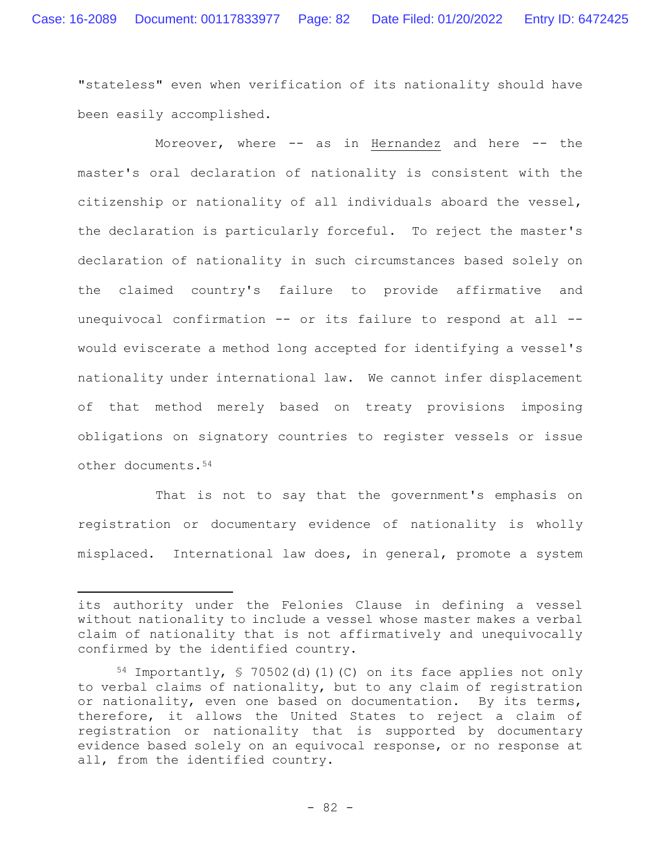"stateless" even when verification of its nationality should have been easily accomplished**.**

Moreover, where -- as in Hernandez and here -- the master's oral declaration of nationality is consistent with the citizenship or nationality of all individuals aboard the vessel, the declaration is particularly forceful. To reject the master's declaration of nationality in such circumstances based solely on the claimed country's failure to provide affirmative and unequivocal confirmation -- or its failure to respond at all - would eviscerate a method long accepted for identifying a vessel's nationality under international law. We cannot infer displacement of that method merely based on treaty provisions imposing obligations on signatory countries to register vessels or issue other documents.<sup>54</sup>

That is not to say that the government's emphasis on registration or documentary evidence of nationality is wholly misplaced. International law does, in general, promote a system

its authority under the Felonies Clause in defining a vessel without nationality to include a vessel whose master makes a verbal claim of nationality that is not affirmatively and unequivocally confirmed by the identified country.

<sup>54</sup> Importantly, § 70502(d)(1)(C) on its face applies not only to verbal claims of nationality, but to any claim of registration or nationality, even one based on documentation. By its terms, therefore, it allows the United States to reject a claim of registration or nationality that is supported by documentary evidence based solely on an equivocal response, or no response at all, from the identified country.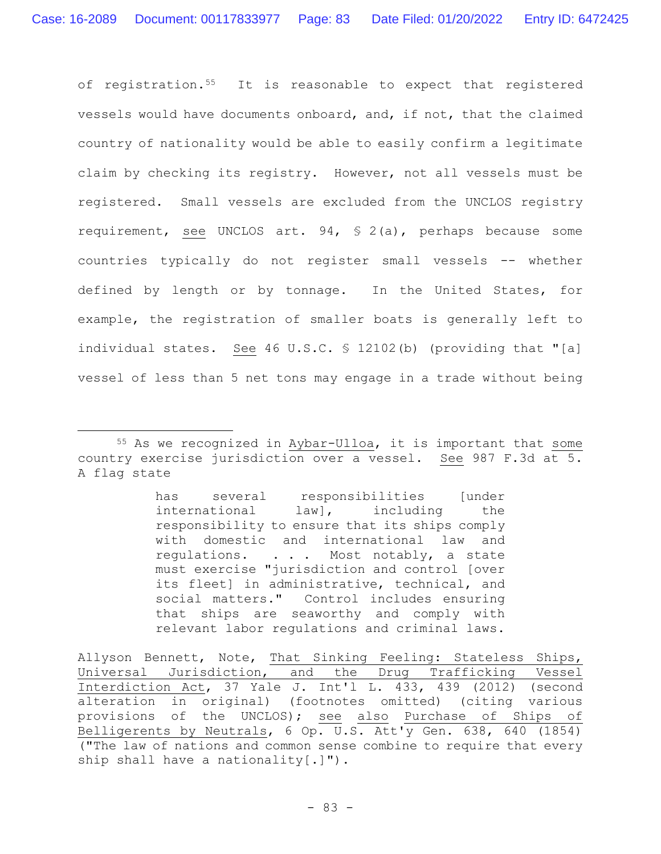of registration.<sup>55</sup> It is reasonable to expect that registered vessels would have documents onboard, and, if not, that the claimed country of nationality would be able to easily confirm a legitimate claim by checking its registry. However, not all vessels must be registered. Small vessels are excluded from the UNCLOS registry requirement, see UNCLOS art. 94, § 2(a), perhaps because some countries typically do not register small vessels -- whether defined by length or by tonnage. In the United States, for example, the registration of smaller boats is generally left to individual states. See 46 U.S.C. § 12102(b) (providing that "[a] vessel of less than 5 net tons may engage in a trade without being

has several responsibilities [under international law], including the responsibility to ensure that its ships comply with domestic and international law and regulations. . . . Most notably, a state must exercise "jurisdiction and control [over its fleet] in administrative, technical, and social matters." Control includes ensuring that ships are seaworthy and comply with relevant labor regulations and criminal laws.

Allyson Bennett, Note, That Sinking Feeling: Stateless Ships, Universal Jurisdiction, and the Drug Trafficking Vessel Interdiction Act, 37 Yale J. Int'l L. 433, 439 (2012) (second alteration in original) (footnotes omitted) (citing various provisions of the UNCLOS); see also Purchase of Ships of Belligerents by Neutrals, 6 Op.  $\overline{U.S.}$  Att'y Gen. 638, 640 (1854) ("The law of nations and common sense combine to require that every ship shall have a nationality[.]").

<sup>55</sup> As we recognized in Aybar-Ulloa, it is important that some country exercise jurisdiction over a vessel. See 987 F.3d at 5. A flag state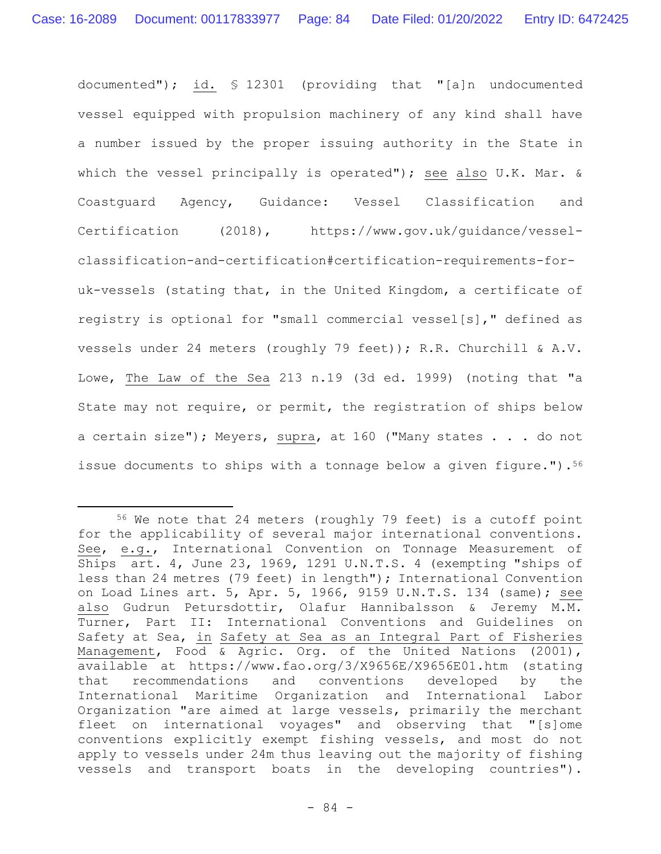documented"); id. § 12301 (providing that "[a]n undocumented vessel equipped with propulsion machinery of any kind shall have a number issued by the proper issuing authority in the State in which the vessel principally is operated"); see also U.K. Mar. & Coastguard Agency, Guidance: Vessel Classification and Certification (2018), https://www.gov.uk/guidance/vesselclassification-and-certification#certification-requirements-foruk-vessels (stating that, in the United Kingdom, a certificate of registry is optional for "small commercial vessel[s]," defined as vessels under 24 meters (roughly 79 feet)); R.R. Churchill & A.V. Lowe, The Law of the Sea 213 n.19 (3d ed. 1999) (noting that "a State may not require, or permit, the registration of ships below a certain size"); Meyers, supra, at 160 ("Many states . . . do not issue documents to ships with a tonnage below a given figure.").<sup>56</sup>

<sup>56</sup> We note that 24 meters (roughly 79 feet) is a cutoff point for the applicability of several major international conventions. See, e.g., International Convention on Tonnage Measurement of Ships art. 4, June 23, 1969, 1291 U.N.T.S. 4 (exempting "ships of less than 24 metres (79 feet) in length"); International Convention on Load Lines art. 5, Apr. 5, 1966, 9159 U.N.T.S. 134 (same); see also Gudrun Petursdottir, Olafur Hannibalsson & Jeremy M.M. Turner, Part II: International Conventions and Guidelines on Safety at Sea, in Safety at Sea as an Integral Part of Fisheries Management, Food & Agric. Org. of the United Nations (2001), available at https://www.fao.org/3/X9656E/X9656E01.htm (stating that recommendations and conventions developed by the International Maritime Organization and International Labor Organization "are aimed at large vessels, primarily the merchant fleet on international voyages" and observing that "[s]ome conventions explicitly exempt fishing vessels, and most do not apply to vessels under 24m thus leaving out the majority of fishing vessels and transport boats in the developing countries").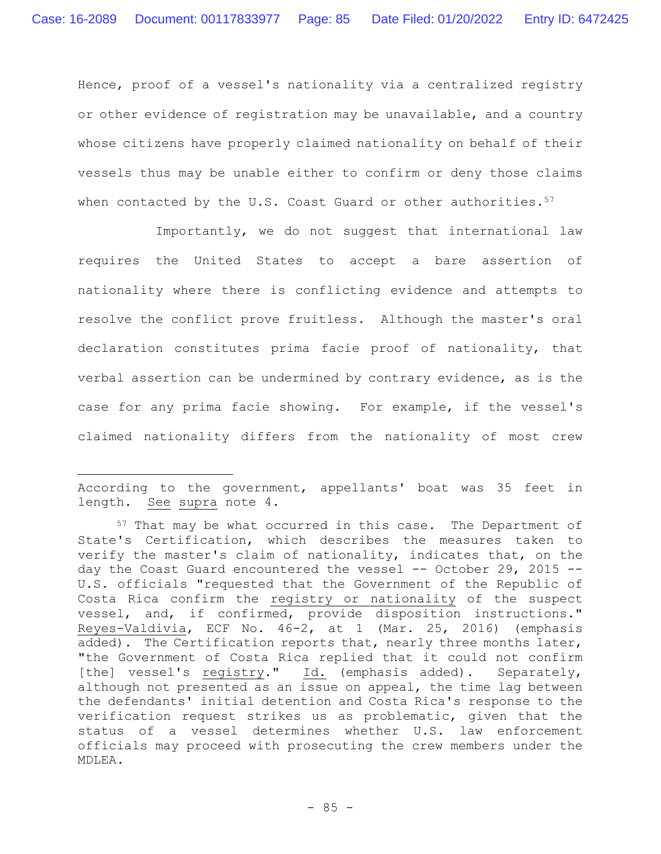Hence, proof of a vessel's nationality via a centralized registry or other evidence of registration may be unavailable, and a country whose citizens have properly claimed nationality on behalf of their vessels thus may be unable either to confirm or deny those claims when contacted by the U.S. Coast Guard or other authorities.  $57$ 

Importantly, we do not suggest that international law requires the United States to accept a bare assertion of nationality where there is conflicting evidence and attempts to resolve the conflict prove fruitless. Although the master's oral declaration constitutes prima facie proof of nationality, that verbal assertion can be undermined by contrary evidence, as is the case for any prima facie showing. For example, if the vessel's claimed nationality differs from the nationality of most crew

According to the government, appellants' boat was 35 feet in length. See supra note 4.

<sup>57</sup> That may be what occurred in this case. The Department of State's Certification, which describes the measures taken to verify the master's claim of nationality, indicates that, on the day the Coast Guard encountered the vessel -- October 29, 2015 --U.S. officials "requested that the Government of the Republic of Costa Rica confirm the registry or nationality of the suspect vessel, and, if confirmed, provide disposition instructions." Reyes-Valdivia, ECF No. 46-2, at 1 (Mar. 25, 2016) (emphasis added). The Certification reports that, nearly three months later, "the Government of Costa Rica replied that it could not confirm [the] vessel's registry." Id. (emphasis added). Separately, although not presented as an issue on appeal, the time lag between the defendants' initial detention and Costa Rica's response to the verification request strikes us as problematic, given that the status of a vessel determines whether U.S. law enforcement officials may proceed with prosecuting the crew members under the MDLEA.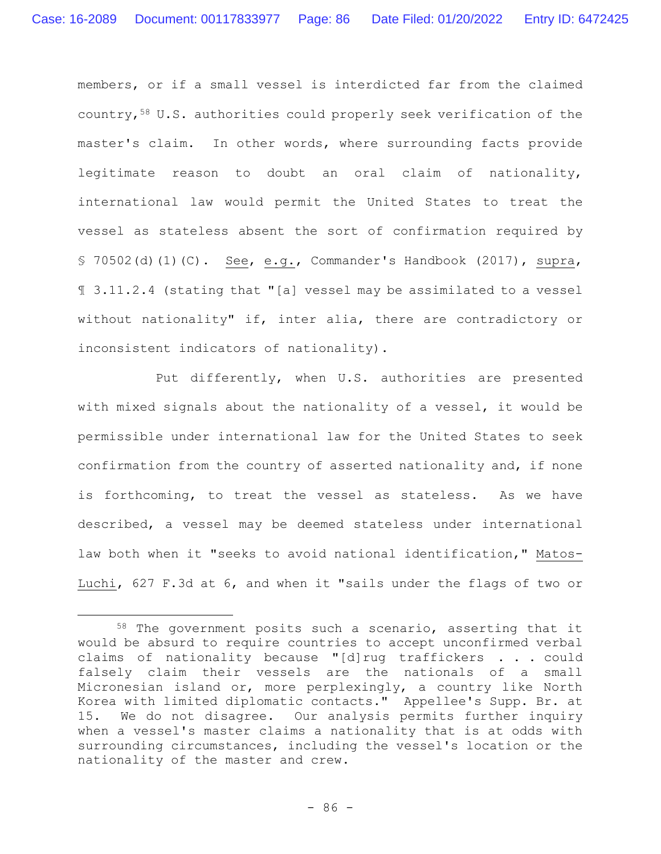members, or if a small vessel is interdicted far from the claimed country,<sup>58</sup> U.S. authorities could properly seek verification of the master's claim. In other words, where surrounding facts provide legitimate reason to doubt an oral claim of nationality, international law would permit the United States to treat the vessel as stateless absent the sort of confirmation required by § 70502(d)(1)(C).See, e.g., Commander's Handbook (2017), supra, ¶ 3.11.2.4 (stating that "[a] vessel may be assimilated to a vessel without nationality" if, inter alia, there are contradictory or inconsistent indicators of nationality).

Put differently, when U.S. authorities are presented with mixed signals about the nationality of a vessel, it would be permissible under international law for the United States to seek confirmation from the country of asserted nationality and, if none is forthcoming, to treat the vessel as stateless. As we have described, a vessel may be deemed stateless under international law both when it "seeks to avoid national identification," Matos-Luchi, 627 F.3d at 6, and when it "sails under the flags of two or

<sup>58</sup> The government posits such a scenario, asserting that it would be absurd to require countries to accept unconfirmed verbal claims of nationality because "[d]rug traffickers . . . could falsely claim their vessels are the nationals of a small Micronesian island or, more perplexingly, a country like North Korea with limited diplomatic contacts." Appellee's Supp. Br. at 15. We do not disagree. Our analysis permits further inquiry when a vessel's master claims a nationality that is at odds with surrounding circumstances, including the vessel's location or the nationality of the master and crew.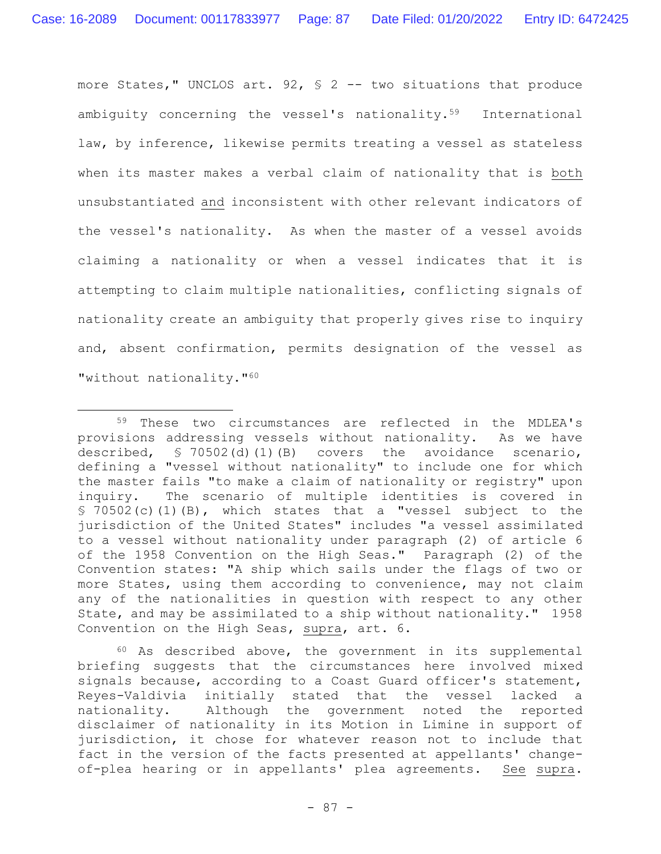more States," UNCLOS art. 92, § 2 -- two situations that produce ambiguity concerning the vessel's nationality.59 International law, by inference, likewise permits treating a vessel as stateless when its master makes a verbal claim of nationality that is both unsubstantiated and inconsistent with other relevant indicators of the vessel's nationality. As when the master of a vessel avoids claiming a nationality or when a vessel indicates that it is attempting to claim multiple nationalities, conflicting signals of nationality create an ambiguity that properly gives rise to inquiry and, absent confirmation, permits designation of the vessel as "without nationality."<sup>60</sup>

 $60$  As described above, the government in its supplemental briefing suggests that the circumstances here involved mixed signals because, according to a Coast Guard officer's statement, Reyes-Valdivia initially stated that the vessel lacked a nationality. Although the government noted the reported disclaimer of nationality in its Motion in Limine in support of jurisdiction, it chose for whatever reason not to include that fact in the version of the facts presented at appellants' changeof-plea hearing or in appellants' plea agreements. See supra.

<sup>59</sup> These two circumstances are reflected in the MDLEA's provisions addressing vessels without nationality. As we have described, § 70502(d)(1)(B) covers the avoidance scenario, defining a "vessel without nationality" to include one for which the master fails "to make a claim of nationality or registry" upon inquiry. The scenario of multiple identities is covered in § 70502(c)(1)(B), which states that a "vessel subject to the jurisdiction of the United States" includes "a vessel assimilated to a vessel without nationality under paragraph (2) of article 6 of the 1958 Convention on the High Seas." Paragraph (2) of the Convention states: "A ship which sails under the flags of two or more States, using them according to convenience, may not claim any of the nationalities in question with respect to any other State, and may be assimilated to a ship without nationality." 1958 Convention on the High Seas, supra, art. 6.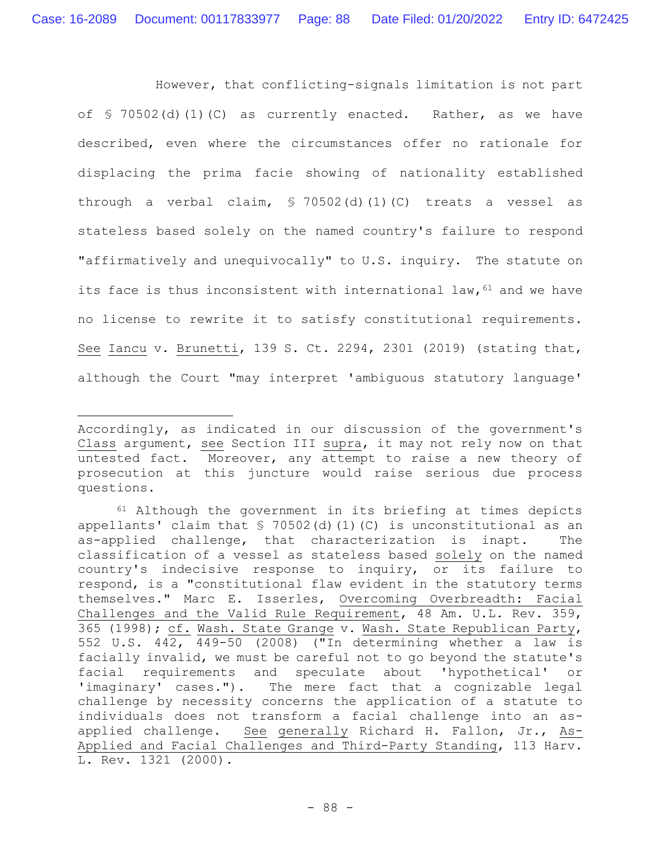However, that conflicting-signals limitation is not part of § 70502(d)(1)(C) as currently enacted. Rather, as we have described, even where the circumstances offer no rationale for displacing the prima facie showing of nationality established through a verbal claim, § 70502(d)(1)(C) treats a vessel as stateless based solely on the named country's failure to respond "affirmatively and unequivocally" to U.S. inquiry. The statute on its face is thus inconsistent with international law,  $61$  and we have no license to rewrite it to satisfy constitutional requirements. See Iancu v. Brunetti, 139 S. Ct. 2294, 2301 (2019) (stating that, although the Court "may interpret 'ambiguous statutory language'

Accordingly, as indicated in our discussion of the government's Class argument, see Section III supra, it may not rely now on that untested fact. Moreover, any attempt to raise a new theory of prosecution at this juncture would raise serious due process questions.

 $61$  Although the government in its briefing at times depicts appellants' claim that  $\frac{1}{5}$  70502(d)(1)(C) is unconstitutional as an as-applied challenge, that characterization is inapt. The classification of a vessel as stateless based solely on the named country's indecisive response to inquiry, or its failure to respond, is a "constitutional flaw evident in the statutory terms themselves." Marc E. Isserles, Overcoming Overbreadth: Facial Challenges and the Valid Rule Requirement, 48 Am. U.L. Rev. 359, 365 (1998); cf. Wash. State Grange v. Wash. State Republican Party, 552 U.S. 442, 449-50 (2008) ("In determining whether a law is facially invalid, we must be careful not to go beyond the statute's facial requirements and speculate about 'hypothetical' or 'imaginary' cases."). The mere fact that a cognizable legal challenge by necessity concerns the application of a statute to individuals does not transform a facial challenge into an asapplied challenge. See generally Richard H. Fallon, Jr., As-Applied and Facial Challenges and Third-Party Standing, 113 Harv. L. Rev. 1321 (2000).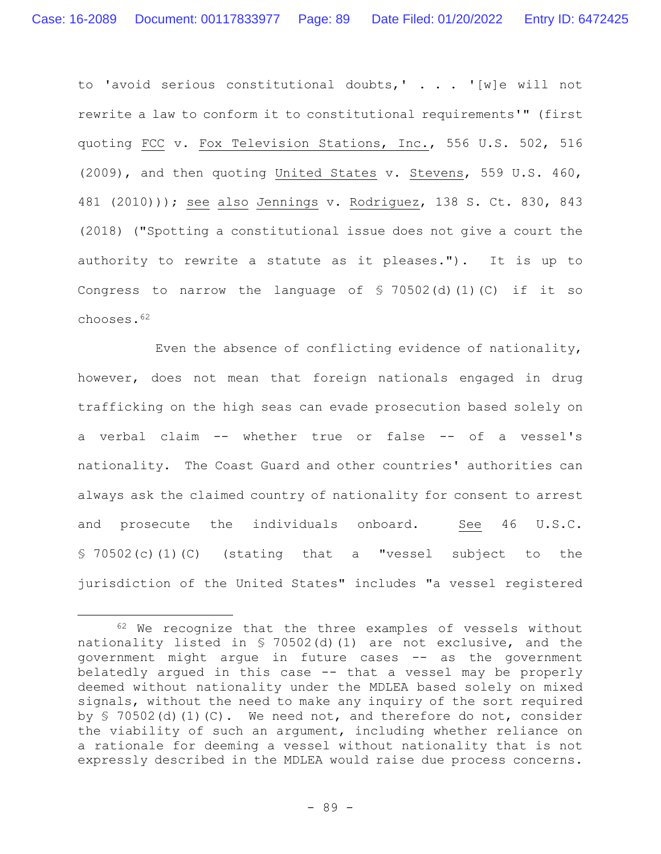to 'avoid serious constitutional doubts,' . . . '[w]e will not rewrite a law to conform it to constitutional requirements'" (first quoting FCC v. Fox Television Stations, Inc., 556 U.S. 502, 516 (2009), and then quoting United States v. Stevens, 559 U.S. 460, 481 (2010))); see also Jennings v. Rodriguez, 138 S. Ct. 830, 843 (2018) ("Spotting a constitutional issue does not give a court the authority to rewrite a statute as it pleases."). It is up to Congress to narrow the language of § 70502(d)(1)(C) if it so chooses.<sup>62</sup>

Even the absence of conflicting evidence of nationality, however, does not mean that foreign nationals engaged in drug trafficking on the high seas can evade prosecution based solely on a verbal claim -- whether true or false -- of a vessel's nationality. The Coast Guard and other countries' authorities can always ask the claimed country of nationality for consent to arrest and prosecute the individuals onboard. See 46 U.S.C. § 70502(c)(1)(C) (stating that a "vessel subject to the jurisdiction of the United States" includes "a vessel registered

<sup>62</sup> We recognize that the three examples of vessels without nationality listed in § 70502(d)(1) are not exclusive, and the government might argue in future cases -- as the government belatedly argued in this case -- that a vessel may be properly deemed without nationality under the MDLEA based solely on mixed signals, without the need to make any inquiry of the sort required by  $\frac{1}{2}$  70502(d)(1)(C). We need not, and therefore do not, consider the viability of such an argument, including whether reliance on a rationale for deeming a vessel without nationality that is not expressly described in the MDLEA would raise due process concerns.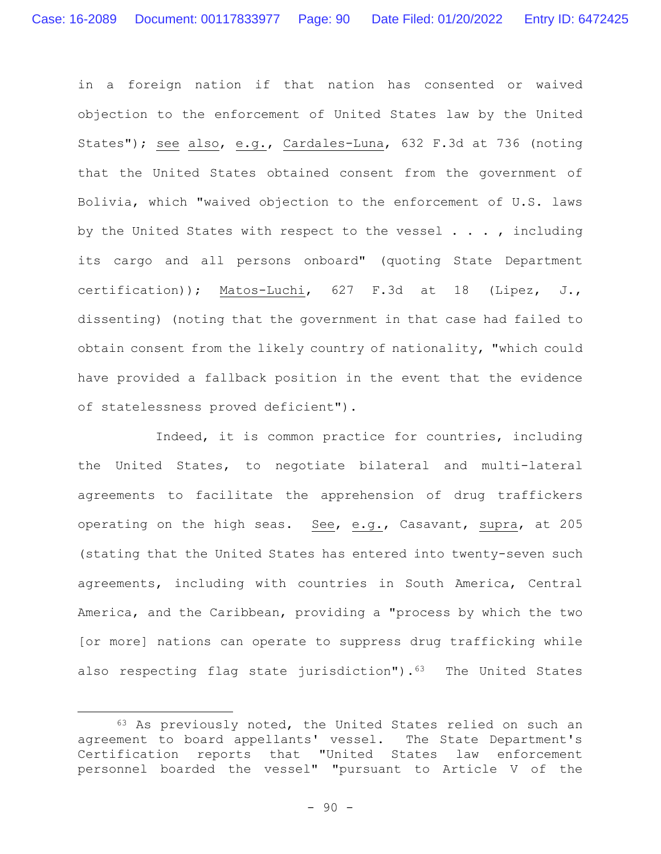in a foreign nation if that nation has consented or waived objection to the enforcement of United States law by the United States"); see also, e.g., Cardales-Luna, 632 F.3d at 736 (noting that the United States obtained consent from the government of Bolivia, which "waived objection to the enforcement of U.S. laws by the United States with respect to the vessel . . . , including its cargo and all persons onboard" (quoting State Department certification)); Matos-Luchi, 627 F.3d at 18 (Lipez, J., dissenting) (noting that the government in that case had failed to obtain consent from the likely country of nationality, "which could have provided a fallback position in the event that the evidence of statelessness proved deficient").

Indeed, it is common practice for countries, including the United States, to negotiate bilateral and multi-lateral agreements to facilitate the apprehension of drug traffickers operating on the high seas. See, e.g., Casavant, supra, at 205 (stating that the United States has entered into twenty-seven such agreements, including with countries in South America, Central America, and the Caribbean, providing a "process by which the two [or more] nations can operate to suppress drug trafficking while also respecting flag state jurisdiction").<sup>63</sup> The United States

<sup>63</sup> As previously noted, the United States relied on such an agreement to board appellants' vessel. The State Department's Certification reports that "United States law enforcement personnel boarded the vessel" "pursuant to Article V of the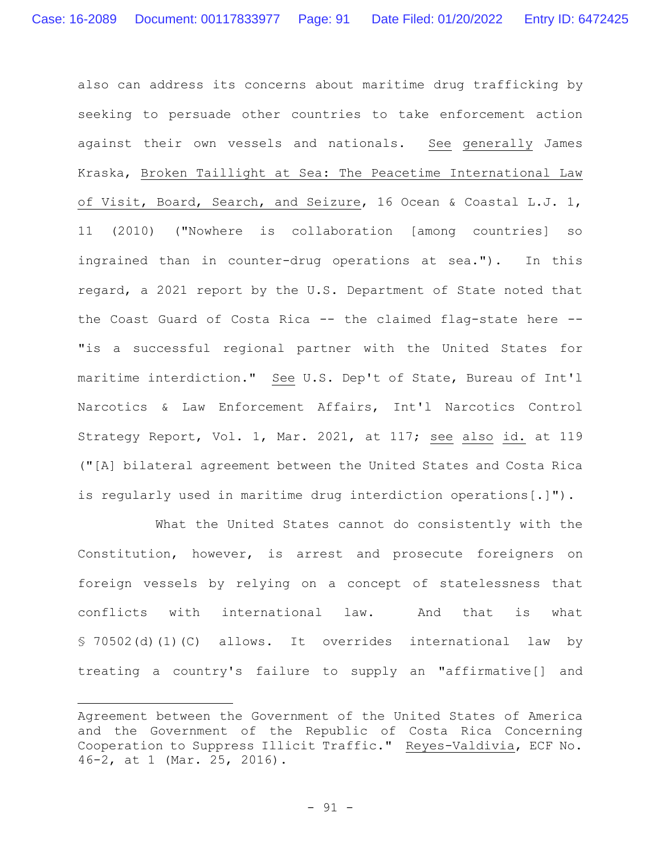also can address its concerns about maritime drug trafficking by seeking to persuade other countries to take enforcement action against their own vessels and nationals. See generally James Kraska, Broken Taillight at Sea: The Peacetime International Law of Visit, Board, Search, and Seizure, 16 Ocean & Coastal L.J. 1, 11 (2010) ("Nowhere is collaboration [among countries] so ingrained than in counter-drug operations at sea."). In this regard, a 2021 report by the U.S. Department of State noted that the Coast Guard of Costa Rica -- the claimed flag-state here -- "is a successful regional partner with the United States for maritime interdiction." See U.S. Dep't of State, Bureau of Int'l Narcotics & Law Enforcement Affairs, Int'l Narcotics Control Strategy Report, Vol. 1, Mar. 2021, at 117; see also id. at 119 ("[A] bilateral agreement between the United States and Costa Rica is regularly used in maritime drug interdiction operations[.]").

What the United States cannot do consistently with the Constitution, however, is arrest and prosecute foreigners on foreign vessels by relying on a concept of statelessness that conflicts with international law. And that is what § 70502(d)(1)(C) allows. It overrides international law by treating a country's failure to supply an "affirmative[] and

Agreement between the Government of the United States of America and the Government of the Republic of Costa Rica Concerning Cooperation to Suppress Illicit Traffic." Reyes-Valdivia, ECF No. 46-2, at 1 (Mar. 25, 2016).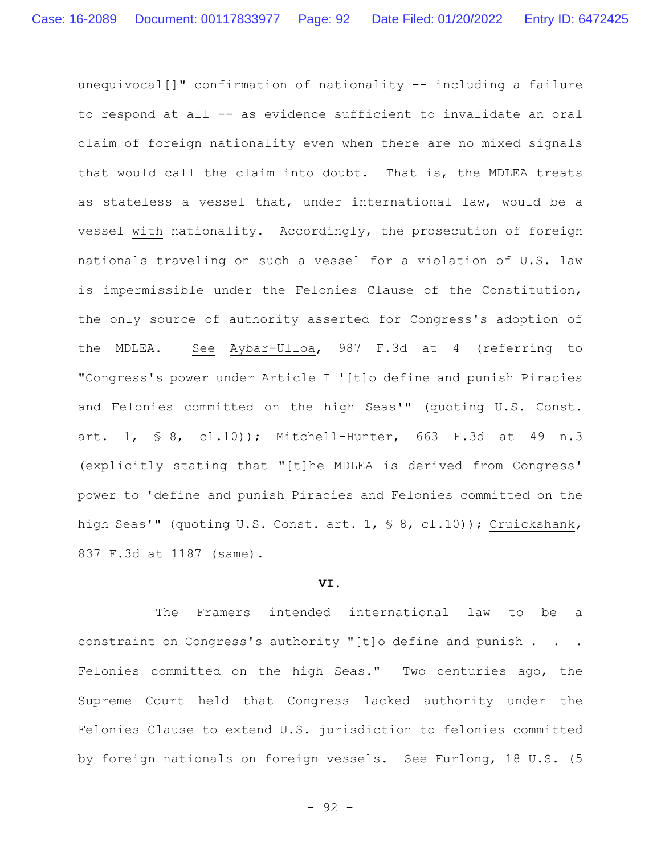unequivocal[]" confirmation of nationality -- including a failure to respond at all -- as evidence sufficient to invalidate an oral claim of foreign nationality even when there are no mixed signals that would call the claim into doubt. That is, the MDLEA treats as stateless a vessel that, under international law, would be a vessel with nationality. Accordingly, the prosecution of foreign nationals traveling on such a vessel for a violation of U.S. law is impermissible under the Felonies Clause of the Constitution, the only source of authority asserted for Congress's adoption of the MDLEA. See Aybar-Ulloa, 987 F.3d at 4 (referring to "Congress's power under Article I '[t]o define and punish Piracies and Felonies committed on the high Seas'" (quoting U.S. Const. art. 1, § 8, cl.10)); Mitchell-Hunter, 663 F.3d at 49 n.3 (explicitly stating that "[t]he MDLEA is derived from Congress' power to 'define and punish Piracies and Felonies committed on the high Seas'" (quoting U.S. Const. art. 1, § 8, cl.10)); Cruickshank, 837 F.3d at 1187 (same).

## **VI.**

The Framers intended international law to be a constraint on Congress's authority "[t]o define and punish . . . Felonies committed on the high Seas." Two centuries ago, the Supreme Court held that Congress lacked authority under the Felonies Clause to extend U.S. jurisdiction to felonies committed by foreign nationals on foreign vessels. See Furlong, 18 U.S. (5

- 92 -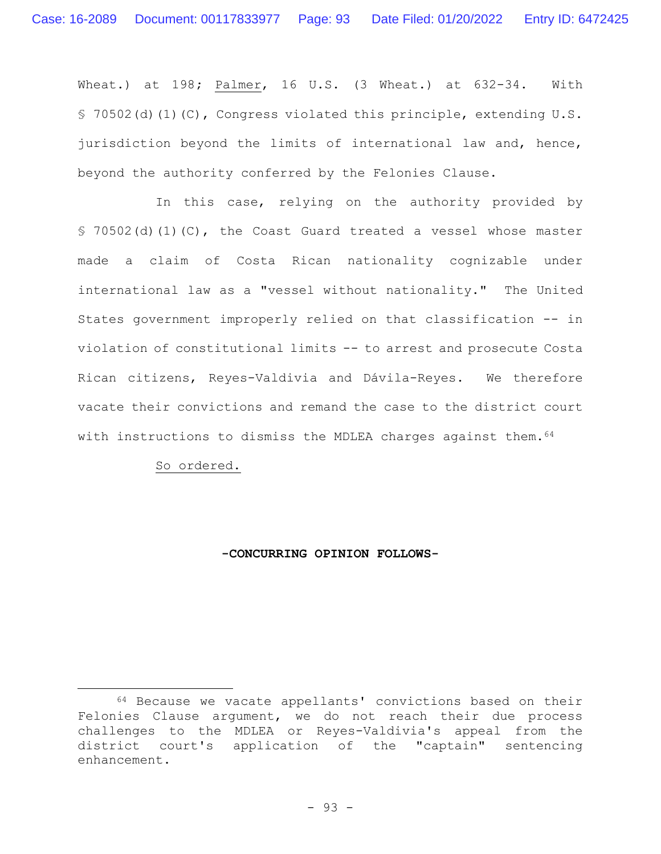Wheat.) at 198**;** Palmer, 16 U.S. (3 Wheat.) at 632-34. With § 70502(d)(1)(C), Congress violated this principle, extending U.S. jurisdiction beyond the limits of international law and, hence, beyond the authority conferred by the Felonies Clause.

In this case, relying on the authority provided by § 70502(d)(1)(C), the Coast Guard treated a vessel whose master made a claim of Costa Rican nationality cognizable under international law as a "vessel without nationality." The United States government improperly relied on that classification -- in violation of constitutional limits -- to arrest and prosecute Costa Rican citizens, Reyes-Valdivia and Dávila-Reyes. We therefore vacate their convictions and remand the case to the district court with instructions to dismiss the MDLEA charges against them. 64

So ordered.

## **-CONCURRING OPINION FOLLOWS-**

<sup>64</sup> Because we vacate appellants' convictions based on their Felonies Clause argument, we do not reach their due process challenges to the MDLEA or Reyes-Valdivia's appeal from the district court's application of the "captain" sentencing enhancement.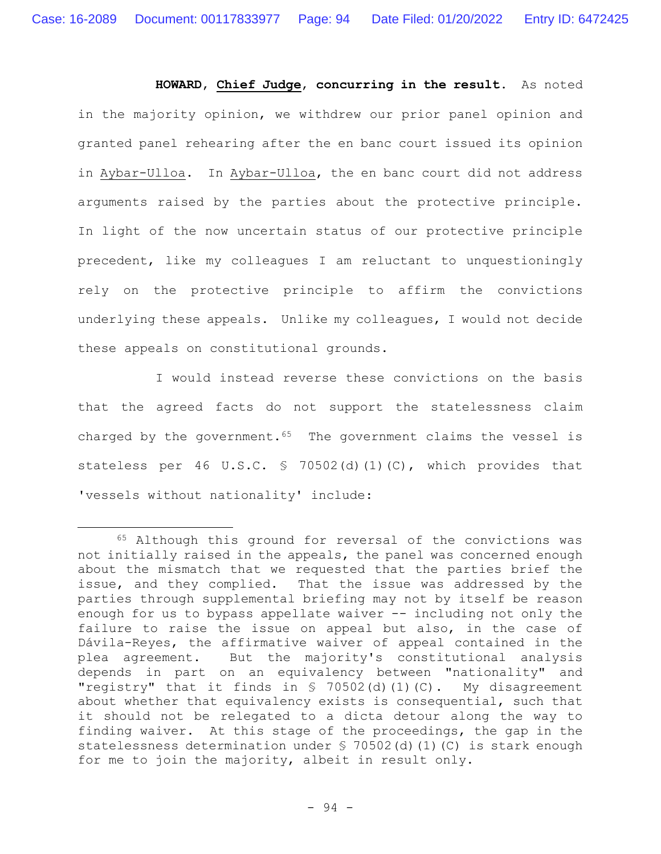**HOWARD**, **Chief Judge**, **concurring in the result.** As noted in the majority opinion, we withdrew our prior panel opinion and granted panel rehearing after the en banc court issued its opinion in Aybar-Ulloa. In Aybar-Ulloa, the en banc court did not address arguments raised by the parties about the protective principle. In light of the now uncertain status of our protective principle precedent, like my colleagues I am reluctant to unquestioningly rely on the protective principle to affirm the convictions underlying these appeals. Unlike my colleagues, I would not decide these appeals on constitutional grounds.

I would instead reverse these convictions on the basis that the agreed facts do not support the statelessness claim charged by the government.<sup>65</sup> The government claims the vessel is stateless per 46 U.S.C. § 70502(d)(1)(C), which provides that 'vessels without nationality' include:

<sup>65</sup> Although this ground for reversal of the convictions was not initially raised in the appeals, the panel was concerned enough about the mismatch that we requested that the parties brief the issue, and they complied. That the issue was addressed by the parties through supplemental briefing may not by itself be reason enough for us to bypass appellate waiver -- including not only the failure to raise the issue on appeal but also, in the case of Dávila-Reyes, the affirmative waiver of appeal contained in the plea agreement. But the majority's constitutional analysis depends in part on an equivalency between "nationality" and "registry" that it finds in  $\frac{1}{2}$  70502(d)(1)(C). My disagreement about whether that equivalency exists is consequential, such that it should not be relegated to a dicta detour along the way to finding waiver. At this stage of the proceedings, the gap in the statelessness determination under § 70502(d)(1)(C) is stark enough for me to join the majority, albeit in result only.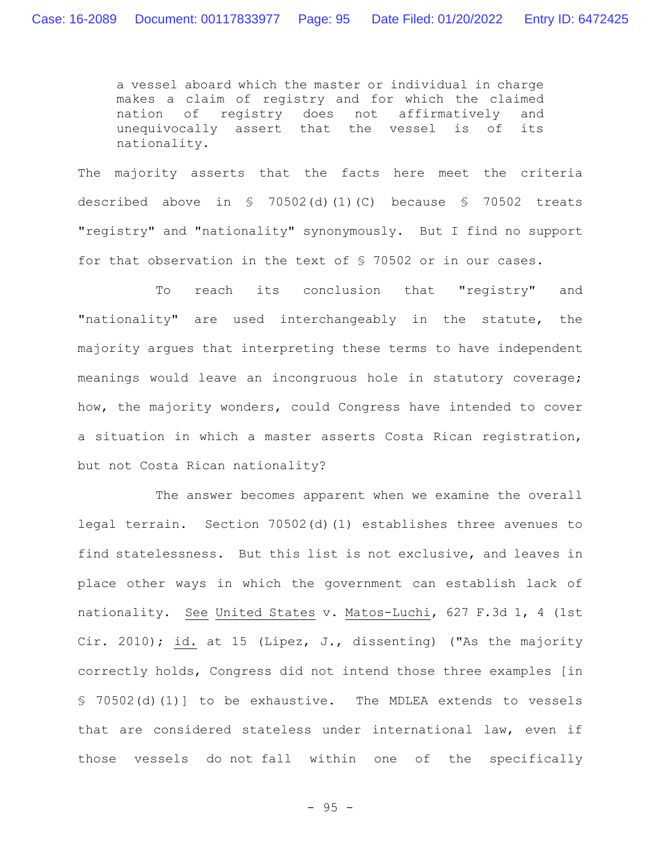a vessel aboard which the master or individual in charge makes a claim of registry and for which the claimed nation of registry does not affirmatively and unequivocally assert that the vessel is of its nationality.

The majority asserts that the facts here meet the criteria described above in § 70502(d)(1)(C) because § 70502 treats "registry" and "nationality" synonymously. But I find no support for that observation in the text of § 70502 or in our cases.

To reach its conclusion that "registry" and "nationality" are used interchangeably in the statute, the majority argues that interpreting these terms to have independent meanings would leave an incongruous hole in statutory coverage; how, the majority wonders, could Congress have intended to cover a situation in which a master asserts Costa Rican registration, but not Costa Rican nationality?

The answer becomes apparent when we examine the overall legal terrain. Section 70502(d)(1) establishes three avenues to find statelessness. But this list is not exclusive, and leaves in place other ways in which the government can establish lack of nationality. See United States v. Matos-Luchi, 627 F.3d 1, 4 (1st Cir. 2010); id. at 15 (Lipez, J., dissenting) ("As the majority correctly holds, Congress did not intend those three examples [in § 70502(d)(1)] to be exhaustive. The MDLEA extends to vessels that are considered stateless under international law, even if those vessels do not fall within one of the specifically

- 95 -